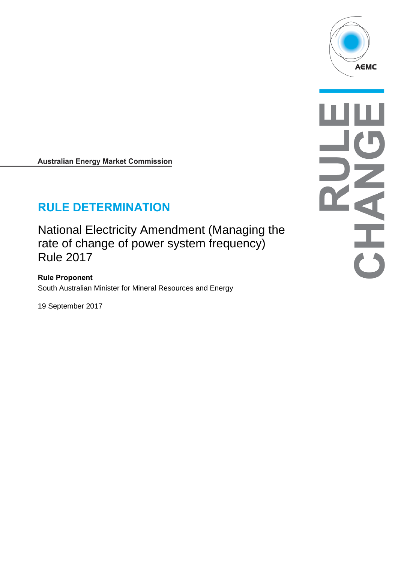

**Australian Energy Market Commission** 

# **RULE DETERMINATION**

National Electricity Amendment (Managing the rate of change of power system frequency) Rule 2017

**Rule Proponent** South Australian Minister for Mineral Resources and Energy

19 September 2017

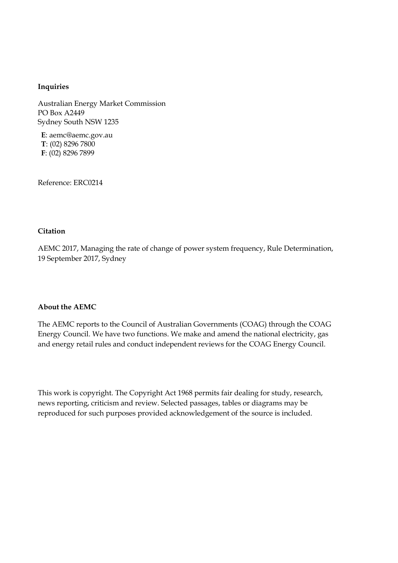#### **Inquiries**

Australian Energy Market Commission PO Box A2449 Sydney South NSW 1235

**E**: aemc@aemc.gov.au **T**: (02) 8296 7800 **F**: (02) 8296 7899

Reference: ERC0214

#### **Citation**

AEMC 2017, Managing the rate of change of power system frequency, Rule Determination, 19 September 2017, Sydney

#### **About the AEMC**

The AEMC reports to the Council of Australian Governments (COAG) through the COAG Energy Council. We have two functions. We make and amend the national electricity, gas and energy retail rules and conduct independent reviews for the COAG Energy Council.

This work is copyright. The Copyright Act 1968 permits fair dealing for study, research, news reporting, criticism and review. Selected passages, tables or diagrams may be reproduced for such purposes provided acknowledgement of the source is included.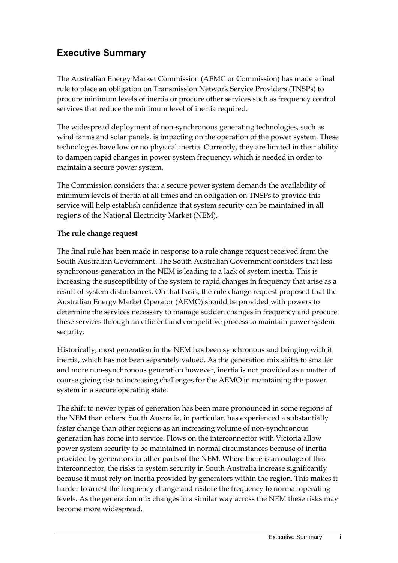## **Executive Summary**

The Australian Energy Market Commission (AEMC or Commission) has made a final rule to place an obligation on Transmission Network Service Providers (TNSPs) to procure minimum levels of inertia or procure other services such as frequency control services that reduce the minimum level of inertia required.

The widespread deployment of non-synchronous generating technologies, such as wind farms and solar panels, is impacting on the operation of the power system. These technologies have low or no physical inertia. Currently, they are limited in their ability to dampen rapid changes in power system frequency, which is needed in order to maintain a secure power system.

The Commission considers that a secure power system demands the availability of minimum levels of inertia at all times and an obligation on TNSPs to provide this service will help establish confidence that system security can be maintained in all regions of the National Electricity Market (NEM).

#### **The rule change request**

The final rule has been made in response to a rule change request received from the South Australian Government. The South Australian Government considers that less synchronous generation in the NEM is leading to a lack of system inertia. This is increasing the susceptibility of the system to rapid changes in frequency that arise as a result of system disturbances. On that basis, the rule change request proposed that the Australian Energy Market Operator (AEMO) should be provided with powers to determine the services necessary to manage sudden changes in frequency and procure these services through an efficient and competitive process to maintain power system security.

Historically, most generation in the NEM has been synchronous and bringing with it inertia, which has not been separately valued. As the generation mix shifts to smaller and more non-synchronous generation however, inertia is not provided as a matter of course giving rise to increasing challenges for the AEMO in maintaining the power system in a secure operating state.

The shift to newer types of generation has been more pronounced in some regions of the NEM than others. South Australia, in particular, has experienced a substantially faster change than other regions as an increasing volume of non-synchronous generation has come into service. Flows on the interconnector with Victoria allow power system security to be maintained in normal circumstances because of inertia provided by generators in other parts of the NEM. Where there is an outage of this interconnector, the risks to system security in South Australia increase significantly because it must rely on inertia provided by generators within the region. This makes it harder to arrest the frequency change and restore the frequency to normal operating levels. As the generation mix changes in a similar way across the NEM these risks may become more widespread.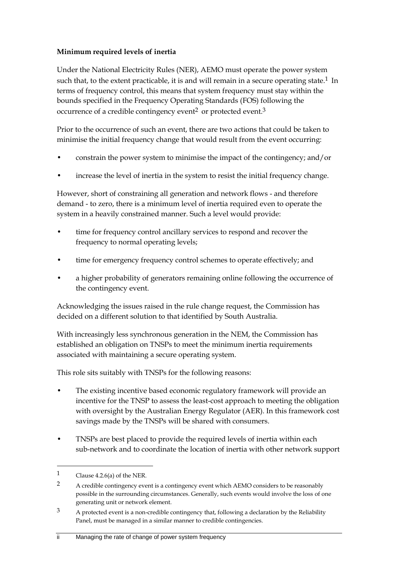#### **Minimum required levels of inertia**

Under the National Electricity Rules (NER), AEMO must operate the power system such that, to the extent practicable, it is and will remain in a secure operating state.<sup>1</sup> In terms of frequency control, this means that system frequency must stay within the bounds specified in the Frequency Operating Standards (FOS) following the occurrence of a credible contingency event<sup>2</sup> or protected event.<sup>3</sup>

Prior to the occurrence of such an event, there are two actions that could be taken to minimise the initial frequency change that would result from the event occurring:

- constrain the power system to minimise the impact of the contingency; and/or
- increase the level of inertia in the system to resist the initial frequency change.

However, short of constraining all generation and network flows - and therefore demand - to zero, there is a minimum level of inertia required even to operate the system in a heavily constrained manner. Such a level would provide:

- time for frequency control ancillary services to respond and recover the frequency to normal operating levels;
- time for emergency frequency control schemes to operate effectively; and
- a higher probability of generators remaining online following the occurrence of the contingency event.

Acknowledging the issues raised in the rule change request, the Commission has decided on a different solution to that identified by South Australia.

With increasingly less synchronous generation in the NEM, the Commission has established an obligation on TNSPs to meet the minimum inertia requirements associated with maintaining a secure operating system.

This role sits suitably with TNSPs for the following reasons:

- The existing incentive based economic regulatory framework will provide an incentive for the TNSP to assess the least-cost approach to meeting the obligation with oversight by the Australian Energy Regulator (AER). In this framework cost savings made by the TNSPs will be shared with consumers.
- TNSPs are best placed to provide the required levels of inertia within each sub-network and to coordinate the location of inertia with other network support

<sup>1</sup> Clause 4.2.6(a) of the NER.

<sup>&</sup>lt;sup>2</sup> A credible contingency event is a contingency event which AEMO considers to be reasonably possible in the surrounding circumstances. Generally, such events would involve the loss of one generating unit or network element.

 $3$  A protected event is a non-credible contingency that, following a declaration by the Reliability Panel, must be managed in a similar manner to credible contingencies.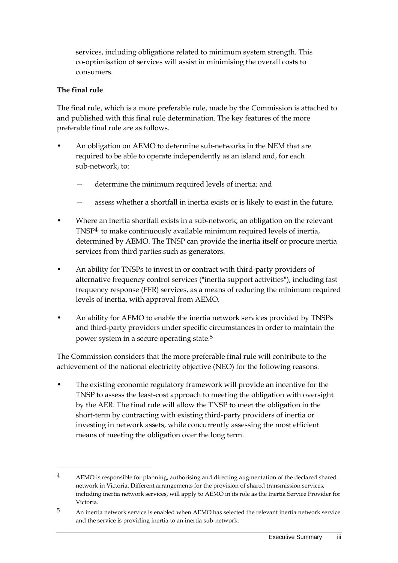services, including obligations related to minimum system strength. This co-optimisation of services will assist in minimising the overall costs to consumers.

#### **The final rule**

<u>.</u>

The final rule, which is a more preferable rule, made by the Commission is attached to and published with this final rule determination. The key features of the more preferable final rule are as follows.

- An obligation on AEMO to determine sub-networks in the NEM that are required to be able to operate independently as an island and, for each sub-network, to:
	- determine the minimum required levels of inertia; and
	- assess whether a shortfall in inertia exists or is likely to exist in the future.
- Where an inertia shortfall exists in a sub-network, an obligation on the relevant TNSP4 to make continuously available minimum required levels of inertia, determined by AEMO. The TNSP can provide the inertia itself or procure inertia services from third parties such as generators.
- An ability for TNSPs to invest in or contract with third-party providers of alternative frequency control services ("inertia support activities"), including fast frequency response (FFR) services, as a means of reducing the minimum required levels of inertia, with approval from AEMO.
- An ability for AEMO to enable the inertia network services provided by TNSPs and third-party providers under specific circumstances in order to maintain the power system in a secure operating state.5

The Commission considers that the more preferable final rule will contribute to the achievement of the national electricity objective (NEO) for the following reasons.

The existing economic regulatory framework will provide an incentive for the TNSP to assess the least-cost approach to meeting the obligation with oversight by the AER. The final rule will allow the TNSP to meet the obligation in the short-term by contracting with existing third-party providers of inertia or investing in network assets, while concurrently assessing the most efficient means of meeting the obligation over the long term.

<sup>4</sup> AEMO is responsible for planning, authorising and directing augmentation of the declared shared network in Victoria. Different arrangements for the provision of shared transmission services, including inertia network services, will apply to AEMO in its role as the Inertia Service Provider for Victoria.

<sup>5</sup> An inertia network service is enabled when AEMO has selected the relevant inertia network service and the service is providing inertia to an inertia sub-network.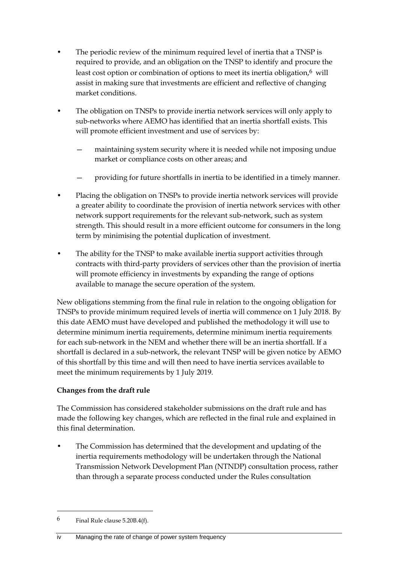- The periodic review of the minimum required level of inertia that a TNSP is required to provide, and an obligation on the TNSP to identify and procure the least cost option or combination of options to meet its inertia obligation, $6$  will assist in making sure that investments are efficient and reflective of changing market conditions.
- The obligation on TNSPs to provide inertia network services will only apply to sub-networks where AEMO has identified that an inertia shortfall exists. This will promote efficient investment and use of services by:
	- maintaining system security where it is needed while not imposing undue market or compliance costs on other areas; and
	- providing for future shortfalls in inertia to be identified in a timely manner.
- Placing the obligation on TNSPs to provide inertia network services will provide a greater ability to coordinate the provision of inertia network services with other network support requirements for the relevant sub-network, such as system strength. This should result in a more efficient outcome for consumers in the long term by minimising the potential duplication of investment.
- The ability for the TNSP to make available inertia support activities through contracts with third-party providers of services other than the provision of inertia will promote efficiency in investments by expanding the range of options available to manage the secure operation of the system.

New obligations stemming from the final rule in relation to the ongoing obligation for TNSPs to provide minimum required levels of inertia will commence on 1 July 2018. By this date AEMO must have developed and published the methodology it will use to determine minimum inertia requirements, determine minimum inertia requirements for each sub-network in the NEM and whether there will be an inertia shortfall. If a shortfall is declared in a sub-network, the relevant TNSP will be given notice by AEMO of this shortfall by this time and will then need to have inertia services available to meet the minimum requirements by 1 July 2019.

#### **Changes from the draft rule**

The Commission has considered stakeholder submissions on the draft rule and has made the following key changes, which are reflected in the final rule and explained in this final determination.

• The Commission has determined that the development and updating of the inertia requirements methodology will be undertaken through the National Transmission Network Development Plan (NTNDP) consultation process, rather than through a separate process conducted under the Rules consultation

 $6$  Final Rule clause 5.20B.4(f).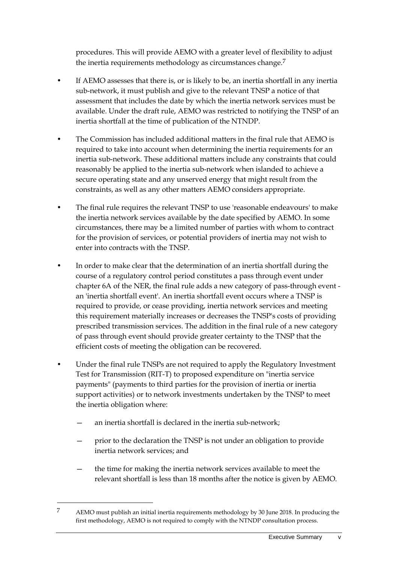procedures. This will provide AEMO with a greater level of flexibility to adjust the inertia requirements methodology as circumstances change.<sup>7</sup>

- If AEMO assesses that there is, or is likely to be, an inertia shortfall in any inertia sub-network, it must publish and give to the relevant TNSP a notice of that assessment that includes the date by which the inertia network services must be available. Under the draft rule, AEMO was restricted to notifying the TNSP of an inertia shortfall at the time of publication of the NTNDP.
- The Commission has included additional matters in the final rule that AEMO is required to take into account when determining the inertia requirements for an inertia sub-network. These additional matters include any constraints that could reasonably be applied to the inertia sub-network when islanded to achieve a secure operating state and any unserved energy that might result from the constraints, as well as any other matters AEMO considers appropriate.
- The final rule requires the relevant TNSP to use 'reasonable endeavours' to make the inertia network services available by the date specified by AEMO. In some circumstances, there may be a limited number of parties with whom to contract for the provision of services, or potential providers of inertia may not wish to enter into contracts with the TNSP.
- In order to make clear that the determination of an inertia shortfall during the course of a regulatory control period constitutes a pass through event under chapter 6A of the NER, the final rule adds a new category of pass-through event an 'inertia shortfall event'. An inertia shortfall event occurs where a TNSP is required to provide, or cease providing, inertia network services and meeting this requirement materially increases or decreases the TNSP's costs of providing prescribed transmission services. The addition in the final rule of a new category of pass through event should provide greater certainty to the TNSP that the efficient costs of meeting the obligation can be recovered.
- Under the final rule TNSPs are not required to apply the Regulatory Investment Test for Transmission (RIT-T) to proposed expenditure on "inertia service payments" (payments to third parties for the provision of inertia or inertia support activities) or to network investments undertaken by the TNSP to meet the inertia obligation where:
	- an inertia shortfall is declared in the inertia sub-network;

- prior to the declaration the TNSP is not under an obligation to provide inertia network services; and
- the time for making the inertia network services available to meet the relevant shortfall is less than 18 months after the notice is given by AEMO.

<sup>7</sup> AEMO must publish an initial inertia requirements methodology by 30 June 2018. In producing the first methodology, AEMO is not required to comply with the NTNDP consultation process.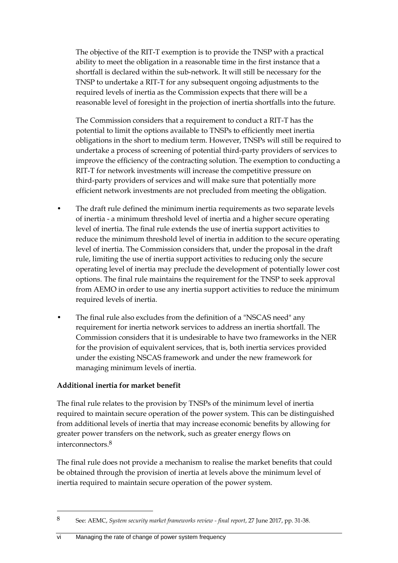The objective of the RIT-T exemption is to provide the TNSP with a practical ability to meet the obligation in a reasonable time in the first instance that a shortfall is declared within the sub-network. It will still be necessary for the TNSP to undertake a RIT-T for any subsequent ongoing adjustments to the required levels of inertia as the Commission expects that there will be a reasonable level of foresight in the projection of inertia shortfalls into the future.

The Commission considers that a requirement to conduct a RIT-T has the potential to limit the options available to TNSPs to efficiently meet inertia obligations in the short to medium term. However, TNSPs will still be required to undertake a process of screening of potential third-party providers of services to improve the efficiency of the contracting solution. The exemption to conducting a RIT-T for network investments will increase the competitive pressure on third-party providers of services and will make sure that potentially more efficient network investments are not precluded from meeting the obligation.

- The draft rule defined the minimum inertia requirements as two separate levels of inertia - a minimum threshold level of inertia and a higher secure operating level of inertia. The final rule extends the use of inertia support activities to reduce the minimum threshold level of inertia in addition to the secure operating level of inertia. The Commission considers that, under the proposal in the draft rule, limiting the use of inertia support activities to reducing only the secure operating level of inertia may preclude the development of potentially lower cost options. The final rule maintains the requirement for the TNSP to seek approval from AEMO in order to use any inertia support activities to reduce the minimum required levels of inertia.
- The final rule also excludes from the definition of a "NSCAS need" any requirement for inertia network services to address an inertia shortfall. The Commission considers that it is undesirable to have two frameworks in the NER for the provision of equivalent services, that is, both inertia services provided under the existing NSCAS framework and under the new framework for managing minimum levels of inertia.

#### **Additional inertia for market benefit**

1

The final rule relates to the provision by TNSPs of the minimum level of inertia required to maintain secure operation of the power system. This can be distinguished from additional levels of inertia that may increase economic benefits by allowing for greater power transfers on the network, such as greater energy flows on interconnectors.8

The final rule does not provide a mechanism to realise the market benefits that could be obtained through the provision of inertia at levels above the minimum level of inertia required to maintain secure operation of the power system.

<sup>8</sup> See: AEMC, *System security market frameworks review - final report*, 27 June 2017, pp. 31-38.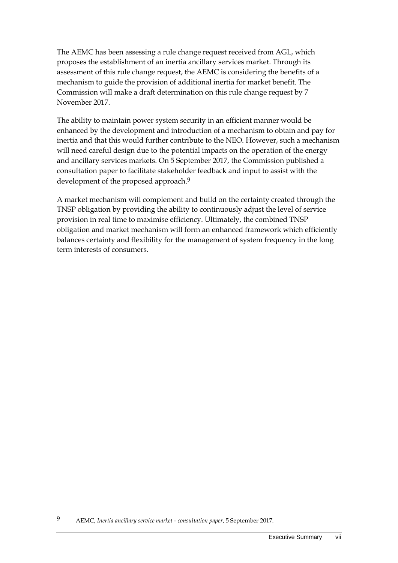The AEMC has been assessing a rule change request received from AGL, which proposes the establishment of an inertia ancillary services market. Through its assessment of this rule change request, the AEMC is considering the benefits of a mechanism to guide the provision of additional inertia for market benefit. The Commission will make a draft determination on this rule change request by 7 November 2017.

The ability to maintain power system security in an efficient manner would be enhanced by the development and introduction of a mechanism to obtain and pay for inertia and that this would further contribute to the NEO. However, such a mechanism will need careful design due to the potential impacts on the operation of the energy and ancillary services markets. On 5 September 2017, the Commission published a consultation paper to facilitate stakeholder feedback and input to assist with the development of the proposed approach.<sup>9</sup>

A market mechanism will complement and build on the certainty created through the TNSP obligation by providing the ability to continuously adjust the level of service provision in real time to maximise efficiency. Ultimately, the combined TNSP obligation and market mechanism will form an enhanced framework which efficiently balances certainty and flexibility for the management of system frequency in the long term interests of consumers.

<sup>9</sup> AEMC, *Inertia ancillary service market - consultation paper*, 5 September 2017.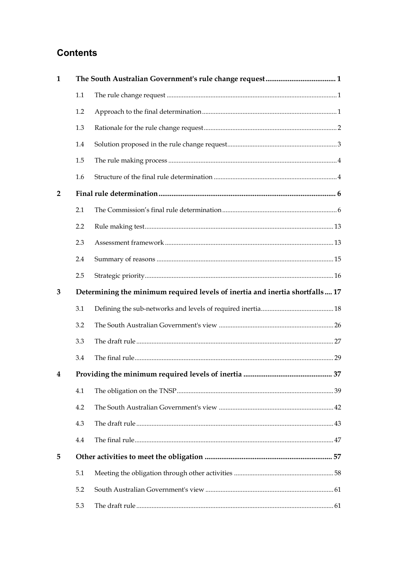## **Contents**

| $\mathbf{1}$   |                                                                              |  |  |  |  |
|----------------|------------------------------------------------------------------------------|--|--|--|--|
|                | 1.1                                                                          |  |  |  |  |
|                | 1.2                                                                          |  |  |  |  |
|                | 1.3                                                                          |  |  |  |  |
|                | 1.4                                                                          |  |  |  |  |
|                | 1.5                                                                          |  |  |  |  |
|                | 1.6                                                                          |  |  |  |  |
| $\overline{2}$ |                                                                              |  |  |  |  |
|                | 2.1                                                                          |  |  |  |  |
|                | 2.2                                                                          |  |  |  |  |
|                | 2.3                                                                          |  |  |  |  |
|                | 2.4                                                                          |  |  |  |  |
|                | 2.5                                                                          |  |  |  |  |
| 3              | Determining the minimum required levels of inertia and inertia shortfalls 17 |  |  |  |  |
|                | 3.1                                                                          |  |  |  |  |
|                | 3.2                                                                          |  |  |  |  |
|                | 3.3                                                                          |  |  |  |  |
|                | 3.4                                                                          |  |  |  |  |
|                |                                                                              |  |  |  |  |
|                | 4.1                                                                          |  |  |  |  |
|                | 4.2                                                                          |  |  |  |  |
|                | 4.3                                                                          |  |  |  |  |
|                | 4.4                                                                          |  |  |  |  |
| 5              |                                                                              |  |  |  |  |
|                | 5.1                                                                          |  |  |  |  |
|                | 5.2                                                                          |  |  |  |  |
|                | 5.3                                                                          |  |  |  |  |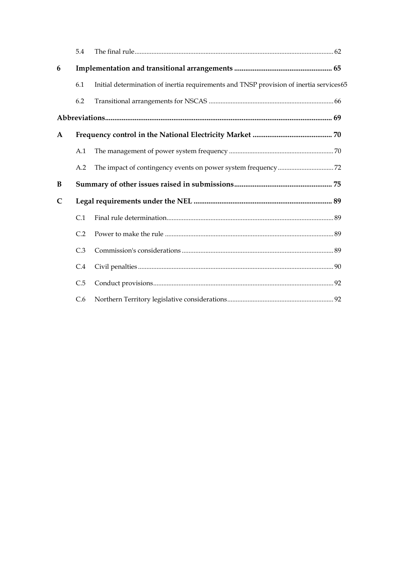|              | 5.4 |                                                                                         |  |
|--------------|-----|-----------------------------------------------------------------------------------------|--|
| 6            |     |                                                                                         |  |
|              | 6.1 | Initial determination of inertia requirements and TNSP provision of inertia services 65 |  |
|              | 6.2 |                                                                                         |  |
|              |     |                                                                                         |  |
| $\mathbf{A}$ |     |                                                                                         |  |
|              | A.1 |                                                                                         |  |
|              | A.2 |                                                                                         |  |
| B            |     |                                                                                         |  |
| $\mathsf{C}$ |     |                                                                                         |  |
|              |     |                                                                                         |  |
|              | C.1 |                                                                                         |  |
|              | C.2 |                                                                                         |  |
|              | C.3 |                                                                                         |  |
|              | C.4 |                                                                                         |  |
|              | C.5 |                                                                                         |  |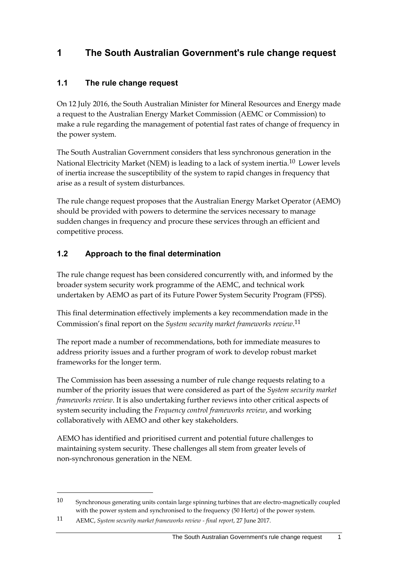## <span id="page-12-0"></span>**1 The South Australian Government's rule change request**

## <span id="page-12-1"></span>**1.1 The rule change request**

On 12 July 2016, the South Australian Minister for Mineral Resources and Energy made a request to the Australian Energy Market Commission (AEMC or Commission) to make a rule regarding the management of potential fast rates of change of frequency in the power system.

The South Australian Government considers that less synchronous generation in the National Electricity Market (NEM) is leading to a lack of system inertia.10 Lower levels of inertia increase the susceptibility of the system to rapid changes in frequency that arise as a result of system disturbances.

The rule change request proposes that the Australian Energy Market Operator (AEMO) should be provided with powers to determine the services necessary to manage sudden changes in frequency and procure these services through an efficient and competitive process.

## <span id="page-12-2"></span>**1.2 Approach to the final determination**

The rule change request has been considered concurrently with, and informed by the broader system security work programme of the AEMC, and technical work undertaken by AEMO as part of its Future Power System Security Program (FPSS).

This final determination effectively implements a key recommendation made in the Commission's final report on the *System security market frameworks review*. 11

The report made a number of recommendations, both for immediate measures to address priority issues and a further program of work to develop robust market frameworks for the longer term.

The Commission has been assessing a number of rule change requests relating to a number of the priority issues that were considered as part of the *System security market frameworks review*. It is also undertaking further reviews into other critical aspects of system security including the *Frequency control frameworks review*, and working collaboratively with AEMO and other key stakeholders.

AEMO has identified and prioritised current and potential future challenges to maintaining system security. These challenges all stem from greater levels of non-synchronous generation in the NEM.

<sup>10</sup> Synchronous generating units contain large spinning turbines that are electro-magnetically coupled with the power system and synchronised to the frequency (50 Hertz) of the power system.

<sup>11</sup> AEMC, *System security market frameworks review - final report*, 27 June 2017.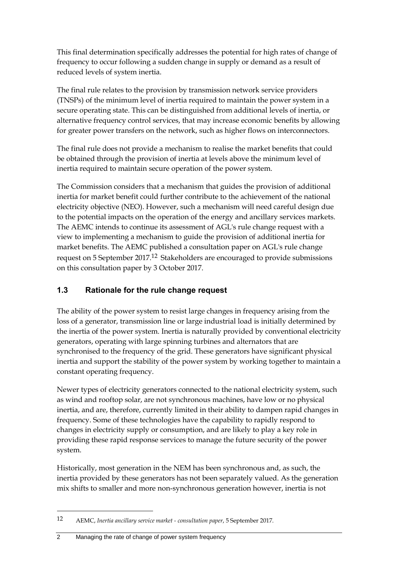This final determination specifically addresses the potential for high rates of change of frequency to occur following a sudden change in supply or demand as a result of reduced levels of system inertia.

The final rule relates to the provision by transmission network service providers (TNSPs) of the minimum level of inertia required to maintain the power system in a secure operating state. This can be distinguished from additional levels of inertia, or alternative frequency control services, that may increase economic benefits by allowing for greater power transfers on the network, such as higher flows on interconnectors.

The final rule does not provide a mechanism to realise the market benefits that could be obtained through the provision of inertia at levels above the minimum level of inertia required to maintain secure operation of the power system.

The Commission considers that a mechanism that guides the provision of additional inertia for market benefit could further contribute to the achievement of the national electricity objective (NEO). However, such a mechanism will need careful design due to the potential impacts on the operation of the energy and ancillary services markets. The AEMC intends to continue its assessment of AGL's rule change request with a view to implementing a mechanism to guide the provision of additional inertia for market benefits. The AEMC published a consultation paper on AGL's rule change request on 5 September 2017.12 Stakeholders are encouraged to provide submissions on this consultation paper by 3 October 2017.

## <span id="page-13-0"></span>**1.3 Rationale for the rule change request**

The ability of the power system to resist large changes in frequency arising from the loss of a generator, transmission line or large industrial load is initially determined by the inertia of the power system. Inertia is naturally provided by conventional electricity generators, operating with large spinning turbines and alternators that are synchronised to the frequency of the grid. These generators have significant physical inertia and support the stability of the power system by working together to maintain a constant operating frequency.

Newer types of electricity generators connected to the national electricity system, such as wind and rooftop solar, are not synchronous machines, have low or no physical inertia, and are, therefore, currently limited in their ability to dampen rapid changes in frequency. Some of these technologies have the capability to rapidly respond to changes in electricity supply or consumption, and are likely to play a key role in providing these rapid response services to manage the future security of the power system.

Historically, most generation in the NEM has been synchronous and, as such, the inertia provided by these generators has not been separately valued. As the generation mix shifts to smaller and more non-synchronous generation however, inertia is not

<sup>12</sup> AEMC, *Inertia ancillary service market - consultation paper*, 5 September 2017.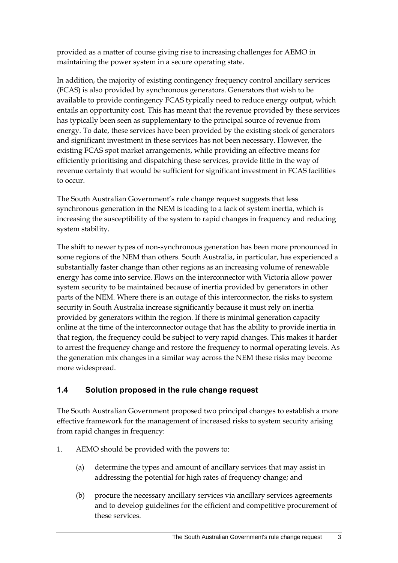provided as a matter of course giving rise to increasing challenges for AEMO in maintaining the power system in a secure operating state.

In addition, the majority of existing contingency frequency control ancillary services (FCAS) is also provided by synchronous generators. Generators that wish to be available to provide contingency FCAS typically need to reduce energy output, which entails an opportunity cost. This has meant that the revenue provided by these services has typically been seen as supplementary to the principal source of revenue from energy. To date, these services have been provided by the existing stock of generators and significant investment in these services has not been necessary. However, the existing FCAS spot market arrangements, while providing an effective means for efficiently prioritising and dispatching these services, provide little in the way of revenue certainty that would be sufficient for significant investment in FCAS facilities to occur.

The South Australian Government's rule change request suggests that less synchronous generation in the NEM is leading to a lack of system inertia, which is increasing the susceptibility of the system to rapid changes in frequency and reducing system stability.

The shift to newer types of non-synchronous generation has been more pronounced in some regions of the NEM than others. South Australia, in particular, has experienced a substantially faster change than other regions as an increasing volume of renewable energy has come into service. Flows on the interconnector with Victoria allow power system security to be maintained because of inertia provided by generators in other parts of the NEM. Where there is an outage of this interconnector, the risks to system security in South Australia increase significantly because it must rely on inertia provided by generators within the region. If there is minimal generation capacity online at the time of the interconnector outage that has the ability to provide inertia in that region, the frequency could be subject to very rapid changes. This makes it harder to arrest the frequency change and restore the frequency to normal operating levels. As the generation mix changes in a similar way across the NEM these risks may become more widespread.

## <span id="page-14-0"></span>**1.4 Solution proposed in the rule change request**

The South Australian Government proposed two principal changes to establish a more effective framework for the management of increased risks to system security arising from rapid changes in frequency:

- 1. AEMO should be provided with the powers to:
	- (a) determine the types and amount of ancillary services that may assist in addressing the potential for high rates of frequency change; and
	- (b) procure the necessary ancillary services via ancillary services agreements and to develop guidelines for the efficient and competitive procurement of these services.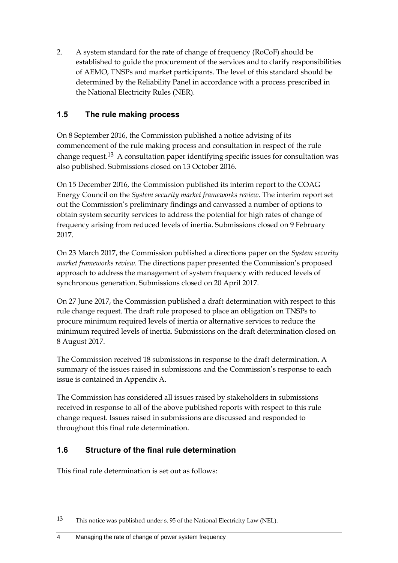2. A system standard for the rate of change of frequency (RoCoF) should be established to guide the procurement of the services and to clarify responsibilities of AEMO, TNSPs and market participants. The level of this standard should be determined by the Reliability Panel in accordance with a process prescribed in the National Electricity Rules (NER).

## <span id="page-15-0"></span>**1.5 The rule making process**

On 8 September 2016, the Commission published a notice advising of its commencement of the rule making process and consultation in respect of the rule change request.13 A consultation paper identifying specific issues for consultation was also published. Submissions closed on 13 October 2016.

On 15 December 2016, the Commission published its interim report to the COAG Energy Council on the *System security market frameworks review*. The interim report set out the Commission's preliminary findings and canvassed a number of options to obtain system security services to address the potential for high rates of change of frequency arising from reduced levels of inertia. Submissions closed on 9 February 2017.

On 23 March 2017, the Commission published a directions paper on the *System security market frameworks review*. The directions paper presented the Commission's proposed approach to address the management of system frequency with reduced levels of synchronous generation. Submissions closed on 20 April 2017.

On 27 June 2017, the Commission published a draft determination with respect to this rule change request. The draft rule proposed to place an obligation on TNSPs to procure minimum required levels of inertia or alternative services to reduce the minimum required levels of inertia. Submissions on the draft determination closed on 8 August 2017.

The Commission received 18 submissions in response to the draft determination. A summary of the issues raised in submissions and the Commission's response to each issue is contained in Appendix A.

The Commission has considered all issues raised by stakeholders in submissions received in response to all of the above published reports with respect to this rule change request. Issues raised in submissions are discussed and responded to throughout this final rule determination.

## <span id="page-15-1"></span>**1.6 Structure of the final rule determination**

This final rule determination is set out as follows:

<sup>13</sup> This notice was published under s. 95 of the National Electricity Law (NEL).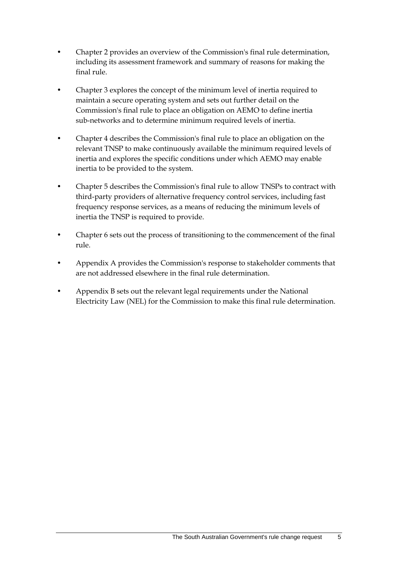- Chapter 2 provides an overview of the Commission's final rule determination, including its assessment framework and summary of reasons for making the final rule.
- Chapter 3 explores the concept of the minimum level of inertia required to maintain a secure operating system and sets out further detail on the Commission's final rule to place an obligation on AEMO to define inertia sub-networks and to determine minimum required levels of inertia.
- Chapter 4 describes the Commission's final rule to place an obligation on the relevant TNSP to make continuously available the minimum required levels of inertia and explores the specific conditions under which AEMO may enable inertia to be provided to the system.
- Chapter 5 describes the Commission's final rule to allow TNSPs to contract with third-party providers of alternative frequency control services, including fast frequency response services, as a means of reducing the minimum levels of inertia the TNSP is required to provide.
- Chapter 6 sets out the process of transitioning to the commencement of the final rule.
- Appendix A provides the Commission's response to stakeholder comments that are not addressed elsewhere in the final rule determination.
- Appendix B sets out the relevant legal requirements under the National Electricity Law (NEL) for the Commission to make this final rule determination.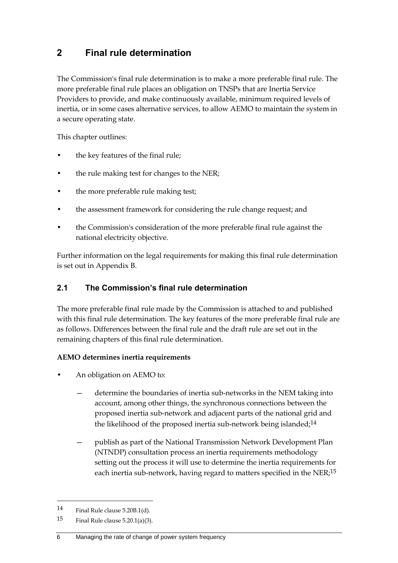## <span id="page-17-0"></span>**2 Final rule determination**

The Commission's final rule determination is to make a more preferable final rule. The more preferable final rule places an obligation on TNSPs that are Inertia Service Providers to provide, and make continuously available, minimum required levels of inertia, or in some cases alternative services, to allow AEMO to maintain the system in a secure operating state.

This chapter outlines:

- the key features of the final rule;
- the rule making test for changes to the NER;
- the more preferable rule making test;
- the assessment framework for considering the rule change request; and
- the Commission's consideration of the more preferable final rule against the national electricity objective.

Further information on the legal requirements for making this final rule determination is set out in Appendix B.

## <span id="page-17-1"></span>**2.1 The Commission's final rule determination**

The more preferable final rule made by the Commission is attached to and published with this final rule determination. The key features of the more preferable final rule are as follows. Differences between the final rule and the draft rule are set out in the remaining chapters of this final rule determination.

#### **AEMO determines inertia requirements**

- An obligation on AEMO to:
	- determine the boundaries of inertia sub-networks in the NEM taking into account, among other things, the synchronous connections between the proposed inertia sub-network and adjacent parts of the national grid and the likelihood of the proposed inertia sub-network being islanded;<sup>14</sup>
	- publish as part of the National Transmission Network Development Plan (NTNDP) consultation process an inertia requirements methodology setting out the process it will use to determine the inertia requirements for each inertia sub-network, having regard to matters specified in the NER;15

<sup>14</sup> Final Rule clause 5.20B.1(d).

<sup>15</sup> Final Rule clause  $5.20.1(a)(3)$ .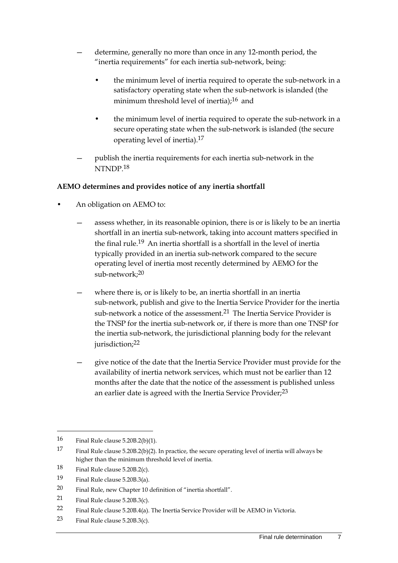- determine, generally no more than once in any 12-month period, the "inertia requirements" for each inertia sub-network, being:
	- the minimum level of inertia required to operate the sub-network in a satisfactory operating state when the sub-network is islanded (the minimum threshold level of inertia);<sup>16</sup> and
	- the minimum level of inertia required to operate the sub-network in a secure operating state when the sub-network is islanded (the secure operating level of inertia).17
- publish the inertia requirements for each inertia sub-network in the NTNDP.18

#### **AEMO determines and provides notice of any inertia shortfall**

- An obligation on AEMO to:
	- assess whether, in its reasonable opinion, there is or is likely to be an inertia shortfall in an inertia sub-network, taking into account matters specified in the final rule.19 An inertia shortfall is a shortfall in the level of inertia typically provided in an inertia sub-network compared to the secure operating level of inertia most recently determined by AEMO for the sub-network;20
	- where there is, or is likely to be, an inertia shortfall in an inertia sub-network, publish and give to the Inertia Service Provider for the inertia sub-network a notice of the assessment.<sup>21</sup> The Inertia Service Provider is the TNSP for the inertia sub-network or, if there is more than one TNSP for the inertia sub-network, the jurisdictional planning body for the relevant jurisdiction; 22
	- give notice of the date that the Inertia Service Provider must provide for the availability of inertia network services, which must not be earlier than 12 months after the date that the notice of the assessment is published unless an earlier date is agreed with the Inertia Service Provider;<sup>23</sup>

<sup>16</sup> Final Rule clause 5.20B.2(b)(1).

<sup>17</sup> Final Rule clause 5.20B.2(b)(2). In practice, the secure operating level of inertia will always be higher than the minimum threshold level of inertia.

<sup>18</sup> Final Rule clause 5.20B.2(c).

<sup>19</sup> Final Rule clause 5.20B.3(a).

<sup>20</sup> Final Rule, new Chapter 10 definition of "inertia shortfall".

<sup>21</sup> Final Rule clause 5.20B.3(c).

<sup>22</sup> Final Rule clause 5.20B.4(a). The Inertia Service Provider will be AEMO in Victoria.

<sup>23</sup> Final Rule clause 5.20B.3(c).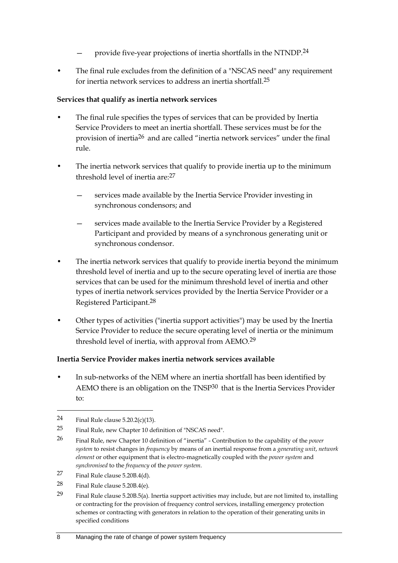- provide five-year projections of inertia shortfalls in the NTNDP.<sup>24</sup>
- The final rule excludes from the definition of a "NSCAS need" any requirement for inertia network services to address an inertia shortfall.25

#### **Services that qualify as inertia network services**

- The final rule specifies the types of services that can be provided by Inertia Service Providers to meet an inertia shortfall. These services must be for the provision of inertia26 and are called "inertia network services" under the final rule.
- The inertia network services that qualify to provide inertia up to the minimum threshold level of inertia are:27
	- services made available by the Inertia Service Provider investing in synchronous condensors; and
	- services made available to the Inertia Service Provider by a Registered Participant and provided by means of a synchronous generating unit or synchronous condensor.
- The inertia network services that qualify to provide inertia beyond the minimum threshold level of inertia and up to the secure operating level of inertia are those services that can be used for the minimum threshold level of inertia and other types of inertia network services provided by the Inertia Service Provider or a Registered Participant.28
- Other types of activities ("inertia support activities") may be used by the Inertia Service Provider to reduce the secure operating level of inertia or the minimum threshold level of inertia, with approval from AEMO.29

#### **Inertia Service Provider makes inertia network services available**

• In sub-networks of the NEM where an inertia shortfall has been identified by AEMO there is an obligation on the TNSP30 that is the Inertia Services Provider to:

-

- 27 Final Rule clause 5.20B.4(d).
- 28 Final Rule clause 5.20B.4(e).
- 29 Final Rule clause 5.20B.5(a). Inertia support activities may include, but are not limited to, installing or contracting for the provision of frequency control services, installing emergency protection schemes or contracting with generators in relation to the operation of their generating units in specified conditions

<sup>24</sup> Final Rule clause  $5.20.2(c)(13)$ .

<sup>25</sup> Final Rule, new Chapter 10 definition of "NSCAS need".

<sup>26</sup> Final Rule, new Chapter 10 definition of "inertia" - Contribution to the capability of the *power system* to resist changes in *frequency* by means of an inertial response from a *generating unit*, *network element* or other equipment that is electro-magnetically coupled with the *power system* and *synchronised* to the *frequency* of the *power system*.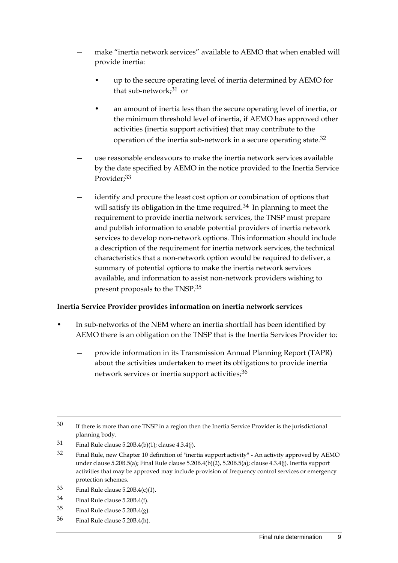- make "inertia network services" available to AEMO that when enabled will provide inertia:
	- up to the secure operating level of inertia determined by AEMO for that sub-network; $31$  or
	- an amount of inertia less than the secure operating level of inertia, or the minimum threshold level of inertia, if AEMO has approved other activities (inertia support activities) that may contribute to the operation of the inertia sub-network in a secure operating state.32
- use reasonable endeavours to make the inertia network services available by the date specified by AEMO in the notice provided to the Inertia Service Provider;<sup>33</sup>
- identify and procure the least cost option or combination of options that will satisfy its obligation in the time required.<sup>34</sup> In planning to meet the requirement to provide inertia network services, the TNSP must prepare and publish information to enable potential providers of inertia network services to develop non-network options. This information should include a description of the requirement for inertia network services, the technical characteristics that a non-network option would be required to deliver, a summary of potential options to make the inertia network services available, and information to assist non-network providers wishing to present proposals to the TNSP.35

#### **Inertia Service Provider provides information on inertia network services**

- In sub-networks of the NEM where an inertia shortfall has been identified by AEMO there is an obligation on the TNSP that is the Inertia Services Provider to:
	- provide information in its Transmission Annual Planning Report (TAPR) about the activities undertaken to meet its obligations to provide inertia network services or inertia support activities;<sup>36</sup>

- $33$  Final Rule clause 5.20B.4(c)(1).
- 34 Final Rule clause 5.20B.4(f).

- $35$  Final Rule clause 5.20B.4(g).
- 36 Final Rule clause 5.20B.4(h).

<sup>30</sup> If there is more than one TNSP in a region then the Inertia Service Provider is the jurisdictional planning body.

<sup>31</sup> Final Rule clause 5.20B.4(b)(1); clause 4.3.4(j).

<sup>32</sup> Final Rule, new Chapter 10 definition of "inertia support activity" - An activity approved by AEMO under clause 5.20B.5(a); Final Rule clause 5.20B.4(b)(2), 5.20B.5(a); clause 4.3.4(j). Inertia support activities that may be approved may include provision of frequency control services or emergency protection schemes.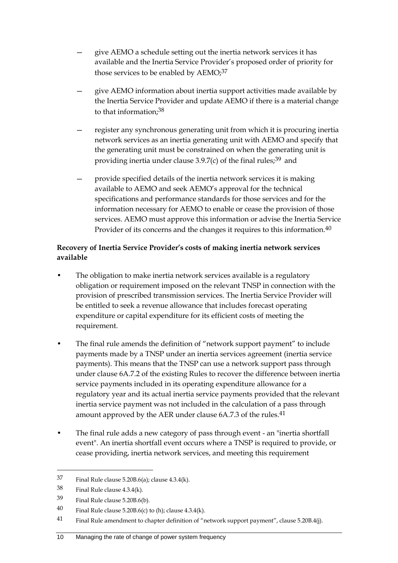- give AEMO a schedule setting out the inertia network services it has available and the Inertia Service Provider's proposed order of priority for those services to be enabled by AEMO;<sup>37</sup>
- give AEMO information about inertia support activities made available by the Inertia Service Provider and update AEMO if there is a material change to that information;38
- register any synchronous generating unit from which it is procuring inertia network services as an inertia generating unit with AEMO and specify that the generating unit must be constrained on when the generating unit is providing inertia under clause  $3.9.7(c)$  of the final rules;<sup>39</sup> and
- provide specified details of the inertia network services it is making available to AEMO and seek AEMO's approval for the technical specifications and performance standards for those services and for the information necessary for AEMO to enable or cease the provision of those services. AEMO must approve this information or advise the Inertia Service Provider of its concerns and the changes it requires to this information.<sup>40</sup>

#### **Recovery of Inertia Service Provider's costs of making inertia network services available**

- The obligation to make inertia network services available is a regulatory obligation or requirement imposed on the relevant TNSP in connection with the provision of prescribed transmission services. The Inertia Service Provider will be entitled to seek a revenue allowance that includes forecast operating expenditure or capital expenditure for its efficient costs of meeting the requirement.
- The final rule amends the definition of "network support payment" to include payments made by a TNSP under an inertia services agreement (inertia service payments). This means that the TNSP can use a network support pass through under clause 6A.7.2 of the existing Rules to recover the difference between inertia service payments included in its operating expenditure allowance for a regulatory year and its actual inertia service payments provided that the relevant inertia service payment was not included in the calculation of a pass through amount approved by the AER under clause 6A.7.3 of the rules.<sup>41</sup>
- The final rule adds a new category of pass through event an "inertia shortfall event". An inertia shortfall event occurs where a TNSP is required to provide, or cease providing, inertia network services, and meeting this requirement

<sup>37</sup> Final Rule clause 5.20B.6(a); clause 4.3.4(k).

<sup>38</sup> Final Rule clause 4.3.4(k).

<sup>39</sup> Final Rule clause 5.20B.6(b).

<sup>40</sup> Final Rule clause 5.20B.6(c) to (h); clause  $4.3.4(k)$ .

<sup>41</sup> Final Rule amendment to chapter definition of "network support payment", clause 5.20B.4(j).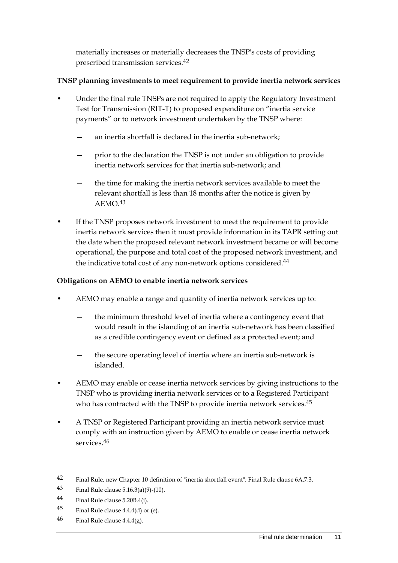materially increases or materially decreases the TNSP's costs of providing prescribed transmission services.42

#### **TNSP planning investments to meet requirement to provide inertia network services**

- Under the final rule TNSPs are not required to apply the Regulatory Investment Test for Transmission (RIT-T) to proposed expenditure on "inertia service payments" or to network investment undertaken by the TNSP where:
	- an inertia shortfall is declared in the inertia sub-network;
	- prior to the declaration the TNSP is not under an obligation to provide inertia network services for that inertia sub-network; and
	- the time for making the inertia network services available to meet the relevant shortfall is less than 18 months after the notice is given by AEMO.43
- If the TNSP proposes network investment to meet the requirement to provide inertia network services then it must provide information in its TAPR setting out the date when the proposed relevant network investment became or will become operational, the purpose and total cost of the proposed network investment, and the indicative total cost of any non-network options considered.44

#### **Obligations on AEMO to enable inertia network services**

- AEMO may enable a range and quantity of inertia network services up to:
	- the minimum threshold level of inertia where a contingency event that would result in the islanding of an inertia sub-network has been classified as a credible contingency event or defined as a protected event; and
	- the secure operating level of inertia where an inertia sub-network is islanded.
- AEMO may enable or cease inertia network services by giving instructions to the TNSP who is providing inertia network services or to a Registered Participant who has contracted with the TNSP to provide inertia network services.<sup>45</sup>
- A TNSP or Registered Participant providing an inertia network service must comply with an instruction given by AEMO to enable or cease inertia network services.46

<sup>42</sup> Final Rule, new Chapter 10 definition of "inertia shortfall event"; Final Rule clause 6A.7.3.

<sup>43</sup> Final Rule clause 5.16.3(a)(9)-(10).

<sup>44</sup> Final Rule clause 5.20B.4(i).

<sup>45</sup> Final Rule clause  $4.4.4(d)$  or (e).

<sup>46</sup> Final Rule clause  $4.4.4(g)$ .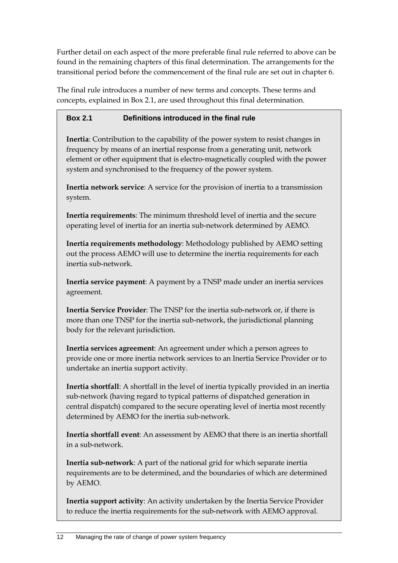Further detail on each aspect of the more preferable final rule referred to above can be found in the remaining chapters of this final determination. The arrangements for the transitional period before the commencement of the final rule are set out in chapter 6.

The final rule introduces a number of new terms and concepts. These terms and concepts, explained in Box 2.1, are used throughout this final determination.

### **Box 2.1 Definitions introduced in the final rule**

**Inertia**: Contribution to the capability of the power system to resist changes in frequency by means of an inertial response from a generating unit, network element or other equipment that is electro-magnetically coupled with the power system and synchronised to the frequency of the power system.

**Inertia network service**: A service for the provision of inertia to a transmission system.

**Inertia requirements**: The minimum threshold level of inertia and the secure operating level of inertia for an inertia sub-network determined by AEMO.

**Inertia requirements methodology**: Methodology published by AEMO setting out the process AEMO will use to determine the inertia requirements for each inertia sub-network.

**Inertia service payment**: A payment by a TNSP made under an inertia services agreement.

**Inertia Service Provider**: The TNSP for the inertia sub-network or, if there is more than one TNSP for the inertia sub-network, the jurisdictional planning body for the relevant jurisdiction.

**Inertia services agreement**: An agreement under which a person agrees to provide one or more inertia network services to an Inertia Service Provider or to undertake an inertia support activity.

**Inertia shortfall**: A shortfall in the level of inertia typically provided in an inertia sub-network (having regard to typical patterns of dispatched generation in central dispatch) compared to the secure operating level of inertia most recently determined by AEMO for the inertia sub-network.

**Inertia shortfall event**: An assessment by AEMO that there is an inertia shortfall in a sub-network.

**Inertia sub-network**: A part of the national grid for which separate inertia requirements are to be determined, and the boundaries of which are determined by AEMO.

**Inertia support activity**: An activity undertaken by the Inertia Service Provider to reduce the inertia requirements for the sub-network with AEMO approval.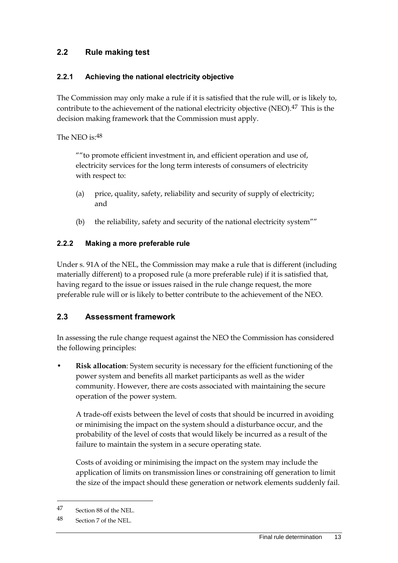## <span id="page-24-0"></span>**2.2 Rule making test**

#### **2.2.1 Achieving the national electricity objective**

The Commission may only make a rule if it is satisfied that the rule will, or is likely to, contribute to the achievement of the national electricity objective (NEO).<sup>47</sup> This is the decision making framework that the Commission must apply.

The NEO is:48

""to promote efficient investment in, and efficient operation and use of, electricity services for the long term interests of consumers of electricity with respect to:

- (a) price, quality, safety, reliability and security of supply of electricity; and
- (b) the reliability, safety and security of the national electricity system""

## **2.2.2 Making a more preferable rule**

Under s. 91A of the NEL, the Commission may make a rule that is different (including materially different) to a proposed rule (a more preferable rule) if it is satisfied that, having regard to the issue or issues raised in the rule change request, the more preferable rule will or is likely to better contribute to the achievement of the NEO.

## <span id="page-24-1"></span>**2.3 Assessment framework**

In assessing the rule change request against the NEO the Commission has considered the following principles:

• **Risk allocation**: System security is necessary for the efficient functioning of the power system and benefits all market participants as well as the wider community. However, there are costs associated with maintaining the secure operation of the power system.

A trade-off exists between the level of costs that should be incurred in avoiding or minimising the impact on the system should a disturbance occur, and the probability of the level of costs that would likely be incurred as a result of the failure to maintain the system in a secure operating state.

Costs of avoiding or minimising the impact on the system may include the application of limits on transmission lines or constraining off generation to limit the size of the impact should these generation or network elements suddenly fail.

<sup>47</sup> Section 88 of the NEL.

<sup>48</sup> Section 7 of the NEL.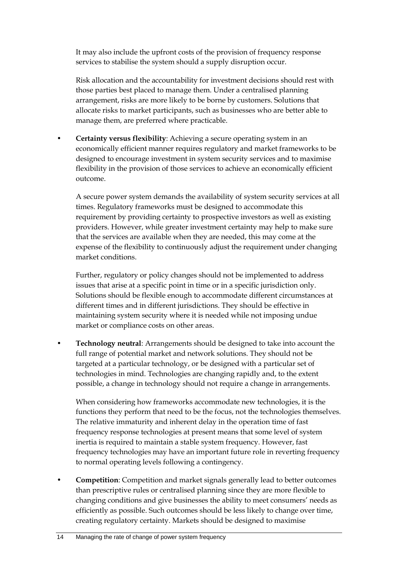It may also include the upfront costs of the provision of frequency response services to stabilise the system should a supply disruption occur.

Risk allocation and the accountability for investment decisions should rest with those parties best placed to manage them. Under a centralised planning arrangement, risks are more likely to be borne by customers. Solutions that allocate risks to market participants, such as businesses who are better able to manage them, are preferred where practicable.

• **Certainty versus flexibility**: Achieving a secure operating system in an economically efficient manner requires regulatory and market frameworks to be designed to encourage investment in system security services and to maximise flexibility in the provision of those services to achieve an economically efficient outcome.

A secure power system demands the availability of system security services at all times. Regulatory frameworks must be designed to accommodate this requirement by providing certainty to prospective investors as well as existing providers. However, while greater investment certainty may help to make sure that the services are available when they are needed, this may come at the expense of the flexibility to continuously adjust the requirement under changing market conditions.

Further, regulatory or policy changes should not be implemented to address issues that arise at a specific point in time or in a specific jurisdiction only. Solutions should be flexible enough to accommodate different circumstances at different times and in different jurisdictions. They should be effective in maintaining system security where it is needed while not imposing undue market or compliance costs on other areas.

• **Technology neutral**: Arrangements should be designed to take into account the full range of potential market and network solutions. They should not be targeted at a particular technology, or be designed with a particular set of technologies in mind. Technologies are changing rapidly and, to the extent possible, a change in technology should not require a change in arrangements.

When considering how frameworks accommodate new technologies, it is the functions they perform that need to be the focus, not the technologies themselves. The relative immaturity and inherent delay in the operation time of fast frequency response technologies at present means that some level of system inertia is required to maintain a stable system frequency. However, fast frequency technologies may have an important future role in reverting frequency to normal operating levels following a contingency.

• **Competition**: Competition and market signals generally lead to better outcomes than prescriptive rules or centralised planning since they are more flexible to changing conditions and give businesses the ability to meet consumers' needs as efficiently as possible. Such outcomes should be less likely to change over time, creating regulatory certainty. Markets should be designed to maximise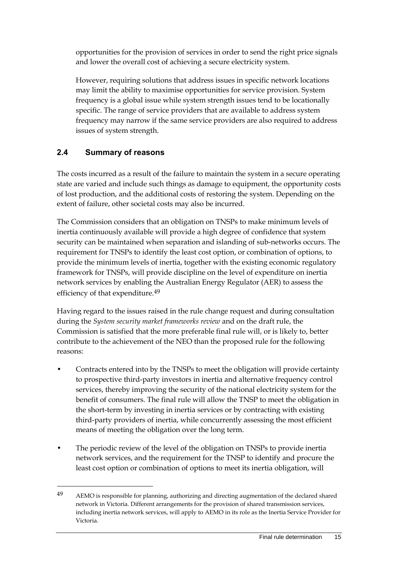opportunities for the provision of services in order to send the right price signals and lower the overall cost of achieving a secure electricity system.

However, requiring solutions that address issues in specific network locations may limit the ability to maximise opportunities for service provision. System frequency is a global issue while system strength issues tend to be locationally specific. The range of service providers that are available to address system frequency may narrow if the same service providers are also required to address issues of system strength.

## <span id="page-26-0"></span>**2.4 Summary of reasons**

<u>.</u>

The costs incurred as a result of the failure to maintain the system in a secure operating state are varied and include such things as damage to equipment, the opportunity costs of lost production, and the additional costs of restoring the system. Depending on the extent of failure, other societal costs may also be incurred.

The Commission considers that an obligation on TNSPs to make minimum levels of inertia continuously available will provide a high degree of confidence that system security can be maintained when separation and islanding of sub-networks occurs. The requirement for TNSPs to identify the least cost option, or combination of options, to provide the minimum levels of inertia, together with the existing economic regulatory framework for TNSPs, will provide discipline on the level of expenditure on inertia network services by enabling the Australian Energy Regulator (AER) to assess the efficiency of that expenditure.<sup>49</sup>

Having regard to the issues raised in the rule change request and during consultation during the *System security market frameworks review* and on the draft rule, the Commission is satisfied that the more preferable final rule will, or is likely to, better contribute to the achievement of the NEO than the proposed rule for the following reasons:

- Contracts entered into by the TNSPs to meet the obligation will provide certainty to prospective third-party investors in inertia and alternative frequency control services, thereby improving the security of the national electricity system for the benefit of consumers. The final rule will allow the TNSP to meet the obligation in the short-term by investing in inertia services or by contracting with existing third-party providers of inertia, while concurrently assessing the most efficient means of meeting the obligation over the long term.
- The periodic review of the level of the obligation on TNSPs to provide inertia network services, and the requirement for the TNSP to identify and procure the least cost option or combination of options to meet its inertia obligation, will

<sup>49</sup> AEMO is responsible for planning, authorizing and directing augmentation of the declared shared network in Victoria. Different arrangements for the provision of shared transmission services, including inertia network services, will apply to AEMO in its role as the Inertia Service Provider for Victoria.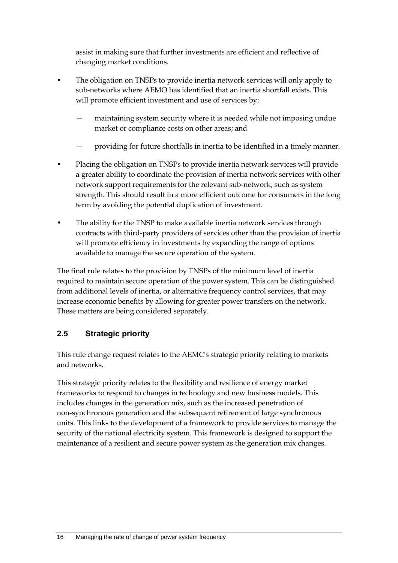assist in making sure that further investments are efficient and reflective of changing market conditions.

- The obligation on TNSPs to provide inertia network services will only apply to sub-networks where AEMO has identified that an inertia shortfall exists. This will promote efficient investment and use of services by:
	- maintaining system security where it is needed while not imposing undue market or compliance costs on other areas; and
	- providing for future shortfalls in inertia to be identified in a timely manner.
- Placing the obligation on TNSPs to provide inertia network services will provide a greater ability to coordinate the provision of inertia network services with other network support requirements for the relevant sub-network, such as system strength. This should result in a more efficient outcome for consumers in the long term by avoiding the potential duplication of investment.
- The ability for the TNSP to make available inertia network services through contracts with third-party providers of services other than the provision of inertia will promote efficiency in investments by expanding the range of options available to manage the secure operation of the system.

The final rule relates to the provision by TNSPs of the minimum level of inertia required to maintain secure operation of the power system. This can be distinguished from additional levels of inertia, or alternative frequency control services, that may increase economic benefits by allowing for greater power transfers on the network. These matters are being considered separately.

## <span id="page-27-0"></span>**2.5 Strategic priority**

This rule change request relates to the AEMC's strategic priority relating to markets and networks.

This strategic priority relates to the flexibility and resilience of energy market frameworks to respond to changes in technology and new business models. This includes changes in the generation mix, such as the increased penetration of non-synchronous generation and the subsequent retirement of large synchronous units. This links to the development of a framework to provide services to manage the security of the national electricity system. This framework is designed to support the maintenance of a resilient and secure power system as the generation mix changes.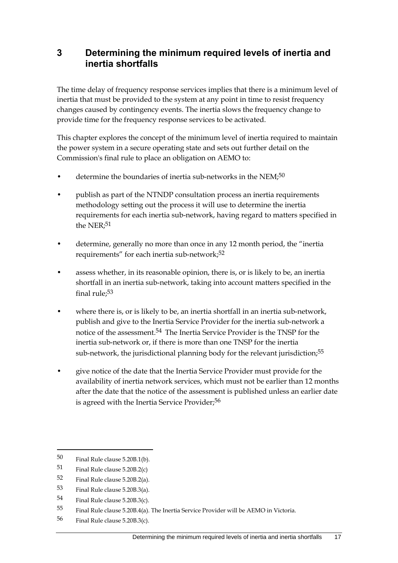## <span id="page-28-0"></span>**3 Determining the minimum required levels of inertia and inertia shortfalls**

The time delay of frequency response services implies that there is a minimum level of inertia that must be provided to the system at any point in time to resist frequency changes caused by contingency events. The inertia slows the frequency change to provide time for the frequency response services to be activated.

This chapter explores the concept of the minimum level of inertia required to maintain the power system in a secure operating state and sets out further detail on the Commission's final rule to place an obligation on AEMO to:

- determine the boundaries of inertia sub-networks in the NEM;<sup>50</sup>
- publish as part of the NTNDP consultation process an inertia requirements methodology setting out the process it will use to determine the inertia requirements for each inertia sub-network, having regard to matters specified in the NER:<sup>51</sup>
- determine, generally no more than once in any 12 month period, the "inertia requirements" for each inertia sub-network;<sup>52</sup>
- assess whether, in its reasonable opinion, there is, or is likely to be, an inertia shortfall in an inertia sub-network, taking into account matters specified in the final rule;53
- where there is, or is likely to be, an inertia shortfall in an inertia sub-network, publish and give to the Inertia Service Provider for the inertia sub-network a notice of the assessment.54 The Inertia Service Provider is the TNSP for the inertia sub-network or, if there is more than one TNSP for the inertia sub-network, the jurisdictional planning body for the relevant jurisdiction;<sup>55</sup>
- give notice of the date that the Inertia Service Provider must provide for the availability of inertia network services, which must not be earlier than 12 months after the date that the notice of the assessment is published unless an earlier date is agreed with the Inertia Service Provider;<sup>56</sup>

<sup>50</sup> Final Rule clause 5.20B.1(b).

<sup>51</sup> Final Rule clause 5.20B.2(c)

<sup>52</sup> Final Rule clause 5.20B.2(a).

<sup>53</sup> Final Rule clause 5.20B.3(a).

<sup>54</sup> Final Rule clause 5.20B.3(c).

<sup>55</sup> Final Rule clause 5.20B.4(a). The Inertia Service Provider will be AEMO in Victoria.

<sup>56</sup> Final Rule clause 5.20B.3(c).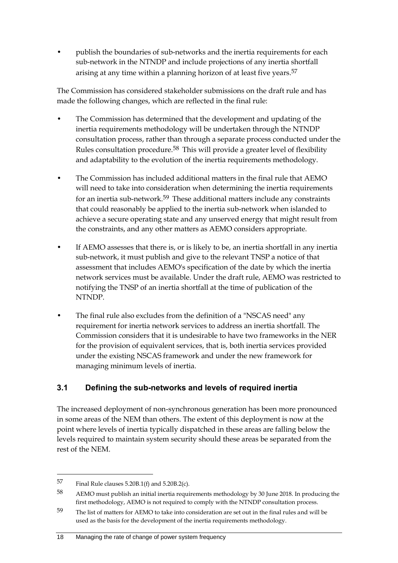• publish the boundaries of sub-networks and the inertia requirements for each sub-network in the NTNDP and include projections of any inertia shortfall arising at any time within a planning horizon of at least five years.<sup>57</sup>

The Commission has considered stakeholder submissions on the draft rule and has made the following changes, which are reflected in the final rule:

- The Commission has determined that the development and updating of the inertia requirements methodology will be undertaken through the NTNDP consultation process, rather than through a separate process conducted under the Rules consultation procedure.58 This will provide a greater level of flexibility and adaptability to the evolution of the inertia requirements methodology.
- The Commission has included additional matters in the final rule that AEMO will need to take into consideration when determining the inertia requirements for an inertia sub-network.<sup>59</sup> These additional matters include any constraints that could reasonably be applied to the inertia sub-network when islanded to achieve a secure operating state and any unserved energy that might result from the constraints, and any other matters as AEMO considers appropriate.
- If AEMO assesses that there is, or is likely to be, an inertia shortfall in any inertia sub-network, it must publish and give to the relevant TNSP a notice of that assessment that includes AEMO's specification of the date by which the inertia network services must be available. Under the draft rule, AEMO was restricted to notifying the TNSP of an inertia shortfall at the time of publication of the NTNDP.
- The final rule also excludes from the definition of a "NSCAS need" any requirement for inertia network services to address an inertia shortfall. The Commission considers that it is undesirable to have two frameworks in the NER for the provision of equivalent services, that is, both inertia services provided under the existing NSCAS framework and under the new framework for managing minimum levels of inertia.

## <span id="page-29-0"></span>**3.1 Defining the sub-networks and levels of required inertia**

The increased deployment of non-synchronous generation has been more pronounced in some areas of the NEM than others. The extent of this deployment is now at the point where levels of inertia typically dispatched in these areas are falling below the levels required to maintain system security should these areas be separated from the rest of the NEM.

<sup>57</sup> Final Rule clauses 5.20B.1(f) and 5.20B.2(c).

<sup>58</sup> AEMO must publish an initial inertia requirements methodology by 30 June 2018. In producing the first methodology, AEMO is not required to comply with the NTNDP consultation process.

<sup>59</sup> The list of matters for AEMO to take into consideration are set out in the final rules and will be used as the basis for the development of the inertia requirements methodology.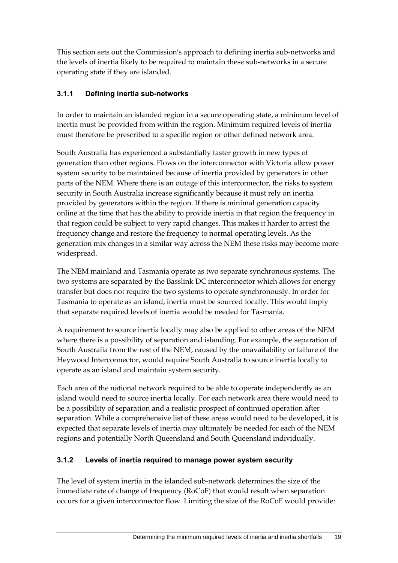This section sets out the Commission's approach to defining inertia sub-networks and the levels of inertia likely to be required to maintain these sub-networks in a secure operating state if they are islanded.

### **3.1.1 Defining inertia sub-networks**

In order to maintain an islanded region in a secure operating state, a minimum level of inertia must be provided from within the region. Minimum required levels of inertia must therefore be prescribed to a specific region or other defined network area.

South Australia has experienced a substantially faster growth in new types of generation than other regions. Flows on the interconnector with Victoria allow power system security to be maintained because of inertia provided by generators in other parts of the NEM. Where there is an outage of this interconnector, the risks to system security in South Australia increase significantly because it must rely on inertia provided by generators within the region. If there is minimal generation capacity online at the time that has the ability to provide inertia in that region the frequency in that region could be subject to very rapid changes. This makes it harder to arrest the frequency change and restore the frequency to normal operating levels. As the generation mix changes in a similar way across the NEM these risks may become more widespread.

The NEM mainland and Tasmania operate as two separate synchronous systems. The two systems are separated by the Basslink DC interconnector which allows for energy transfer but does not require the two systems to operate synchronously. In order for Tasmania to operate as an island, inertia must be sourced locally. This would imply that separate required levels of inertia would be needed for Tasmania.

A requirement to source inertia locally may also be applied to other areas of the NEM where there is a possibility of separation and islanding. For example, the separation of South Australia from the rest of the NEM, caused by the unavailability or failure of the Heywood Interconnector, would require South Australia to source inertia locally to operate as an island and maintain system security.

Each area of the national network required to be able to operate independently as an island would need to source inertia locally. For each network area there would need to be a possibility of separation and a realistic prospect of continued operation after separation. While a comprehensive list of these areas would need to be developed, it is expected that separate levels of inertia may ultimately be needed for each of the NEM regions and potentially North Queensland and South Queensland individually.

## **3.1.2 Levels of inertia required to manage power system security**

The level of system inertia in the islanded sub-network determines the size of the immediate rate of change of frequency (RoCoF) that would result when separation occurs for a given interconnector flow. Limiting the size of the RoCoF would provide: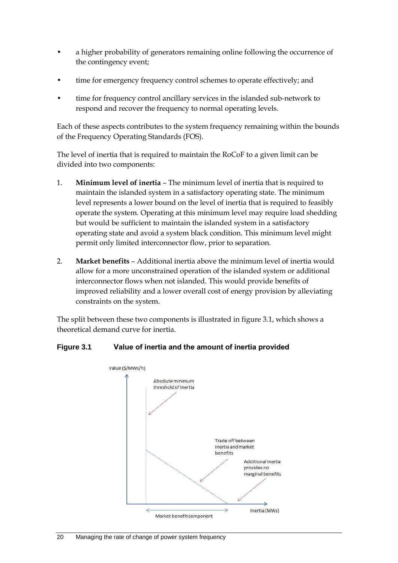- a higher probability of generators remaining online following the occurrence of the contingency event;
- time for emergency frequency control schemes to operate effectively; and
- time for frequency control ancillary services in the islanded sub-network to respond and recover the frequency to normal operating levels.

Each of these aspects contributes to the system frequency remaining within the bounds of the Frequency Operating Standards (FOS).

The level of inertia that is required to maintain the RoCoF to a given limit can be divided into two components:

- 1. **Minimum level of inertia** The minimum level of inertia that is required to maintain the islanded system in a satisfactory operating state. The minimum level represents a lower bound on the level of inertia that is required to feasibly operate the system. Operating at this minimum level may require load shedding but would be sufficient to maintain the islanded system in a satisfactory operating state and avoid a system black condition. This minimum level might permit only limited interconnector flow, prior to separation.
- 2. **Market benefits** Additional inertia above the minimum level of inertia would allow for a more unconstrained operation of the islanded system or additional interconnector flows when not islanded. This would provide benefits of improved reliability and a lower overall cost of energy provision by alleviating constraints on the system.

The split between these two components is illustrated in figure 3.1, which shows a theoretical demand curve for inertia.

#### **Figure 3.1 Value of inertia and the amount of inertia provided**

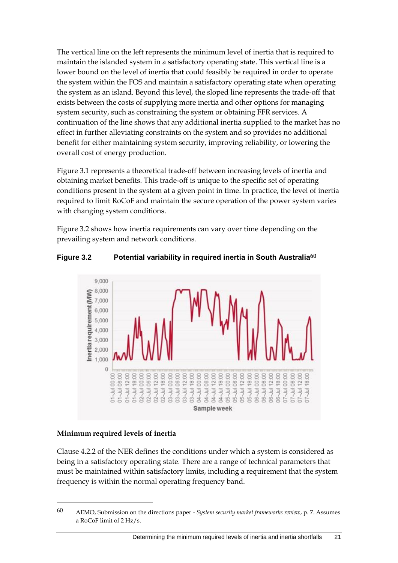The vertical line on the left represents the minimum level of inertia that is required to maintain the islanded system in a satisfactory operating state. This vertical line is a lower bound on the level of inertia that could feasibly be required in order to operate the system within the FOS and maintain a satisfactory operating state when operating the system as an island. Beyond this level, the sloped line represents the trade-off that exists between the costs of supplying more inertia and other options for managing system security, such as constraining the system or obtaining FFR services. A continuation of the line shows that any additional inertia supplied to the market has no effect in further alleviating constraints on the system and so provides no additional benefit for either maintaining system security, improving reliability, or lowering the overall cost of energy production.

Figure 3.1 represents a theoretical trade-off between increasing levels of inertia and obtaining market benefits. This trade-off is unique to the specific set of operating conditions present in the system at a given point in time. In practice, the level of inertia required to limit RoCoF and maintain the secure operation of the power system varies with changing system conditions.

Figure 3.2 shows how inertia requirements can vary over time depending on the prevailing system and network conditions.

#### **Figure 3.2 Potential variability in required inertia in South Australia60**



#### **Minimum required levels of inertia**

1

Clause 4.2.2 of the NER defines the conditions under which a system is considered as being in a satisfactory operating state. There are a range of technical parameters that must be maintained within satisfactory limits, including a requirement that the system frequency is within the normal operating frequency band.

<sup>60</sup> AEMO, Submission on the directions paper - *System security market frameworks review*, p. 7. Assumes a RoCoF limit of 2 Hz/s.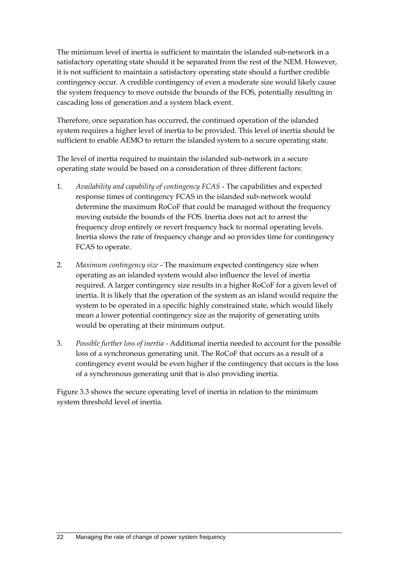The minimum level of inertia is sufficient to maintain the islanded sub-network in a satisfactory operating state should it be separated from the rest of the NEM. However, it is not sufficient to maintain a satisfactory operating state should a further credible contingency occur. A credible contingency of even a moderate size would likely cause the system frequency to move outside the bounds of the FOS, potentially resulting in cascading loss of generation and a system black event.

Therefore, once separation has occurred, the continued operation of the islanded system requires a higher level of inertia to be provided. This level of inertia should be sufficient to enable AEMO to return the islanded system to a secure operating state.

The level of inertia required to maintain the islanded sub-network in a secure operating state would be based on a consideration of three different factors:

- 1. *Availability and capability of contingency FCAS* The capabilities and expected response times of contingency FCAS in the islanded sub-network would determine the maximum RoCoF that could be managed without the frequency moving outside the bounds of the FOS. Inertia does not act to arrest the frequency drop entirely or revert frequency back to normal operating levels. Inertia slows the rate of frequency change and so provides time for contingency FCAS to operate.
- 2. *Maximum contingency size* The maximum expected contingency size when operating as an islanded system would also influence the level of inertia required. A larger contingency size results in a higher RoCoF for a given level of inertia. It is likely that the operation of the system as an island would require the system to be operated in a specific highly constrained state, which would likely mean a lower potential contingency size as the majority of generating units would be operating at their minimum output.
- 3. *Possible further loss of inertia* Additional inertia needed to account for the possible loss of a synchronous generating unit. The RoCoF that occurs as a result of a contingency event would be even higher if the contingency that occurs is the loss of a synchronous generating unit that is also providing inertia.

Figure 3.3 shows the secure operating level of inertia in relation to the minimum system threshold level of inertia.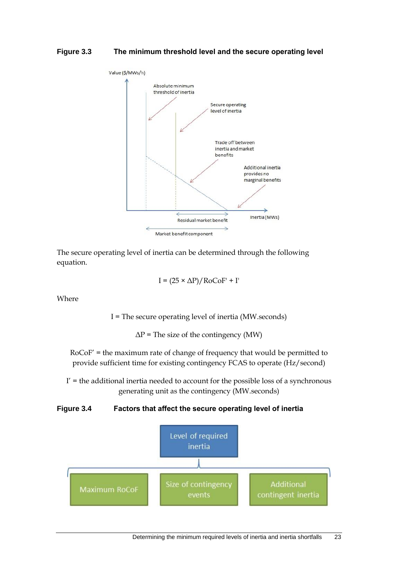#### **Figure 3.3 The minimum threshold level and the secure operating level**



The secure operating level of inertia can be determined through the following equation.

$$
I = (25 \times \Delta P) / \text{RoCoF'} + I'
$$

Where

I = The secure operating level of inertia (MW.seconds)

 $\Delta P$  = The size of the contingency (MW)

RoCoF' = the maximum rate of change of frequency that would be permitted to provide sufficient time for existing contingency FCAS to operate (Hz/second)

 $I'$  = the additional inertia needed to account for the possible loss of a synchronous generating unit as the contingency (MW.seconds)

#### **Figure 3.4 Factors that affect the secure operating level of inertia**

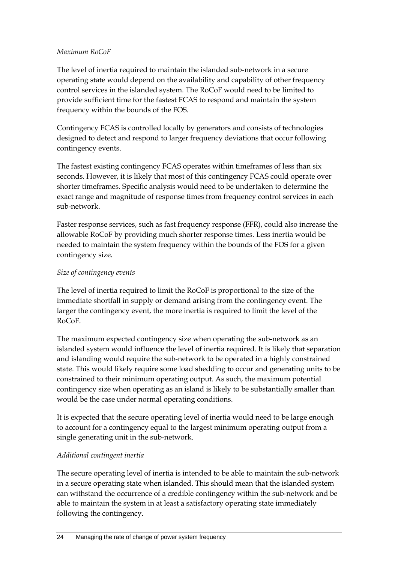#### *Maximum RoCoF*

The level of inertia required to maintain the islanded sub-network in a secure operating state would depend on the availability and capability of other frequency control services in the islanded system. The RoCoF would need to be limited to provide sufficient time for the fastest FCAS to respond and maintain the system frequency within the bounds of the FOS.

Contingency FCAS is controlled locally by generators and consists of technologies designed to detect and respond to larger frequency deviations that occur following contingency events.

The fastest existing contingency FCAS operates within timeframes of less than six seconds. However, it is likely that most of this contingency FCAS could operate over shorter timeframes. Specific analysis would need to be undertaken to determine the exact range and magnitude of response times from frequency control services in each sub-network.

Faster response services, such as fast frequency response (FFR), could also increase the allowable RoCoF by providing much shorter response times. Less inertia would be needed to maintain the system frequency within the bounds of the FOS for a given contingency size.

#### *Size of contingency events*

The level of inertia required to limit the RoCoF is proportional to the size of the immediate shortfall in supply or demand arising from the contingency event. The larger the contingency event, the more inertia is required to limit the level of the RoCoF.

The maximum expected contingency size when operating the sub-network as an islanded system would influence the level of inertia required. It is likely that separation and islanding would require the sub-network to be operated in a highly constrained state. This would likely require some load shedding to occur and generating units to be constrained to their minimum operating output. As such, the maximum potential contingency size when operating as an island is likely to be substantially smaller than would be the case under normal operating conditions.

It is expected that the secure operating level of inertia would need to be large enough to account for a contingency equal to the largest minimum operating output from a single generating unit in the sub-network.

#### *Additional contingent inertia*

The secure operating level of inertia is intended to be able to maintain the sub-network in a secure operating state when islanded. This should mean that the islanded system can withstand the occurrence of a credible contingency within the sub-network and be able to maintain the system in at least a satisfactory operating state immediately following the contingency.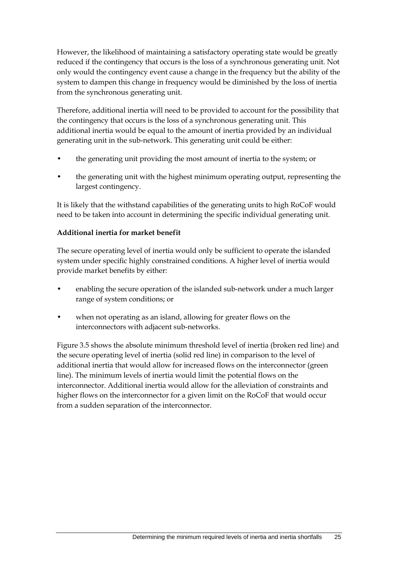However, the likelihood of maintaining a satisfactory operating state would be greatly reduced if the contingency that occurs is the loss of a synchronous generating unit. Not only would the contingency event cause a change in the frequency but the ability of the system to dampen this change in frequency would be diminished by the loss of inertia from the synchronous generating unit.

Therefore, additional inertia will need to be provided to account for the possibility that the contingency that occurs is the loss of a synchronous generating unit. This additional inertia would be equal to the amount of inertia provided by an individual generating unit in the sub-network. This generating unit could be either:

- the generating unit providing the most amount of inertia to the system; or
- the generating unit with the highest minimum operating output, representing the largest contingency.

It is likely that the withstand capabilities of the generating units to high RoCoF would need to be taken into account in determining the specific individual generating unit.

### **Additional inertia for market benefit**

The secure operating level of inertia would only be sufficient to operate the islanded system under specific highly constrained conditions. A higher level of inertia would provide market benefits by either:

- enabling the secure operation of the islanded sub-network under a much larger range of system conditions; or
- when not operating as an island, allowing for greater flows on the interconnectors with adjacent sub-networks.

Figure 3.5 shows the absolute minimum threshold level of inertia (broken red line) and the secure operating level of inertia (solid red line) in comparison to the level of additional inertia that would allow for increased flows on the interconnector (green line). The minimum levels of inertia would limit the potential flows on the interconnector. Additional inertia would allow for the alleviation of constraints and higher flows on the interconnector for a given limit on the RoCoF that would occur from a sudden separation of the interconnector.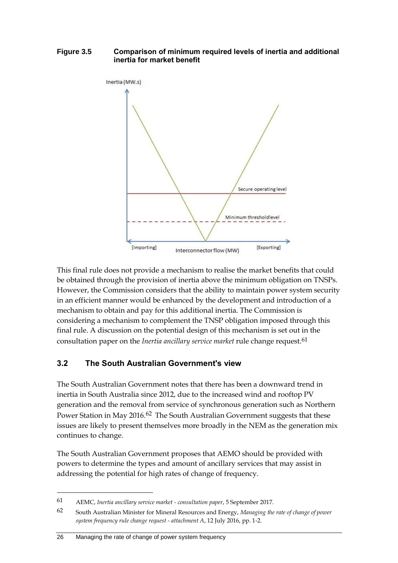#### **Figure 3.5 Comparison of minimum required levels of inertia and additional inertia for market benefit**



This final rule does not provide a mechanism to realise the market benefits that could be obtained through the provision of inertia above the minimum obligation on TNSPs. However, the Commission considers that the ability to maintain power system security in an efficient manner would be enhanced by the development and introduction of a mechanism to obtain and pay for this additional inertia. The Commission is considering a mechanism to complement the TNSP obligation imposed through this final rule. A discussion on the potential design of this mechanism is set out in the consultation paper on the *Inertia ancillary service market* rule change request.61

# **3.2 The South Australian Government's view**

The South Australian Government notes that there has been a downward trend in inertia in South Australia since 2012, due to the increased wind and rooftop PV generation and the removal from service of synchronous generation such as Northern Power Station in May 2016.<sup>62</sup> The South Australian Government suggests that these issues are likely to present themselves more broadly in the NEM as the generation mix continues to change.

The South Australian Government proposes that AEMO should be provided with powers to determine the types and amount of ancillary services that may assist in addressing the potential for high rates of change of frequency.

<sup>61</sup> AEMC, *Inertia ancillary service market - consultation paper*, 5 September 2017.

<sup>62</sup> South Australian Minister for Mineral Resources and Energy, *Managing the rate of change of power system frequency rule change request - attachment A*, 12 July 2016, pp. 1-2.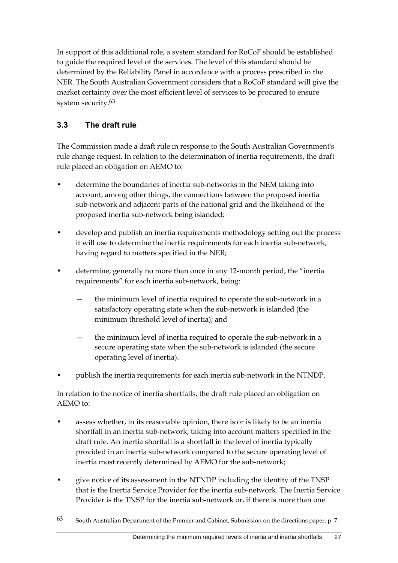In support of this additional role, a system standard for RoCoF should be established to guide the required level of the services. The level of this standard should be determined by the Reliability Panel in accordance with a process prescribed in the NER. The South Australian Government considers that a RoCoF standard will give the market certainty over the most efficient level of services to be procured to ensure system security.63

# **3.3 The draft rule**

1

The Commission made a draft rule in response to the South Australian Government's rule change request. In relation to the determination of inertia requirements, the draft rule placed an obligation on AEMO to:

- determine the boundaries of inertia sub-networks in the NEM taking into account, among other things, the connections between the proposed inertia sub-network and adjacent parts of the national grid and the likelihood of the proposed inertia sub-network being islanded;
- develop and publish an inertia requirements methodology setting out the process it will use to determine the inertia requirements for each inertia sub-network, having regard to matters specified in the NER;
- determine, generally no more than once in any 12-month period, the "inertia requirements" for each inertia sub-network, being:
	- the minimum level of inertia required to operate the sub-network in a satisfactory operating state when the sub-network is islanded (the minimum threshold level of inertia); and
	- the minimum level of inertia required to operate the sub-network in a secure operating state when the sub-network is islanded (the secure operating level of inertia).
- publish the inertia requirements for each inertia sub-network in the NTNDP.

In relation to the notice of inertia shortfalls, the draft rule placed an obligation on AEMO to:

- assess whether, in its reasonable opinion, there is or is likely to be an inertia shortfall in an inertia sub-network, taking into account matters specified in the draft rule. An inertia shortfall is a shortfall in the level of inertia typically provided in an inertia sub-network compared to the secure operating level of inertia most recently determined by AEMO for the sub-network;
- give notice of its assessment in the NTNDP including the identity of the TNSP that is the Inertia Service Provider for the inertia sub-network. The Inertia Service Provider is the TNSP for the inertia sub-network or, if there is more than one

<sup>63</sup> South Australian Department of the Premier and Cabinet, Submission on the directions paper, p. 7.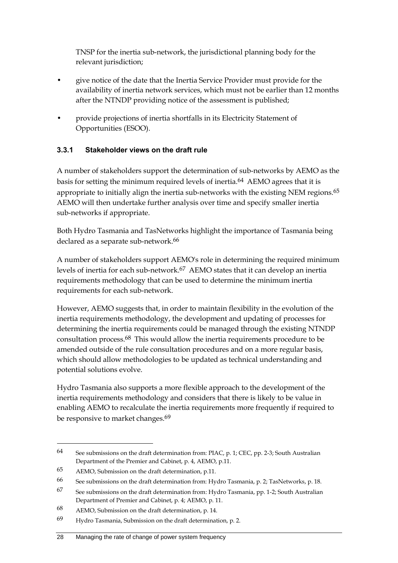TNSP for the inertia sub-network, the jurisdictional planning body for the relevant jurisdiction;

- give notice of the date that the Inertia Service Provider must provide for the availability of inertia network services, which must not be earlier than 12 months after the NTNDP providing notice of the assessment is published;
- provide projections of inertia shortfalls in its Electricity Statement of Opportunities (ESOO).

## **3.3.1 Stakeholder views on the draft rule**

A number of stakeholders support the determination of sub-networks by AEMO as the basis for setting the minimum required levels of inertia.64 AEMO agrees that it is appropriate to initially align the inertia sub-networks with the existing NEM regions.<sup>65</sup> AEMO will then undertake further analysis over time and specify smaller inertia sub-networks if appropriate.

Both Hydro Tasmania and TasNetworks highlight the importance of Tasmania being declared as a separate sub-network.<sup>66</sup>

A number of stakeholders support AEMO's role in determining the required minimum levels of inertia for each sub-network.67 AEMO states that it can develop an inertia requirements methodology that can be used to determine the minimum inertia requirements for each sub-network.

However, AEMO suggests that, in order to maintain flexibility in the evolution of the inertia requirements methodology, the development and updating of processes for determining the inertia requirements could be managed through the existing NTNDP consultation process.68 This would allow the inertia requirements procedure to be amended outside of the rule consultation procedures and on a more regular basis, which should allow methodologies to be updated as technical understanding and potential solutions evolve.

Hydro Tasmania also supports a more flexible approach to the development of the inertia requirements methodology and considers that there is likely to be value in enabling AEMO to recalculate the inertia requirements more frequently if required to be responsive to market changes.<sup>69</sup>

<sup>64</sup> See submissions on the draft determination from: PIAC, p. 1; CEC, pp. 2-3; South Australian Department of the Premier and Cabinet, p. 4, AEMO, p.11.

<sup>65</sup> AEMO, Submission on the draft determination, p.11.

<sup>66</sup> See submissions on the draft determination from: Hydro Tasmania, p. 2; TasNetworks, p. 18.

<sup>67</sup> See submissions on the draft determination from: Hydro Tasmania, pp. 1-2; South Australian Department of Premier and Cabinet, p. 4; AEMO, p. 11.

<sup>68</sup> AEMO, Submission on the draft determination, p. 14.

<sup>69</sup> Hydro Tasmania, Submission on the draft determination, p. 2.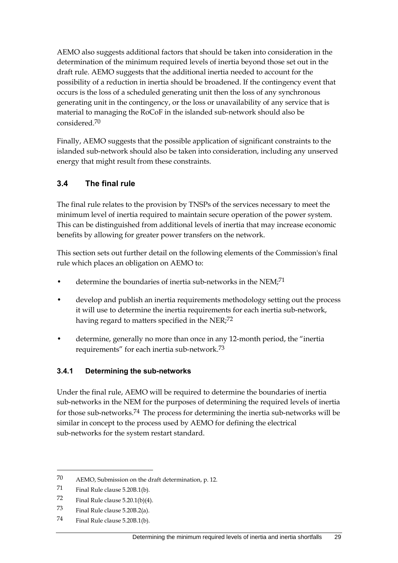AEMO also suggests additional factors that should be taken into consideration in the determination of the minimum required levels of inertia beyond those set out in the draft rule. AEMO suggests that the additional inertia needed to account for the possibility of a reduction in inertia should be broadened. If the contingency event that occurs is the loss of a scheduled generating unit then the loss of any synchronous generating unit in the contingency, or the loss or unavailability of any service that is material to managing the RoCoF in the islanded sub-network should also be considered.70

Finally, AEMO suggests that the possible application of significant constraints to the islanded sub-network should also be taken into consideration, including any unserved energy that might result from these constraints.

# **3.4 The final rule**

The final rule relates to the provision by TNSPs of the services necessary to meet the minimum level of inertia required to maintain secure operation of the power system. This can be distinguished from additional levels of inertia that may increase economic benefits by allowing for greater power transfers on the network.

This section sets out further detail on the following elements of the Commission's final rule which places an obligation on AEMO to:

- determine the boundaries of inertia sub-networks in the NEM;<sup>71</sup>
- develop and publish an inertia requirements methodology setting out the process it will use to determine the inertia requirements for each inertia sub-network, having regard to matters specified in the NER;<sup>72</sup>
- determine, generally no more than once in any 12-month period, the "inertia requirements" for each inertia sub-network.73

### **3.4.1 Determining the sub-networks**

Under the final rule, AEMO will be required to determine the boundaries of inertia sub-networks in the NEM for the purposes of determining the required levels of inertia for those sub-networks.74 The process for determining the inertia sub-networks will be similar in concept to the process used by AEMO for defining the electrical sub-networks for the system restart standard.

<sup>70</sup> AEMO, Submission on the draft determination, p. 12.

<sup>71</sup> Final Rule clause 5.20B.1(b).

<sup>72</sup> Final Rule clause  $5.20.1(b)(4)$ .

<sup>73</sup> Final Rule clause 5.20B.2(a).

<sup>74</sup> Final Rule clause 5.20B.1(b).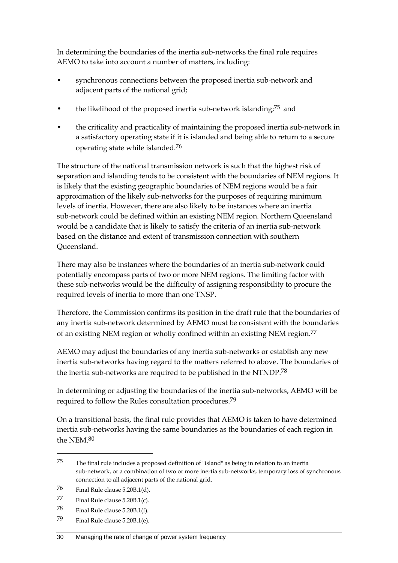In determining the boundaries of the inertia sub-networks the final rule requires AEMO to take into account a number of matters, including:

- synchronous connections between the proposed inertia sub-network and adjacent parts of the national grid;
- the likelihood of the proposed inertia sub-network islanding;75 and
- the criticality and practicality of maintaining the proposed inertia sub-network in a satisfactory operating state if it is islanded and being able to return to a secure operating state while islanded.76

The structure of the national transmission network is such that the highest risk of separation and islanding tends to be consistent with the boundaries of NEM regions. It is likely that the existing geographic boundaries of NEM regions would be a fair approximation of the likely sub-networks for the purposes of requiring minimum levels of inertia. However, there are also likely to be instances where an inertia sub-network could be defined within an existing NEM region. Northern Queensland would be a candidate that is likely to satisfy the criteria of an inertia sub-network based on the distance and extent of transmission connection with southern Queensland.

There may also be instances where the boundaries of an inertia sub-network could potentially encompass parts of two or more NEM regions. The limiting factor with these sub-networks would be the difficulty of assigning responsibility to procure the required levels of inertia to more than one TNSP.

Therefore, the Commission confirms its position in the draft rule that the boundaries of any inertia sub-network determined by AEMO must be consistent with the boundaries of an existing NEM region or wholly confined within an existing NEM region.77

AEMO may adjust the boundaries of any inertia sub-networks or establish any new inertia sub-networks having regard to the matters referred to above. The boundaries of the inertia sub-networks are required to be published in the NTNDP.78

In determining or adjusting the boundaries of the inertia sub-networks, AEMO will be required to follow the Rules consultation procedures.79

On a transitional basis, the final rule provides that AEMO is taken to have determined inertia sub-networks having the same boundaries as the boundaries of each region in the NEM.80

<sup>75</sup> The final rule includes a proposed definition of "island" as being in relation to an inertia sub-network, or a combination of two or more inertia sub-networks, temporary loss of synchronous connection to all adjacent parts of the national grid.

<sup>76</sup> Final Rule clause 5.20B.1(d).

<sup>77</sup> Final Rule clause  $5.20B.1(c)$ .

<sup>78</sup> Final Rule clause 5.20B.1(f).

<sup>79</sup> Final Rule clause 5.20B.1(e).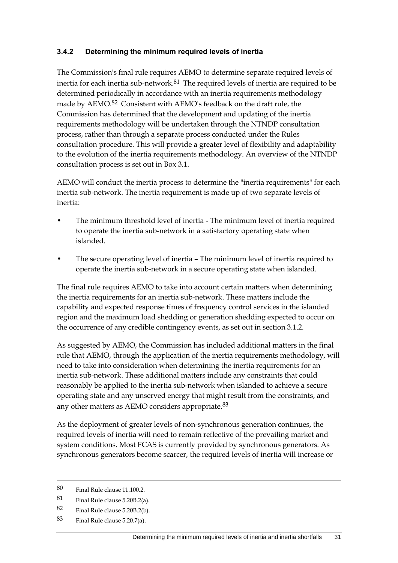#### **3.4.2 Determining the minimum required levels of inertia**

The Commission's final rule requires AEMO to determine separate required levels of inertia for each inertia sub-network.<sup>81</sup> The required levels of inertia are required to be determined periodically in accordance with an inertia requirements methodology made by AEMO.<sup>82</sup> Consistent with AEMO's feedback on the draft rule, the Commission has determined that the development and updating of the inertia requirements methodology will be undertaken through the NTNDP consultation process, rather than through a separate process conducted under the Rules consultation procedure. This will provide a greater level of flexibility and adaptability to the evolution of the inertia requirements methodology. An overview of the NTNDP consultation process is set out in Box 3.1.

AEMO will conduct the inertia process to determine the "inertia requirements" for each inertia sub-network. The inertia requirement is made up of two separate levels of inertia:

- The minimum threshold level of inertia The minimum level of inertia required to operate the inertia sub-network in a satisfactory operating state when islanded.
- The secure operating level of inertia The minimum level of inertia required to operate the inertia sub-network in a secure operating state when islanded.

The final rule requires AEMO to take into account certain matters when determining the inertia requirements for an inertia sub-network. These matters include the capability and expected response times of frequency control services in the islanded region and the maximum load shedding or generation shedding expected to occur on the occurrence of any credible contingency events, as set out in section 3.1.2.

As suggested by AEMO, the Commission has included additional matters in the final rule that AEMO, through the application of the inertia requirements methodology, will need to take into consideration when determining the inertia requirements for an inertia sub-network. These additional matters include any constraints that could reasonably be applied to the inertia sub-network when islanded to achieve a secure operating state and any unserved energy that might result from the constraints, and any other matters as AEMO considers appropriate.<sup>83</sup>

As the deployment of greater levels of non-synchronous generation continues, the required levels of inertia will need to remain reflective of the prevailing market and system conditions. Most FCAS is currently provided by synchronous generators. As synchronous generators become scarcer, the required levels of inertia will increase or

- 82 Final Rule clause 5.20B.2(b).
- 83 Final Rule clause 5.20.7(a).

<sup>80</sup> Final Rule clause 11.100.2.

<sup>81</sup> Final Rule clause 5.20B.2(a).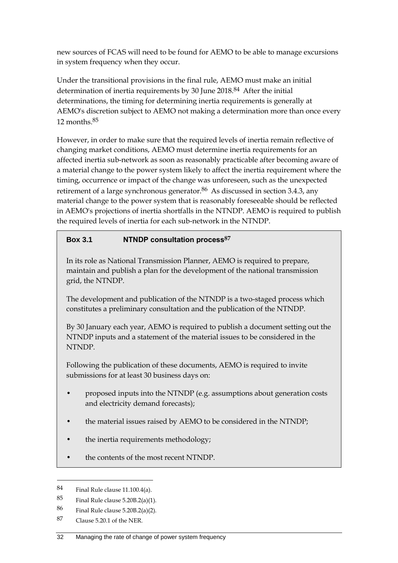new sources of FCAS will need to be found for AEMO to be able to manage excursions in system frequency when they occur.

Under the transitional provisions in the final rule, AEMO must make an initial determination of inertia requirements by 30 June 2018.84 After the initial determinations, the timing for determining inertia requirements is generally at AEMO's discretion subject to AEMO not making a determination more than once every 12 months.85

However, in order to make sure that the required levels of inertia remain reflective of changing market conditions, AEMO must determine inertia requirements for an affected inertia sub-network as soon as reasonably practicable after becoming aware of a material change to the power system likely to affect the inertia requirement where the timing, occurrence or impact of the change was unforeseen, such as the unexpected retirement of a large synchronous generator.<sup>86</sup> As discussed in section 3.4.3, any material change to the power system that is reasonably foreseeable should be reflected in AEMO's projections of inertia shortfalls in the NTNDP. AEMO is required to publish the required levels of inertia for each sub-network in the NTNDP.

## **Box 3.1 NTNDP consultation process87**

In its role as National Transmission Planner, AEMO is required to prepare, maintain and publish a plan for the development of the national transmission grid, the NTNDP.

The development and publication of the NTNDP is a two-staged process which constitutes a preliminary consultation and the publication of the NTNDP.

By 30 January each year, AEMO is required to publish a document setting out the NTNDP inputs and a statement of the material issues to be considered in the NTNDP.

Following the publication of these documents, AEMO is required to invite submissions for at least 30 business days on:

- proposed inputs into the NTNDP (e.g. assumptions about generation costs and electricity demand forecasts);
- the material issues raised by AEMO to be considered in the NTNDP;
- the inertia requirements methodology;
- the contents of the most recent NTNDP.

<sup>84</sup> Final Rule clause 11.100.4(a).

<sup>85</sup> Final Rule clause 5.20B.2(a)(1).

<sup>86</sup> Final Rule clause 5.20B.2(a)(2).

<sup>87</sup> Clause 5.20.1 of the NER.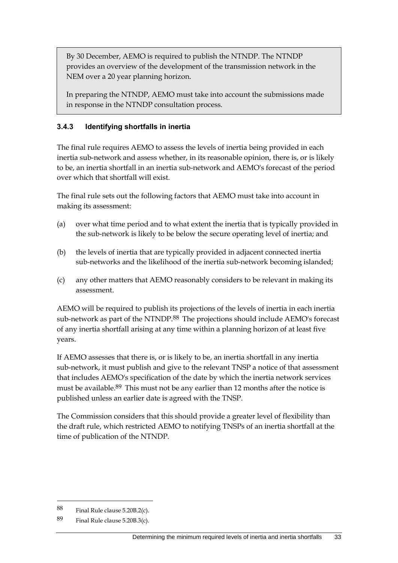By 30 December, AEMO is required to publish the NTNDP. The NTNDP provides an overview of the development of the transmission network in the NEM over a 20 year planning horizon.

In preparing the NTNDP, AEMO must take into account the submissions made in response in the NTNDP consultation process.

## **3.4.3 Identifying shortfalls in inertia**

The final rule requires AEMO to assess the levels of inertia being provided in each inertia sub-network and assess whether, in its reasonable opinion, there is, or is likely to be, an inertia shortfall in an inertia sub-network and AEMO's forecast of the period over which that shortfall will exist.

The final rule sets out the following factors that AEMO must take into account in making its assessment:

- (a) over what time period and to what extent the inertia that is typically provided in the sub-network is likely to be below the secure operating level of inertia; and
- (b) the levels of inertia that are typically provided in adjacent connected inertia sub-networks and the likelihood of the inertia sub-network becoming islanded;
- (c) any other matters that AEMO reasonably considers to be relevant in making its assessment.

AEMO will be required to publish its projections of the levels of inertia in each inertia sub-network as part of the NTNDP.<sup>88</sup> The projections should include AEMO's forecast of any inertia shortfall arising at any time within a planning horizon of at least five years.

If AEMO assesses that there is, or is likely to be, an inertia shortfall in any inertia sub-network, it must publish and give to the relevant TNSP a notice of that assessment that includes AEMO's specification of the date by which the inertia network services must be available.<sup>89</sup> This must not be any earlier than 12 months after the notice is published unless an earlier date is agreed with the TNSP.

The Commission considers that this should provide a greater level of flexibility than the draft rule, which restricted AEMO to notifying TNSPs of an inertia shortfall at the time of publication of the NTNDP.

<sup>88</sup> Final Rule clause  $5.20B.2(c)$ .

<sup>89</sup> Final Rule clause 5.20B.3(c).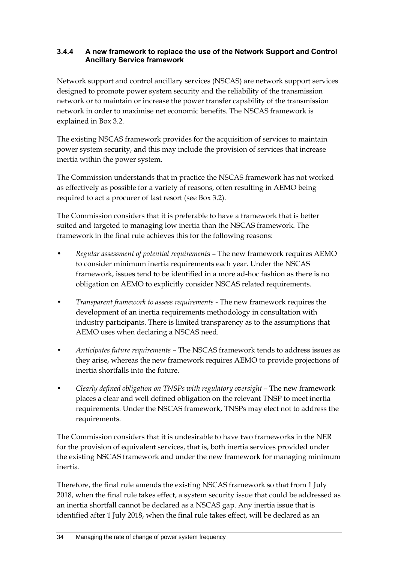#### **3.4.4 A new framework to replace the use of the Network Support and Control Ancillary Service framework**

Network support and control ancillary services (NSCAS) are network support services designed to promote power system security and the reliability of the transmission network or to maintain or increase the power transfer capability of the transmission network in order to maximise net economic benefits. The NSCAS framework is explained in Box 3.2.

The existing NSCAS framework provides for the acquisition of services to maintain power system security, and this may include the provision of services that increase inertia within the power system.

The Commission understands that in practice the NSCAS framework has not worked as effectively as possible for a variety of reasons, often resulting in AEMO being required to act a procurer of last resort (see Box 3.2).

The Commission considers that it is preferable to have a framework that is better suited and targeted to managing low inertia than the NSCAS framework. The framework in the final rule achieves this for the following reasons:

- *Regular assessment of potential requirement*s The new framework requires AEMO to consider minimum inertia requirements each year. Under the NSCAS framework, issues tend to be identified in a more ad-hoc fashion as there is no obligation on AEMO to explicitly consider NSCAS related requirements.
- *Transparent framework to assess requirements* The new framework requires the development of an inertia requirements methodology in consultation with industry participants. There is limited transparency as to the assumptions that AEMO uses when declaring a NSCAS need.
- *Anticipates future requirements* The NSCAS framework tends to address issues as they arise, whereas the new framework requires AEMO to provide projections of inertia shortfalls into the future.
- *Clearly defined obligation on TNSPs with regulatory oversight* The new framework places a clear and well defined obligation on the relevant TNSP to meet inertia requirements. Under the NSCAS framework, TNSPs may elect not to address the requirements.

The Commission considers that it is undesirable to have two frameworks in the NER for the provision of equivalent services, that is, both inertia services provided under the existing NSCAS framework and under the new framework for managing minimum inertia.

Therefore, the final rule amends the existing NSCAS framework so that from 1 July 2018, when the final rule takes effect, a system security issue that could be addressed as an inertia shortfall cannot be declared as a NSCAS gap. Any inertia issue that is identified after 1 July 2018, when the final rule takes effect, will be declared as an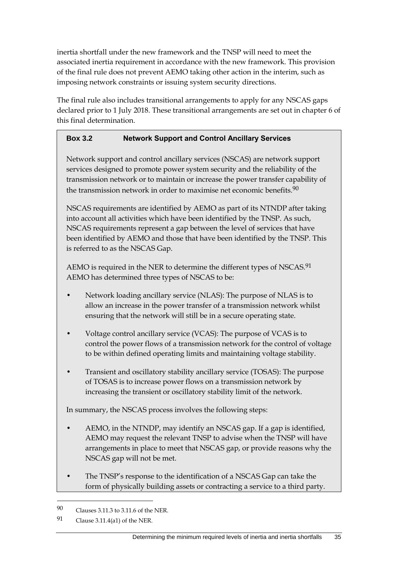inertia shortfall under the new framework and the TNSP will need to meet the associated inertia requirement in accordance with the new framework. This provision of the final rule does not prevent AEMO taking other action in the interim, such as imposing network constraints or issuing system security directions.

The final rule also includes transitional arrangements to apply for any NSCAS gaps declared prior to 1 July 2018. These transitional arrangements are set out in chapter 6 of this final determination.

## **Box 3.2 Network Support and Control Ancillary Services**

Network support and control ancillary services (NSCAS) are network support services designed to promote power system security and the reliability of the transmission network or to maintain or increase the power transfer capability of the transmission network in order to maximise net economic benefits.<sup>90</sup>

NSCAS requirements are identified by AEMO as part of its NTNDP after taking into account all activities which have been identified by the TNSP. As such, NSCAS requirements represent a gap between the level of services that have been identified by AEMO and those that have been identified by the TNSP. This is referred to as the NSCAS Gap.

AEMO is required in the NER to determine the different types of NSCAS.<sup>91</sup> AEMO has determined three types of NSCAS to be:

- Network loading ancillary service (NLAS): The purpose of NLAS is to allow an increase in the power transfer of a transmission network whilst ensuring that the network will still be in a secure operating state.
- Voltage control ancillary service (VCAS): The purpose of VCAS is to control the power flows of a transmission network for the control of voltage to be within defined operating limits and maintaining voltage stability.
- Transient and oscillatory stability ancillary service (TOSAS): The purpose of TOSAS is to increase power flows on a transmission network by increasing the transient or oscillatory stability limit of the network.

In summary, the NSCAS process involves the following steps:

- AEMO, in the NTNDP, may identify an NSCAS gap. If a gap is identified, AEMO may request the relevant TNSP to advise when the TNSP will have arrangements in place to meet that NSCAS gap, or provide reasons why the NSCAS gap will not be met.
- The TNSP's response to the identification of a NSCAS Gap can take the form of physically building assets or contracting a service to a third party.

<sup>90</sup> Clauses 3.11.3 to 3.11.6 of the NER.

<sup>91</sup> Clause 3.11.4(a1) of the NER.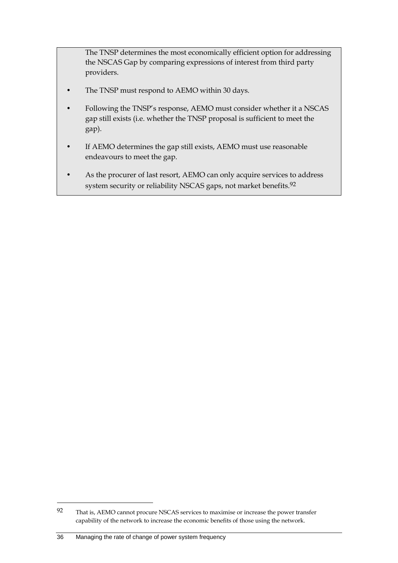The TNSP determines the most economically efficient option for addressing the NSCAS Gap by comparing expressions of interest from third party providers.

- The TNSP must respond to AEMO within 30 days.
- Following the TNSP's response, AEMO must consider whether it a NSCAS gap still exists (i.e. whether the TNSP proposal is sufficient to meet the gap).
- If AEMO determines the gap still exists, AEMO must use reasonable endeavours to meet the gap.
- As the procurer of last resort, AEMO can only acquire services to address system security or reliability NSCAS gaps, not market benefits.<sup>92</sup>

<sup>92</sup> That is, AEMO cannot procure NSCAS services to maximise or increase the power transfer capability of the network to increase the economic benefits of those using the network.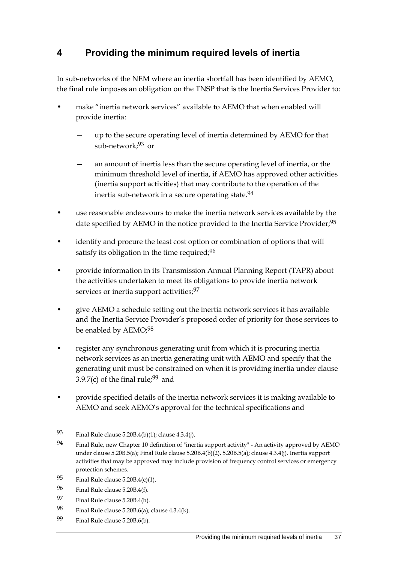# **4 Providing the minimum required levels of inertia**

In sub-networks of the NEM where an inertia shortfall has been identified by AEMO, the final rule imposes an obligation on the TNSP that is the Inertia Services Provider to:

- make "inertia network services" available to AEMO that when enabled will provide inertia:
	- up to the secure operating level of inertia determined by AEMO for that sub-network;93 or
	- an amount of inertia less than the secure operating level of inertia, or the minimum threshold level of inertia, if AEMO has approved other activities (inertia support activities) that may contribute to the operation of the inertia sub-network in a secure operating state.<sup>94</sup>
- use reasonable endeavours to make the inertia network services available by the date specified by AEMO in the notice provided to the Inertia Service Provider;<sup>95</sup>
- identify and procure the least cost option or combination of options that will satisfy its obligation in the time required;<sup>96</sup>
- provide information in its Transmission Annual Planning Report (TAPR) about the activities undertaken to meet its obligations to provide inertia network services or inertia support activities; 97
- give AEMO a schedule setting out the inertia network services it has available and the Inertia Service Provider's proposed order of priority for those services to be enabled by AEMO;<sup>98</sup>
- register any synchronous generating unit from which it is procuring inertia network services as an inertia generating unit with AEMO and specify that the generating unit must be constrained on when it is providing inertia under clause 3.9.7(c) of the final rule;  $99$  and
- provide specified details of the inertia network services it is making available to AEMO and seek AEMO's approval for the technical specifications and

- 97 Final Rule clause 5.20B.4(h).
- 98 Final Rule clause 5.20B.6(a); clause  $4.3.4(k)$ .
- 99 Final Rule clause 5.20B.6(b).

<sup>93</sup> Final Rule clause 5.20B.4(b)(1); clause 4.3.4(j).

<sup>94</sup> Final Rule, new Chapter 10 definition of "inertia support activity" - An activity approved by AEMO under clause 5.20B.5(a); Final Rule clause 5.20B.4(b)(2), 5.20B.5(a); clause 4.3.4(j). Inertia support activities that may be approved may include provision of frequency control services or emergency protection schemes.

<sup>95</sup> Final Rule clause  $5.20B.4(c)(1)$ .

<sup>96</sup> Final Rule clause 5.20B.4(f).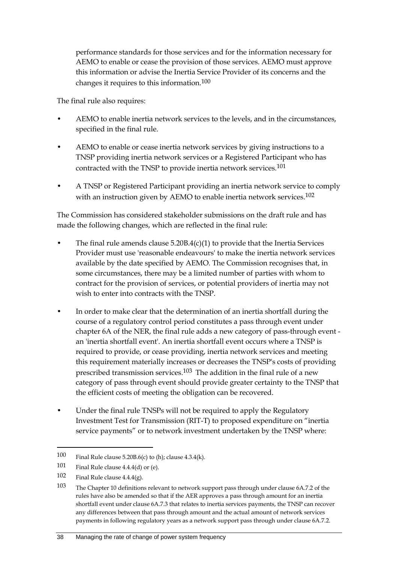performance standards for those services and for the information necessary for AEMO to enable or cease the provision of those services. AEMO must approve this information or advise the Inertia Service Provider of its concerns and the changes it requires to this information.100

The final rule also requires:

- AEMO to enable inertia network services to the levels, and in the circumstances, specified in the final rule.
- AEMO to enable or cease inertia network services by giving instructions to a TNSP providing inertia network services or a Registered Participant who has contracted with the TNSP to provide inertia network services.101
- A TNSP or Registered Participant providing an inertia network service to comply with an instruction given by AEMO to enable inertia network services.<sup>102</sup>

The Commission has considered stakeholder submissions on the draft rule and has made the following changes, which are reflected in the final rule:

- The final rule amends clause  $5.20B.4(c)(1)$  to provide that the Inertia Services Provider must use 'reasonable endeavours' to make the inertia network services available by the date specified by AEMO. The Commission recognises that, in some circumstances, there may be a limited number of parties with whom to contract for the provision of services, or potential providers of inertia may not wish to enter into contracts with the TNSP.
- In order to make clear that the determination of an inertia shortfall during the course of a regulatory control period constitutes a pass through event under chapter 6A of the NER, the final rule adds a new category of pass-through event an 'inertia shortfall event'. An inertia shortfall event occurs where a TNSP is required to provide, or cease providing, inertia network services and meeting this requirement materially increases or decreases the TNSP's costs of providing prescribed transmission services.103 The addition in the final rule of a new category of pass through event should provide greater certainty to the TNSP that the efficient costs of meeting the obligation can be recovered.
- Under the final rule TNSPs will not be required to apply the Regulatory Investment Test for Transmission (RIT-T) to proposed expenditure on "inertia service payments" or to network investment undertaken by the TNSP where:

<sup>100</sup> Final Rule clause 5.20B.6(c) to (h); clause 4.3.4(k).

<sup>101</sup> Final Rule clause 4.4.4(d) or (e).

<sup>102</sup> Final Rule clause 4.4.4(g).

<sup>103</sup> The Chapter 10 definitions relevant to network support pass through under clause 6A.7.2 of the rules have also be amended so that if the AER approves a pass through amount for an inertia shortfall event under clause 6A.7.3 that relates to inertia services payments, the TNSP can recover any differences between that pass through amount and the actual amount of network services payments in following regulatory years as a network support pass through under clause 6A.7.2.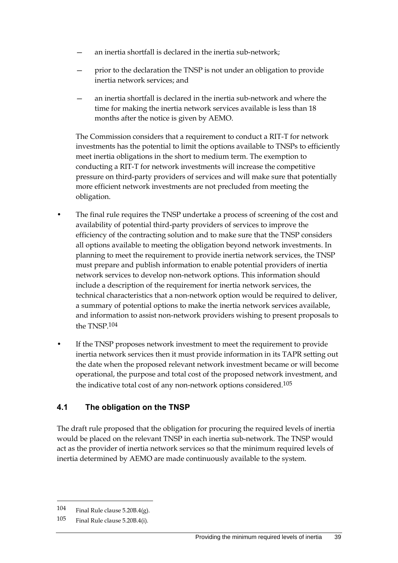- an inertia shortfall is declared in the inertia sub-network;
- prior to the declaration the TNSP is not under an obligation to provide inertia network services; and
- an inertia shortfall is declared in the inertia sub-network and where the time for making the inertia network services available is less than 18 months after the notice is given by AEMO.

The Commission considers that a requirement to conduct a RIT-T for network investments has the potential to limit the options available to TNSPs to efficiently meet inertia obligations in the short to medium term. The exemption to conducting a RIT-T for network investments will increase the competitive pressure on third-party providers of services and will make sure that potentially more efficient network investments are not precluded from meeting the obligation.

- The final rule requires the TNSP undertake a process of screening of the cost and availability of potential third-party providers of services to improve the efficiency of the contracting solution and to make sure that the TNSP considers all options available to meeting the obligation beyond network investments. In planning to meet the requirement to provide inertia network services, the TNSP must prepare and publish information to enable potential providers of inertia network services to develop non-network options. This information should include a description of the requirement for inertia network services, the technical characteristics that a non-network option would be required to deliver, a summary of potential options to make the inertia network services available, and information to assist non-network providers wishing to present proposals to the TNSP.104
- If the TNSP proposes network investment to meet the requirement to provide inertia network services then it must provide information in its TAPR setting out the date when the proposed relevant network investment became or will become operational, the purpose and total cost of the proposed network investment, and the indicative total cost of any non-network options considered.105

### **4.1 The obligation on the TNSP**

The draft rule proposed that the obligation for procuring the required levels of inertia would be placed on the relevant TNSP in each inertia sub-network. The TNSP would act as the provider of inertia network services so that the minimum required levels of inertia determined by AEMO are made continuously available to the system.

<sup>104</sup> Final Rule clause 5.20B.4(g).

<sup>105</sup> Final Rule clause 5.20B.4(i).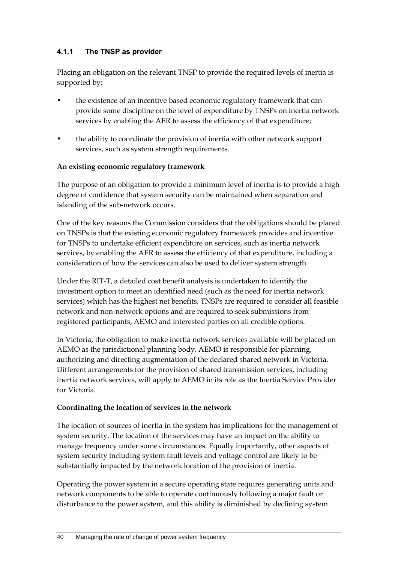## **4.1.1 The TNSP as provider**

Placing an obligation on the relevant TNSP to provide the required levels of inertia is supported by:

- the existence of an incentive based economic regulatory framework that can provide some discipline on the level of expenditure by TNSPs on inertia network services by enabling the AER to assess the efficiency of that expenditure;
- the ability to coordinate the provision of inertia with other network support services, such as system strength requirements.

#### **An existing economic regulatory framework**

The purpose of an obligation to provide a minimum level of inertia is to provide a high degree of confidence that system security can be maintained when separation and islanding of the sub-network occurs.

One of the key reasons the Commission considers that the obligations should be placed on TNSPs is that the existing economic regulatory framework provides and incentive for TNSPs to undertake efficient expenditure on services, such as inertia network services, by enabling the AER to assess the efficiency of that expenditure, including a consideration of how the services can also be used to deliver system strength.

Under the RIT-T, a detailed cost benefit analysis is undertaken to identify the investment option to meet an identified need (such as the need for inertia network services) which has the highest net benefits. TNSPs are required to consider all feasible network and non-network options and are required to seek submissions from registered participants, AEMO and interested parties on all credible options.

In Victoria, the obligation to make inertia network services available will be placed on AEMO as the jurisdictional planning body. AEMO is responsible for planning, authorizing and directing augmentation of the declared shared network in Victoria. Different arrangements for the provision of shared transmission services, including inertia network services, will apply to AEMO in its role as the Inertia Service Provider for Victoria.

### **Coordinating the location of services in the network**

The location of sources of inertia in the system has implications for the management of system security. The location of the services may have an impact on the ability to manage frequency under some circumstances. Equally importantly, other aspects of system security including system fault levels and voltage control are likely to be substantially impacted by the network location of the provision of inertia.

Operating the power system in a secure operating state requires generating units and network components to be able to operate continuously following a major fault or disturbance to the power system, and this ability is diminished by declining system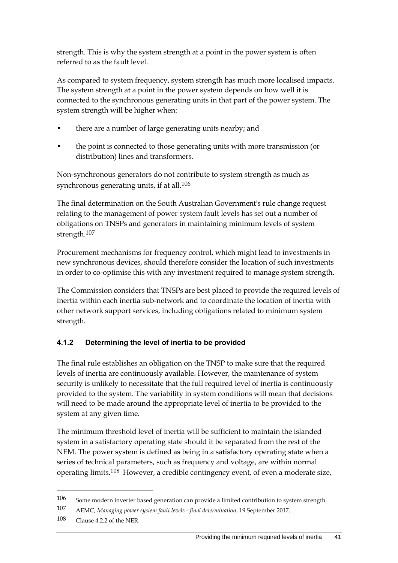strength. This is why the system strength at a point in the power system is often referred to as the fault level.

As compared to system frequency, system strength has much more localised impacts. The system strength at a point in the power system depends on how well it is connected to the synchronous generating units in that part of the power system. The system strength will be higher when:

- there are a number of large generating units nearby; and
- the point is connected to those generating units with more transmission (or distribution) lines and transformers.

Non-synchronous generators do not contribute to system strength as much as synchronous generating units, if at all.<sup>106</sup>

The final determination on the South Australian Government's rule change request relating to the management of power system fault levels has set out a number of obligations on TNSPs and generators in maintaining minimum levels of system strength.107

Procurement mechanisms for frequency control, which might lead to investments in new synchronous devices, should therefore consider the location of such investments in order to co-optimise this with any investment required to manage system strength.

The Commission considers that TNSPs are best placed to provide the required levels of inertia within each inertia sub-network and to coordinate the location of inertia with other network support services, including obligations related to minimum system strength.

# **4.1.2 Determining the level of inertia to be provided**

The final rule establishes an obligation on the TNSP to make sure that the required levels of inertia are continuously available. However, the maintenance of system security is unlikely to necessitate that the full required level of inertia is continuously provided to the system. The variability in system conditions will mean that decisions will need to be made around the appropriate level of inertia to be provided to the system at any given time.

The minimum threshold level of inertia will be sufficient to maintain the islanded system in a satisfactory operating state should it be separated from the rest of the NEM. The power system is defined as being in a satisfactory operating state when a series of technical parameters, such as frequency and voltage, are within normal operating limits.<sup>108</sup> However, a credible contingency event, of even a moderate size,

<sup>106</sup> Some modern inverter based generation can provide a limited contribution to system strength.

<sup>107</sup> AEMC, *Managing power system fault levels - final determination*, 19 September 2017.

<sup>108</sup> Clause 4.2.2 of the NER.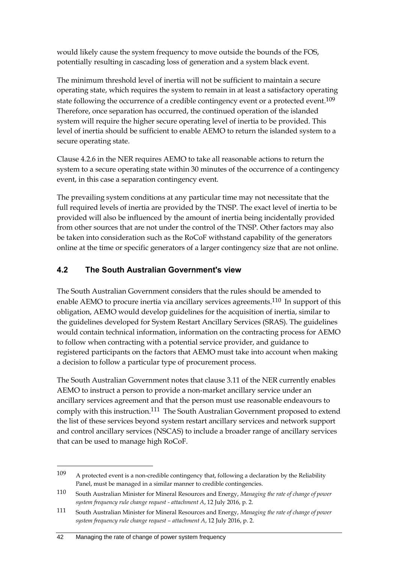would likely cause the system frequency to move outside the bounds of the FOS, potentially resulting in cascading loss of generation and a system black event.

The minimum threshold level of inertia will not be sufficient to maintain a secure operating state, which requires the system to remain in at least a satisfactory operating state following the occurrence of a credible contingency event or a protected event.<sup>109</sup> Therefore, once separation has occurred, the continued operation of the islanded system will require the higher secure operating level of inertia to be provided. This level of inertia should be sufficient to enable AEMO to return the islanded system to a secure operating state.

Clause 4.2.6 in the NER requires AEMO to take all reasonable actions to return the system to a secure operating state within 30 minutes of the occurrence of a contingency event, in this case a separation contingency event.

The prevailing system conditions at any particular time may not necessitate that the full required levels of inertia are provided by the TNSP. The exact level of inertia to be provided will also be influenced by the amount of inertia being incidentally provided from other sources that are not under the control of the TNSP. Other factors may also be taken into consideration such as the RoCoF withstand capability of the generators online at the time or specific generators of a larger contingency size that are not online.

# **4.2 The South Australian Government's view**

The South Australian Government considers that the rules should be amended to enable AEMO to procure inertia via ancillary services agreements.<sup>110</sup> In support of this obligation, AEMO would develop guidelines for the acquisition of inertia, similar to the guidelines developed for System Restart Ancillary Services (SRAS). The guidelines would contain technical information, information on the contracting process for AEMO to follow when contracting with a potential service provider, and guidance to registered participants on the factors that AEMO must take into account when making a decision to follow a particular type of procurement process.

The South Australian Government notes that clause 3.11 of the NER currently enables AEMO to instruct a person to provide a non-market ancillary service under an ancillary services agreement and that the person must use reasonable endeavours to comply with this instruction.111 The South Australian Government proposed to extend the list of these services beyond system restart ancillary services and network support and control ancillary services (NSCAS) to include a broader range of ancillary services that can be used to manage high RoCoF.

<sup>109</sup> A protected event is a non-credible contingency that, following a declaration by the Reliability Panel, must be managed in a similar manner to credible contingencies.

<sup>110</sup> South Australian Minister for Mineral Resources and Energy, *Managing the rate of change of power system frequency rule change request - attachment A*, 12 July 2016, p. 2.

<sup>111</sup> South Australian Minister for Mineral Resources and Energy, *Managing the rate of change of power system frequency rule change request – attachment A*, 12 July 2016, p. 2.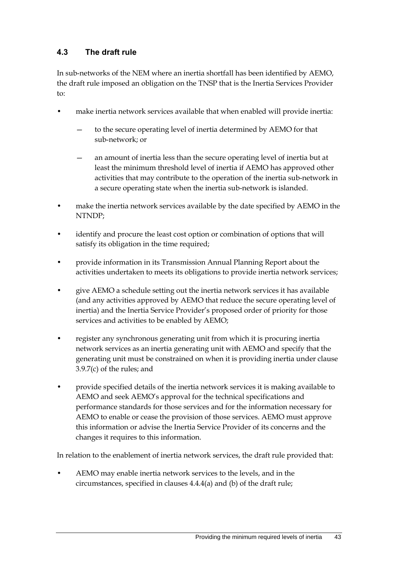# **4.3 The draft rule**

In sub-networks of the NEM where an inertia shortfall has been identified by AEMO, the draft rule imposed an obligation on the TNSP that is the Inertia Services Provider to:

- make inertia network services available that when enabled will provide inertia:
	- to the secure operating level of inertia determined by AEMO for that sub-network; or
	- an amount of inertia less than the secure operating level of inertia but at least the minimum threshold level of inertia if AEMO has approved other activities that may contribute to the operation of the inertia sub-network in a secure operating state when the inertia sub-network is islanded.
- make the inertia network services available by the date specified by AEMO in the NTNDP;
- identify and procure the least cost option or combination of options that will satisfy its obligation in the time required;
- provide information in its Transmission Annual Planning Report about the activities undertaken to meets its obligations to provide inertia network services;
- give AEMO a schedule setting out the inertia network services it has available (and any activities approved by AEMO that reduce the secure operating level of inertia) and the Inertia Service Provider's proposed order of priority for those services and activities to be enabled by AEMO;
- register any synchronous generating unit from which it is procuring inertia network services as an inertia generating unit with AEMO and specify that the generating unit must be constrained on when it is providing inertia under clause 3.9.7(c) of the rules; and
- provide specified details of the inertia network services it is making available to AEMO and seek AEMO's approval for the technical specifications and performance standards for those services and for the information necessary for AEMO to enable or cease the provision of those services. AEMO must approve this information or advise the Inertia Service Provider of its concerns and the changes it requires to this information.

In relation to the enablement of inertia network services, the draft rule provided that:

• AEMO may enable inertia network services to the levels, and in the circumstances, specified in clauses 4.4.4(a) and (b) of the draft rule;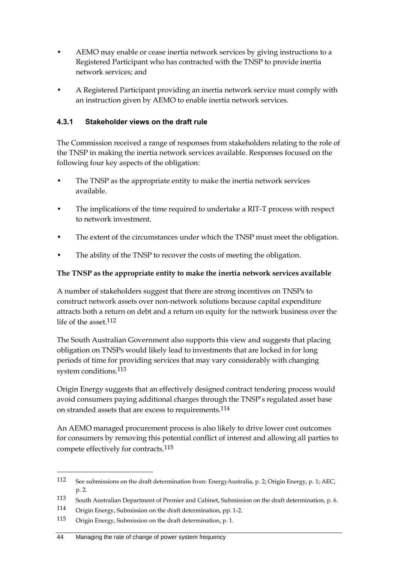- AEMO may enable or cease inertia network services by giving instructions to a Registered Participant who has contracted with the TNSP to provide inertia network services; and
- A Registered Participant providing an inertia network service must comply with an instruction given by AEMO to enable inertia network services.

## **4.3.1 Stakeholder views on the draft rule**

The Commission received a range of responses from stakeholders relating to the role of the TNSP in making the inertia network services available. Responses focused on the following four key aspects of the obligation:

- The TNSP as the appropriate entity to make the inertia network services available.
- The implications of the time required to undertake a RIT-T process with respect to network investment.
- The extent of the circumstances under which the TNSP must meet the obligation.
- The ability of the TNSP to recover the costs of meeting the obligation.

### **The TNSP as the appropriate entity to make the inertia network services available**

A number of stakeholders suggest that there are strong incentives on TNSPs to construct network assets over non-network solutions because capital expenditure attracts both a return on debt and a return on equity for the network business over the life of the asset  $112$ 

The South Australian Government also supports this view and suggests that placing obligation on TNSPs would likely lead to investments that are locked in for long periods of time for providing services that may vary considerably with changing system conditions.<sup>113</sup>

Origin Energy suggests that an effectively designed contract tendering process would avoid consumers paying additional charges through the TNSP's regulated asset base on stranded assets that are excess to requirements.114

An AEMO managed procurement process is also likely to drive lower cost outcomes for consumers by removing this potential conflict of interest and allowing all parties to compete effectively for contracts.115

<sup>112</sup> See submissions on the draft determination from: EnergyAustralia, p. 2; Origin Energy, p. 1; AEC, p. 2.

<sup>113</sup> South Australian Department of Premier and Cabinet, Submission on the draft determination, p. 6.

<sup>114</sup> Origin Energy, Submission on the draft determination, pp. 1-2.

<sup>115</sup> Origin Energy, Submission on the draft determination, p. 1.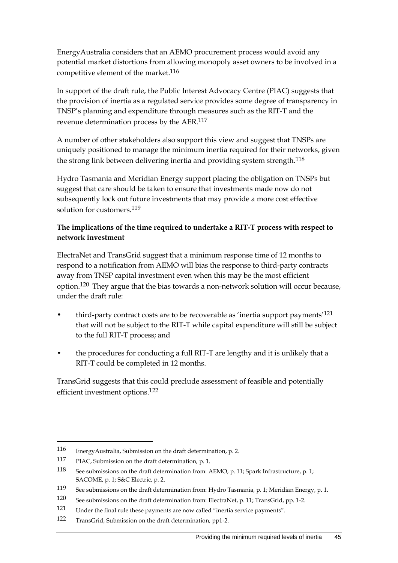EnergyAustralia considers that an AEMO procurement process would avoid any potential market distortions from allowing monopoly asset owners to be involved in a competitive element of the market.<sup>116</sup>

In support of the draft rule, the Public Interest Advocacy Centre (PIAC) suggests that the provision of inertia as a regulated service provides some degree of transparency in TNSP's planning and expenditure through measures such as the RIT-T and the revenue determination process by the AER.117

A number of other stakeholders also support this view and suggest that TNSPs are uniquely positioned to manage the minimum inertia required for their networks, given the strong link between delivering inertia and providing system strength.<sup>118</sup>

Hydro Tasmania and Meridian Energy support placing the obligation on TNSPs but suggest that care should be taken to ensure that investments made now do not subsequently lock out future investments that may provide a more cost effective solution for customers.119

#### **The implications of the time required to undertake a RIT-T process with respect to network investment**

ElectraNet and TransGrid suggest that a minimum response time of 12 months to respond to a notification from AEMO will bias the response to third-party contracts away from TNSP capital investment even when this may be the most efficient option.<sup>120</sup> They argue that the bias towards a non-network solution will occur because, under the draft rule:

- third-party contract costs are to be recoverable as 'inertia support payments<sup>'121</sup> that will not be subject to the RIT-T while capital expenditure will still be subject to the full RIT-T process; and
- the procedures for conducting a full RIT-T are lengthy and it is unlikely that a RIT-T could be completed in 12 months.

TransGrid suggests that this could preclude assessment of feasible and potentially efficient investment options.122

<sup>116</sup> EnergyAustralia, Submission on the draft determination, p. 2.

<sup>117</sup> PIAC, Submission on the draft determination, p. 1.

<sup>118</sup> See submissions on the draft determination from: AEMO, p. 11; Spark Infrastructure, p. 1; SACOME, p. 1; S&C Electric, p. 2.

<sup>119</sup> See submissions on the draft determination from: Hydro Tasmania, p. 1; Meridian Energy, p. 1.

<sup>120</sup> See submissions on the draft determination from: ElectraNet, p. 11; TransGrid, pp. 1-2.

<sup>121</sup> Under the final rule these payments are now called "inertia service payments".

<sup>122</sup> TransGrid, Submission on the draft determination, pp1-2.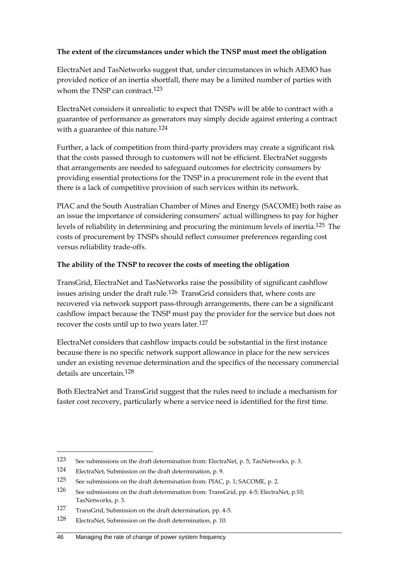#### **The extent of the circumstances under which the TNSP must meet the obligation**

ElectraNet and TasNetworks suggest that, under circumstances in which AEMO has provided notice of an inertia shortfall, there may be a limited number of parties with whom the TNSP can contract.<sup>123</sup>

ElectraNet considers it unrealistic to expect that TNSPs will be able to contract with a guarantee of performance as generators may simply decide against entering a contract with a guarantee of this nature.<sup>124</sup>

Further, a lack of competition from third-party providers may create a significant risk that the costs passed through to customers will not be efficient. ElectraNet suggests that arrangements are needed to safeguard outcomes for electricity consumers by providing essential protections for the TNSP in a procurement role in the event that there is a lack of competitive provision of such services within its network.

PIAC and the South Australian Chamber of Mines and Energy (SACOME) both raise as an issue the importance of considering consumers' actual willingness to pay for higher levels of reliability in determining and procuring the minimum levels of inertia.125 The costs of procurement by TNSPs should reflect consumer preferences regarding cost versus reliability trade-offs.

#### **The ability of the TNSP to recover the costs of meeting the obligation**

TransGrid, ElectraNet and TasNetworks raise the possibility of significant cashflow issues arising under the draft rule.126 TransGrid considers that, where costs are recovered via network support pass-through arrangements, there can be a significant cashflow impact because the TNSP must pay the provider for the service but does not recover the costs until up to two years later.127

ElectraNet considers that cashflow impacts could be substantial in the first instance because there is no specific network support allowance in place for the new services under an existing revenue determination and the specifics of the necessary commercial details are uncertain.128

Both ElectraNet and TransGrid suggest that the rules need to include a mechanism for faster cost recovery, particularly where a service need is identified for the first time.

<sup>123</sup> See submissions on the draft determination from: ElectraNet, p. 5; TasNetworks, p. 3.

<sup>124</sup> ElectraNet, Submission on the draft determination, p. 9.

<sup>125</sup> See submissions on the draft determination from: PIAC, p. 1; SACOME, p. 2.

<sup>126</sup> See submissions on the draft determination from: TransGrid, pp. 4-5; ElectraNet, p.10; TasNetworks, p. 3.

<sup>127</sup> TransGrid, Submission on the draft determination, pp. 4-5.

<sup>128</sup> ElectraNet, Submission on the draft determination, p. 10.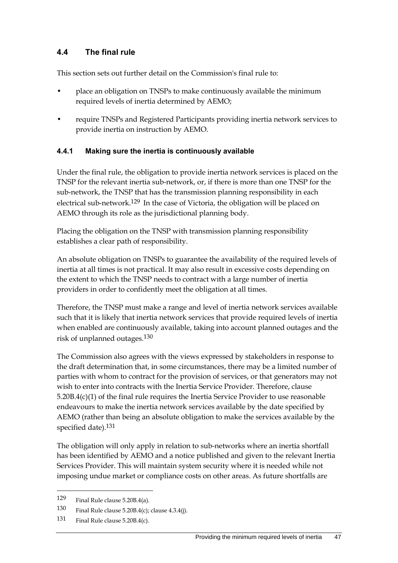## **4.4 The final rule**

This section sets out further detail on the Commission's final rule to:

- place an obligation on TNSPs to make continuously available the minimum required levels of inertia determined by AEMO;
- require TNSPs and Registered Participants providing inertia network services to provide inertia on instruction by AEMO.

#### **4.4.1 Making sure the inertia is continuously available**

Under the final rule, the obligation to provide inertia network services is placed on the TNSP for the relevant inertia sub-network, or, if there is more than one TNSP for the sub-network, the TNSP that has the transmission planning responsibility in each electrical sub-network.129 In the case of Victoria, the obligation will be placed on AEMO through its role as the jurisdictional planning body.

Placing the obligation on the TNSP with transmission planning responsibility establishes a clear path of responsibility.

An absolute obligation on TNSPs to guarantee the availability of the required levels of inertia at all times is not practical. It may also result in excessive costs depending on the extent to which the TNSP needs to contract with a large number of inertia providers in order to confidently meet the obligation at all times.

Therefore, the TNSP must make a range and level of inertia network services available such that it is likely that inertia network services that provide required levels of inertia when enabled are continuously available, taking into account planned outages and the risk of unplanned outages.130

The Commission also agrees with the views expressed by stakeholders in response to the draft determination that, in some circumstances, there may be a limited number of parties with whom to contract for the provision of services, or that generators may not wish to enter into contracts with the Inertia Service Provider. Therefore, clause 5.20B.4(c)(1) of the final rule requires the Inertia Service Provider to use reasonable endeavours to make the inertia network services available by the date specified by AEMO (rather than being an absolute obligation to make the services available by the specified date).<sup>131</sup>

The obligation will only apply in relation to sub-networks where an inertia shortfall has been identified by AEMO and a notice published and given to the relevant Inertia Services Provider. This will maintain system security where it is needed while not imposing undue market or compliance costs on other areas. As future shortfalls are

<sup>129</sup> Final Rule clause 5.20B.4(a).

<sup>130</sup> Final Rule clause 5.20B.4(c); clause 4.3.4(j).

<sup>131</sup> Final Rule clause 5.20B.4(c).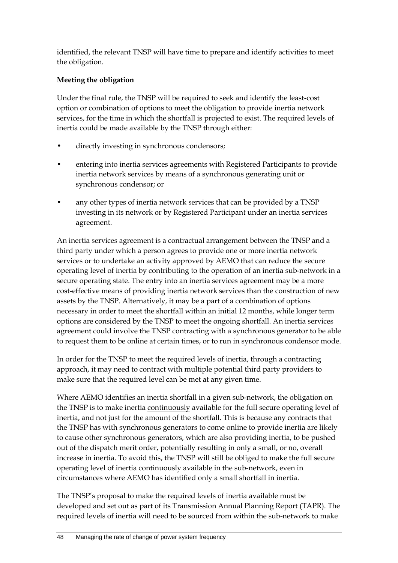identified, the relevant TNSP will have time to prepare and identify activities to meet the obligation.

### **Meeting the obligation**

Under the final rule, the TNSP will be required to seek and identify the least-cost option or combination of options to meet the obligation to provide inertia network services, for the time in which the shortfall is projected to exist. The required levels of inertia could be made available by the TNSP through either:

- directly investing in synchronous condensors;
- entering into inertia services agreements with Registered Participants to provide inertia network services by means of a synchronous generating unit or synchronous condensor; or
- any other types of inertia network services that can be provided by a TNSP investing in its network or by Registered Participant under an inertia services agreement.

An inertia services agreement is a contractual arrangement between the TNSP and a third party under which a person agrees to provide one or more inertia network services or to undertake an activity approved by AEMO that can reduce the secure operating level of inertia by contributing to the operation of an inertia sub-network in a secure operating state. The entry into an inertia services agreement may be a more cost-effective means of providing inertia network services than the construction of new assets by the TNSP. Alternatively, it may be a part of a combination of options necessary in order to meet the shortfall within an initial 12 months, while longer term options are considered by the TNSP to meet the ongoing shortfall. An inertia services agreement could involve the TNSP contracting with a synchronous generator to be able to request them to be online at certain times, or to run in synchronous condensor mode.

In order for the TNSP to meet the required levels of inertia, through a contracting approach, it may need to contract with multiple potential third party providers to make sure that the required level can be met at any given time.

Where AEMO identifies an inertia shortfall in a given sub-network, the obligation on the TNSP is to make inertia continuously available for the full secure operating level of inertia, and not just for the amount of the shortfall. This is because any contracts that the TNSP has with synchronous generators to come online to provide inertia are likely to cause other synchronous generators, which are also providing inertia, to be pushed out of the dispatch merit order, potentially resulting in only a small, or no, overall increase in inertia. To avoid this, the TNSP will still be obliged to make the full secure operating level of inertia continuously available in the sub-network, even in circumstances where AEMO has identified only a small shortfall in inertia.

The TNSP's proposal to make the required levels of inertia available must be developed and set out as part of its Transmission Annual Planning Report (TAPR). The required levels of inertia will need to be sourced from within the sub-network to make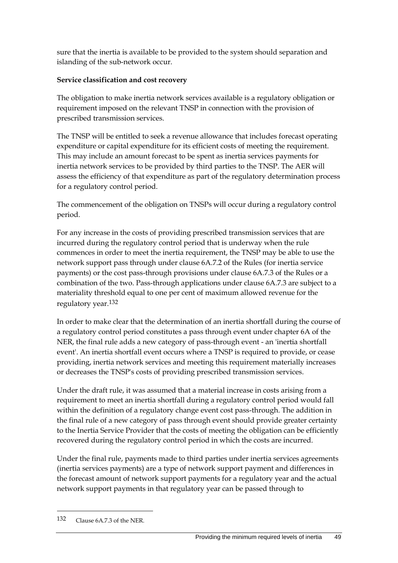sure that the inertia is available to be provided to the system should separation and islanding of the sub-network occur.

#### **Service classification and cost recovery**

The obligation to make inertia network services available is a regulatory obligation or requirement imposed on the relevant TNSP in connection with the provision of prescribed transmission services.

The TNSP will be entitled to seek a revenue allowance that includes forecast operating expenditure or capital expenditure for its efficient costs of meeting the requirement. This may include an amount forecast to be spent as inertia services payments for inertia network services to be provided by third parties to the TNSP. The AER will assess the efficiency of that expenditure as part of the regulatory determination process for a regulatory control period.

The commencement of the obligation on TNSPs will occur during a regulatory control period.

For any increase in the costs of providing prescribed transmission services that are incurred during the regulatory control period that is underway when the rule commences in order to meet the inertia requirement, the TNSP may be able to use the network support pass through under clause 6A.7.2 of the Rules (for inertia service payments) or the cost pass-through provisions under clause 6A.7.3 of the Rules or a combination of the two. Pass-through applications under clause 6A.7.3 are subject to a materiality threshold equal to one per cent of maximum allowed revenue for the regulatory year.132

In order to make clear that the determination of an inertia shortfall during the course of a regulatory control period constitutes a pass through event under chapter 6A of the NER, the final rule adds a new category of pass-through event - an 'inertia shortfall event'. An inertia shortfall event occurs where a TNSP is required to provide, or cease providing, inertia network services and meeting this requirement materially increases or decreases the TNSP's costs of providing prescribed transmission services.

Under the draft rule, it was assumed that a material increase in costs arising from a requirement to meet an inertia shortfall during a regulatory control period would fall within the definition of a regulatory change event cost pass-through. The addition in the final rule of a new category of pass through event should provide greater certainty to the Inertia Service Provider that the costs of meeting the obligation can be efficiently recovered during the regulatory control period in which the costs are incurred.

Under the final rule, payments made to third parties under inertia services agreements (inertia services payments) are a type of network support payment and differences in the forecast amount of network support payments for a regulatory year and the actual network support payments in that regulatory year can be passed through to

<sup>132</sup> Clause 6A.7.3 of the NER.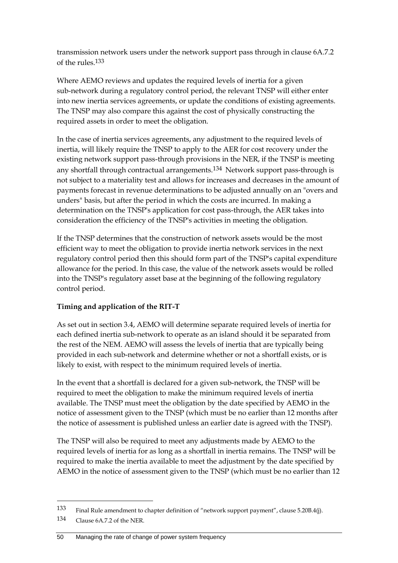transmission network users under the network support pass through in clause 6A.7.2 of the rules.133

Where AEMO reviews and updates the required levels of inertia for a given sub-network during a regulatory control period, the relevant TNSP will either enter into new inertia services agreements, or update the conditions of existing agreements. The TNSP may also compare this against the cost of physically constructing the required assets in order to meet the obligation.

In the case of inertia services agreements, any adjustment to the required levels of inertia, will likely require the TNSP to apply to the AER for cost recovery under the existing network support pass-through provisions in the NER, if the TNSP is meeting any shortfall through contractual arrangements.134 Network support pass-through is not subject to a materiality test and allows for increases and decreases in the amount of payments forecast in revenue determinations to be adjusted annually on an "overs and unders" basis, but after the period in which the costs are incurred. In making a determination on the TNSP's application for cost pass-through, the AER takes into consideration the efficiency of the TNSP's activities in meeting the obligation.

If the TNSP determines that the construction of network assets would be the most efficient way to meet the obligation to provide inertia network services in the next regulatory control period then this should form part of the TNSP's capital expenditure allowance for the period. In this case, the value of the network assets would be rolled into the TNSP's regulatory asset base at the beginning of the following regulatory control period.

### **Timing and application of the RIT-T**

As set out in section 3.4, AEMO will determine separate required levels of inertia for each defined inertia sub-network to operate as an island should it be separated from the rest of the NEM. AEMO will assess the levels of inertia that are typically being provided in each sub-network and determine whether or not a shortfall exists, or is likely to exist, with respect to the minimum required levels of inertia.

In the event that a shortfall is declared for a given sub-network, the TNSP will be required to meet the obligation to make the minimum required levels of inertia available. The TNSP must meet the obligation by the date specified by AEMO in the notice of assessment given to the TNSP (which must be no earlier than 12 months after the notice of assessment is published unless an earlier date is agreed with the TNSP).

The TNSP will also be required to meet any adjustments made by AEMO to the required levels of inertia for as long as a shortfall in inertia remains. The TNSP will be required to make the inertia available to meet the adjustment by the date specified by AEMO in the notice of assessment given to the TNSP (which must be no earlier than 12

<sup>133</sup> Final Rule amendment to chapter definition of "network support payment", clause 5.20B.4(j).

<sup>134</sup> Clause 6A.7.2 of the NER.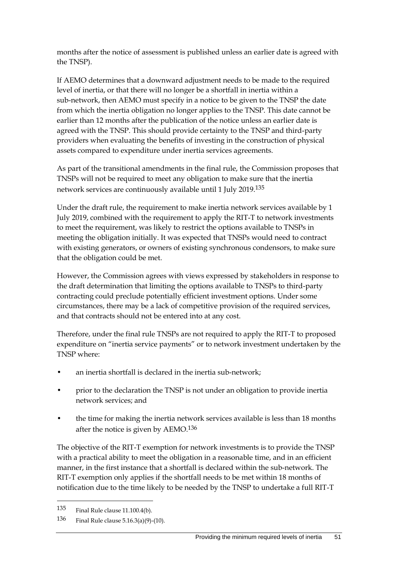months after the notice of assessment is published unless an earlier date is agreed with the TNSP).

If AEMO determines that a downward adjustment needs to be made to the required level of inertia, or that there will no longer be a shortfall in inertia within a sub-network, then AEMO must specify in a notice to be given to the TNSP the date from which the inertia obligation no longer applies to the TNSP. This date cannot be earlier than 12 months after the publication of the notice unless an earlier date is agreed with the TNSP. This should provide certainty to the TNSP and third-party providers when evaluating the benefits of investing in the construction of physical assets compared to expenditure under inertia services agreements.

As part of the transitional amendments in the final rule, the Commission proposes that TNSPs will not be required to meet any obligation to make sure that the inertia network services are continuously available until 1 July 2019.135

Under the draft rule, the requirement to make inertia network services available by 1 July 2019, combined with the requirement to apply the RIT-T to network investments to meet the requirement, was likely to restrict the options available to TNSPs in meeting the obligation initially. It was expected that TNSPs would need to contract with existing generators, or owners of existing synchronous condensors, to make sure that the obligation could be met.

However, the Commission agrees with views expressed by stakeholders in response to the draft determination that limiting the options available to TNSPs to third-party contracting could preclude potentially efficient investment options. Under some circumstances, there may be a lack of competitive provision of the required services, and that contracts should not be entered into at any cost.

Therefore, under the final rule TNSPs are not required to apply the RIT-T to proposed expenditure on "inertia service payments" or to network investment undertaken by the TNSP where:

- an inertia shortfall is declared in the inertia sub-network;
- prior to the declaration the TNSP is not under an obligation to provide inertia network services; and
- the time for making the inertia network services available is less than 18 months after the notice is given by AEMO.136

The objective of the RIT-T exemption for network investments is to provide the TNSP with a practical ability to meet the obligation in a reasonable time, and in an efficient manner, in the first instance that a shortfall is declared within the sub-network. The RIT-T exemption only applies if the shortfall needs to be met within 18 months of notification due to the time likely to be needed by the TNSP to undertake a full RIT-T

<sup>135</sup> Final Rule clause 11.100.4(b).

<sup>136</sup> Final Rule clause 5.16.3(a)(9)-(10).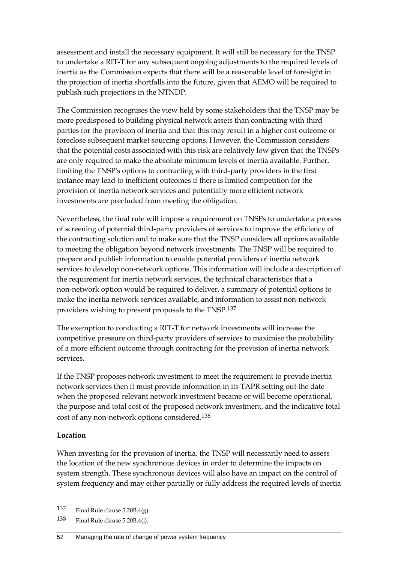assessment and install the necessary equipment. It will still be necessary for the TNSP to undertake a RIT-T for any subsequent ongoing adjustments to the required levels of inertia as the Commission expects that there will be a reasonable level of foresight in the projection of inertia shortfalls into the future, given that AEMO will be required to publish such projections in the NTNDP.

The Commission recognises the view held by some stakeholders that the TNSP may be more predisposed to building physical network assets than contracting with third parties for the provision of inertia and that this may result in a higher cost outcome or foreclose subsequent market sourcing options. However, the Commission considers that the potential costs associated with this risk are relatively low given that the TNSPs are only required to make the absolute minimum levels of inertia available. Further, limiting the TNSP's options to contracting with third-party providers in the first instance may lead to inefficient outcomes if there is limited competition for the provision of inertia network services and potentially more efficient network investments are precluded from meeting the obligation.

Nevertheless, the final rule will impose a requirement on TNSPs to undertake a process of screening of potential third-party providers of services to improve the efficiency of the contracting solution and to make sure that the TNSP considers all options available to meeting the obligation beyond network investments. The TNSP will be required to prepare and publish information to enable potential providers of inertia network services to develop non-network options. This information will include a description of the requirement for inertia network services, the technical characteristics that a non-network option would be required to deliver, a summary of potential options to make the inertia network services available, and information to assist non-network providers wishing to present proposals to the TNSP.137

The exemption to conducting a RIT-T for network investments will increase the competitive pressure on third-party providers of services to maximise the probability of a more efficient outcome through contracting for the provision of inertia network services.

If the TNSP proposes network investment to meet the requirement to provide inertia network services then it must provide information in its TAPR setting out the date when the proposed relevant network investment became or will become operational, the purpose and total cost of the proposed network investment, and the indicative total cost of any non-network options considered.138

#### **Location**

1

When investing for the provision of inertia, the TNSP will necessarily need to assess the location of the new synchronous devices in order to determine the impacts on system strength. These synchronous devices will also have an impact on the control of system frequency and may either partially or fully address the required levels of inertia

<sup>137</sup> Final Rule clause 5.20B.4(g).

<sup>138</sup> Final Rule clause 5.20B.4(i).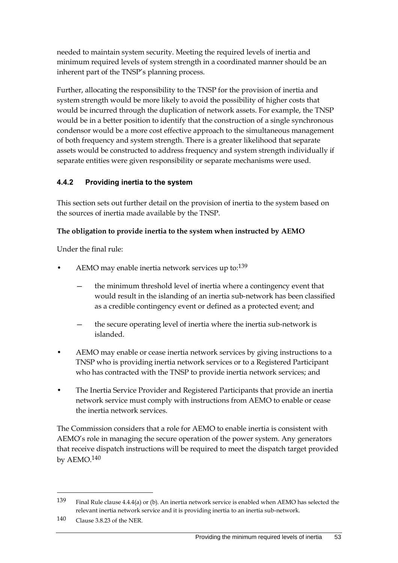needed to maintain system security. Meeting the required levels of inertia and minimum required levels of system strength in a coordinated manner should be an inherent part of the TNSP's planning process.

Further, allocating the responsibility to the TNSP for the provision of inertia and system strength would be more likely to avoid the possibility of higher costs that would be incurred through the duplication of network assets. For example, the TNSP would be in a better position to identify that the construction of a single synchronous condensor would be a more cost effective approach to the simultaneous management of both frequency and system strength. There is a greater likelihood that separate assets would be constructed to address frequency and system strength individually if separate entities were given responsibility or separate mechanisms were used.

## **4.4.2 Providing inertia to the system**

This section sets out further detail on the provision of inertia to the system based on the sources of inertia made available by the TNSP.

### **The obligation to provide inertia to the system when instructed by AEMO**

Under the final rule:

- AEMO may enable inertia network services up to:<sup>139</sup>
	- the minimum threshold level of inertia where a contingency event that would result in the islanding of an inertia sub-network has been classified as a credible contingency event or defined as a protected event; and
	- the secure operating level of inertia where the inertia sub-network is islanded.
- AEMO may enable or cease inertia network services by giving instructions to a TNSP who is providing inertia network services or to a Registered Participant who has contracted with the TNSP to provide inertia network services; and
- The Inertia Service Provider and Registered Participants that provide an inertia network service must comply with instructions from AEMO to enable or cease the inertia network services.

The Commission considers that a role for AEMO to enable inertia is consistent with AEMO's role in managing the secure operation of the power system. Any generators that receive dispatch instructions will be required to meet the dispatch target provided by AEMO.140

<sup>139</sup> Final Rule clause 4.4.4(a) or (b). An inertia network service is enabled when AEMO has selected the relevant inertia network service and it is providing inertia to an inertia sub-network.

<sup>140</sup> Clause 3.8.23 of the NER.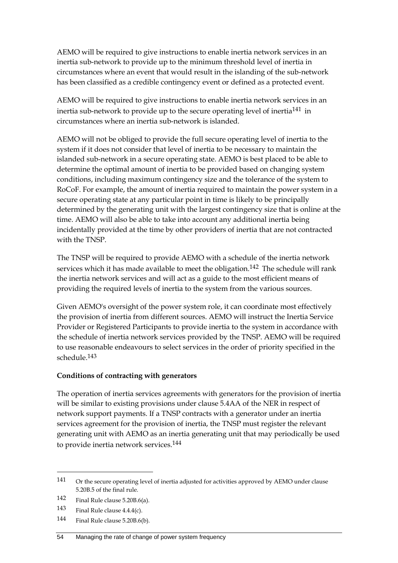AEMO will be required to give instructions to enable inertia network services in an inertia sub-network to provide up to the minimum threshold level of inertia in circumstances where an event that would result in the islanding of the sub-network has been classified as a credible contingency event or defined as a protected event.

AEMO will be required to give instructions to enable inertia network services in an inertia sub-network to provide up to the secure operating level of inertia141 in circumstances where an inertia sub-network is islanded.

AEMO will not be obliged to provide the full secure operating level of inertia to the system if it does not consider that level of inertia to be necessary to maintain the islanded sub-network in a secure operating state. AEMO is best placed to be able to determine the optimal amount of inertia to be provided based on changing system conditions, including maximum contingency size and the tolerance of the system to RoCoF. For example, the amount of inertia required to maintain the power system in a secure operating state at any particular point in time is likely to be principally determined by the generating unit with the largest contingency size that is online at the time. AEMO will also be able to take into account any additional inertia being incidentally provided at the time by other providers of inertia that are not contracted with the TNSP.

The TNSP will be required to provide AEMO with a schedule of the inertia network services which it has made available to meet the obligation.<sup>142</sup> The schedule will rank the inertia network services and will act as a guide to the most efficient means of providing the required levels of inertia to the system from the various sources.

Given AEMO's oversight of the power system role, it can coordinate most effectively the provision of inertia from different sources. AEMO will instruct the Inertia Service Provider or Registered Participants to provide inertia to the system in accordance with the schedule of inertia network services provided by the TNSP. AEMO will be required to use reasonable endeavours to select services in the order of priority specified in the schedule.143

### **Conditions of contracting with generators**

The operation of inertia services agreements with generators for the provision of inertia will be similar to existing provisions under clause 5.4AA of the NER in respect of network support payments. If a TNSP contracts with a generator under an inertia services agreement for the provision of inertia, the TNSP must register the relevant generating unit with AEMO as an inertia generating unit that may periodically be used to provide inertia network services.144

<sup>141</sup> Or the secure operating level of inertia adjusted for activities approved by AEMO under clause 5.20B.5 of the final rule.

<sup>142</sup> Final Rule clause 5.20B.6(a).

<sup>143</sup> Final Rule clause  $4.4.4(c)$ .

<sup>144</sup> Final Rule clause 5.20B.6(b).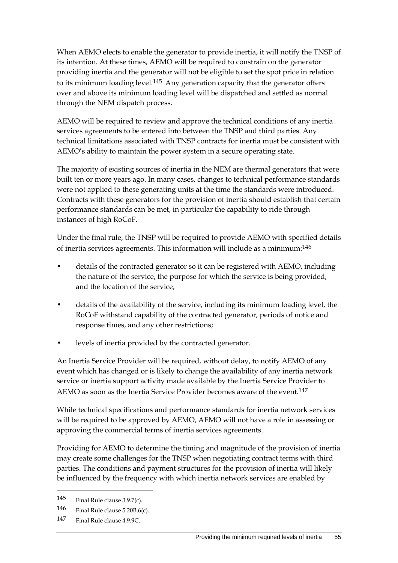When AEMO elects to enable the generator to provide inertia, it will notify the TNSP of its intention. At these times, AEMO will be required to constrain on the generator providing inertia and the generator will not be eligible to set the spot price in relation to its minimum loading level.<sup>145</sup> Any generation capacity that the generator offers over and above its minimum loading level will be dispatched and settled as normal through the NEM dispatch process.

AEMO will be required to review and approve the technical conditions of any inertia services agreements to be entered into between the TNSP and third parties. Any technical limitations associated with TNSP contracts for inertia must be consistent with AEMO's ability to maintain the power system in a secure operating state.

The majority of existing sources of inertia in the NEM are thermal generators that were built ten or more years ago. In many cases, changes to technical performance standards were not applied to these generating units at the time the standards were introduced. Contracts with these generators for the provision of inertia should establish that certain performance standards can be met, in particular the capability to ride through instances of high RoCoF.

Under the final rule, the TNSP will be required to provide AEMO with specified details of inertia services agreements. This information will include as a minimum:146

- details of the contracted generator so it can be registered with AEMO, including the nature of the service, the purpose for which the service is being provided, and the location of the service;
- details of the availability of the service, including its minimum loading level, the RoCoF withstand capability of the contracted generator, periods of notice and response times, and any other restrictions;
- levels of inertia provided by the contracted generator.

An Inertia Service Provider will be required, without delay, to notify AEMO of any event which has changed or is likely to change the availability of any inertia network service or inertia support activity made available by the Inertia Service Provider to AEMO as soon as the Inertia Service Provider becomes aware of the event.<sup>147</sup>

While technical specifications and performance standards for inertia network services will be required to be approved by AEMO, AEMO will not have a role in assessing or approving the commercial terms of inertia services agreements.

Providing for AEMO to determine the timing and magnitude of the provision of inertia may create some challenges for the TNSP when negotiating contract terms with third parties. The conditions and payment structures for the provision of inertia will likely be influenced by the frequency with which inertia network services are enabled by

<sup>145</sup> Final Rule clause 3.9.7(c).

<sup>146</sup> Final Rule clause 5.20B.6(c).

<sup>147</sup> Final Rule clause 4.9.9C.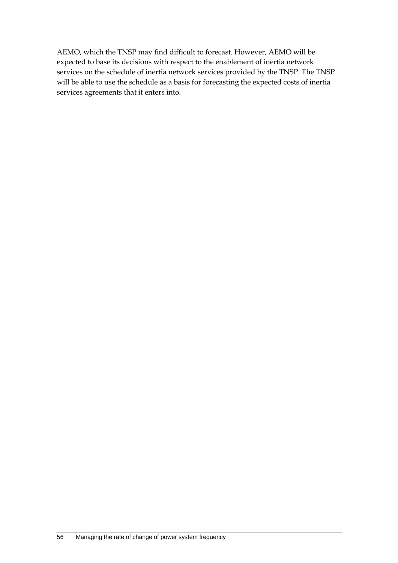AEMO, which the TNSP may find difficult to forecast. However, AEMO will be expected to base its decisions with respect to the enablement of inertia network services on the schedule of inertia network services provided by the TNSP. The TNSP will be able to use the schedule as a basis for forecasting the expected costs of inertia services agreements that it enters into.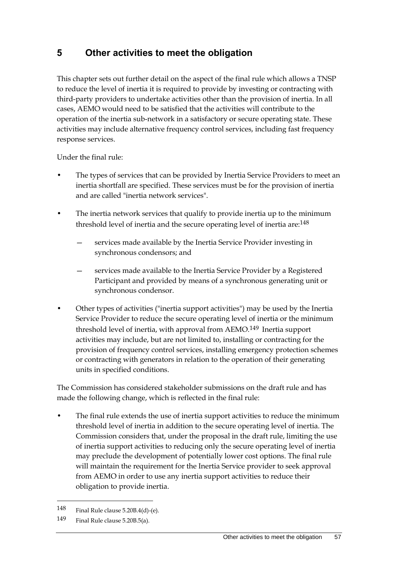# **5 Other activities to meet the obligation**

This chapter sets out further detail on the aspect of the final rule which allows a TNSP to reduce the level of inertia it is required to provide by investing or contracting with third-party providers to undertake activities other than the provision of inertia. In all cases, AEMO would need to be satisfied that the activities will contribute to the operation of the inertia sub-network in a satisfactory or secure operating state. These activities may include alternative frequency control services, including fast frequency response services.

Under the final rule:

- The types of services that can be provided by Inertia Service Providers to meet an inertia shortfall are specified. These services must be for the provision of inertia and are called "inertia network services".
- The inertia network services that qualify to provide inertia up to the minimum threshold level of inertia and the secure operating level of inertia are:148
	- services made available by the Inertia Service Provider investing in synchronous condensors; and
	- services made available to the Inertia Service Provider by a Registered Participant and provided by means of a synchronous generating unit or synchronous condensor.
- Other types of activities ("inertia support activities") may be used by the Inertia Service Provider to reduce the secure operating level of inertia or the minimum threshold level of inertia, with approval from AEMO.149 Inertia support activities may include, but are not limited to, installing or contracting for the provision of frequency control services, installing emergency protection schemes or contracting with generators in relation to the operation of their generating units in specified conditions.

The Commission has considered stakeholder submissions on the draft rule and has made the following change, which is reflected in the final rule:

The final rule extends the use of inertia support activities to reduce the minimum threshold level of inertia in addition to the secure operating level of inertia. The Commission considers that, under the proposal in the draft rule, limiting the use of inertia support activities to reducing only the secure operating level of inertia may preclude the development of potentially lower cost options. The final rule will maintain the requirement for the Inertia Service provider to seek approval from AEMO in order to use any inertia support activities to reduce their obligation to provide inertia.

<sup>148</sup> Final Rule clause 5.20B.4(d)-(e).

<sup>149</sup> Final Rule clause 5.20B.5(a).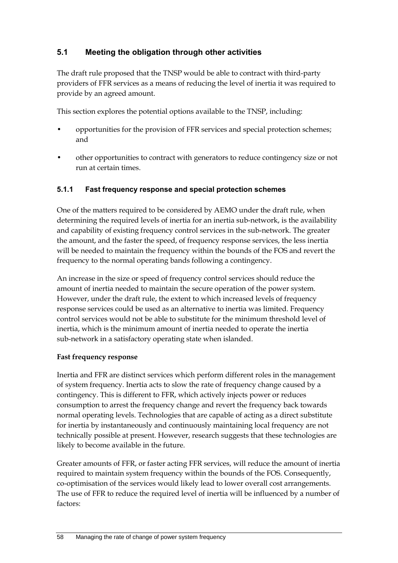# **5.1 Meeting the obligation through other activities**

The draft rule proposed that the TNSP would be able to contract with third-party providers of FFR services as a means of reducing the level of inertia it was required to provide by an agreed amount.

This section explores the potential options available to the TNSP, including:

- opportunities for the provision of FFR services and special protection schemes; and
- other opportunities to contract with generators to reduce contingency size or not run at certain times.

### **5.1.1 Fast frequency response and special protection schemes**

One of the matters required to be considered by AEMO under the draft rule, when determining the required levels of inertia for an inertia sub-network, is the availability and capability of existing frequency control services in the sub-network. The greater the amount, and the faster the speed, of frequency response services, the less inertia will be needed to maintain the frequency within the bounds of the FOS and revert the frequency to the normal operating bands following a contingency.

An increase in the size or speed of frequency control services should reduce the amount of inertia needed to maintain the secure operation of the power system. However, under the draft rule, the extent to which increased levels of frequency response services could be used as an alternative to inertia was limited. Frequency control services would not be able to substitute for the minimum threshold level of inertia, which is the minimum amount of inertia needed to operate the inertia sub-network in a satisfactory operating state when islanded.

#### **Fast frequency response**

Inertia and FFR are distinct services which perform different roles in the management of system frequency. Inertia acts to slow the rate of frequency change caused by a contingency. This is different to FFR, which actively injects power or reduces consumption to arrest the frequency change and revert the frequency back towards normal operating levels. Technologies that are capable of acting as a direct substitute for inertia by instantaneously and continuously maintaining local frequency are not technically possible at present. However, research suggests that these technologies are likely to become available in the future.

Greater amounts of FFR, or faster acting FFR services, will reduce the amount of inertia required to maintain system frequency within the bounds of the FOS. Consequently, co-optimisation of the services would likely lead to lower overall cost arrangements. The use of FFR to reduce the required level of inertia will be influenced by a number of factors: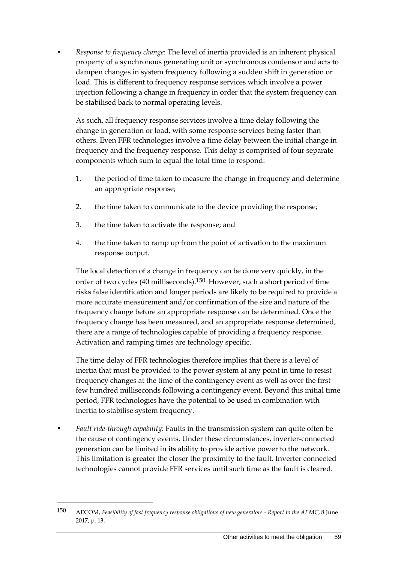• *Response to frequency change*: The level of inertia provided is an inherent physical property of a synchronous generating unit or synchronous condensor and acts to dampen changes in system frequency following a sudden shift in generation or load. This is different to frequency response services which involve a power injection following a change in frequency in order that the system frequency can be stabilised back to normal operating levels.

As such, all frequency response services involve a time delay following the change in generation or load, with some response services being faster than others. Even FFR technologies involve a time delay between the initial change in frequency and the frequency response. This delay is comprised of four separate components which sum to equal the total time to respond:

- 1. the period of time taken to measure the change in frequency and determine an appropriate response;
- 2. the time taken to communicate to the device providing the response;
- 3. the time taken to activate the response; and
- 4. the time taken to ramp up from the point of activation to the maximum response output.

The local detection of a change in frequency can be done very quickly, in the order of two cycles (40 milliseconds).150 However, such a short period of time risks false identification and longer periods are likely to be required to provide a more accurate measurement and/or confirmation of the size and nature of the frequency change before an appropriate response can be determined. Once the frequency change has been measured, and an appropriate response determined, there are a range of technologies capable of providing a frequency response. Activation and ramping times are technology specific.

The time delay of FFR technologies therefore implies that there is a level of inertia that must be provided to the power system at any point in time to resist frequency changes at the time of the contingency event as well as over the first few hundred milliseconds following a contingency event. Beyond this initial time period, FFR technologies have the potential to be used in combination with inertia to stabilise system frequency.

• *Fault ride-through capability*: Faults in the transmission system can quite often be the cause of contingency events. Under these circumstances, inverter-connected generation can be limited in its ability to provide active power to the network. This limitation is greater the closer the proximity to the fault. Inverter connected technologies cannot provide FFR services until such time as the fault is cleared.

<sup>150</sup> AECOM, *Feasibility of fast frequency response obligations of new generators - Report to the AEMC*, 8 June 2017, p. 13.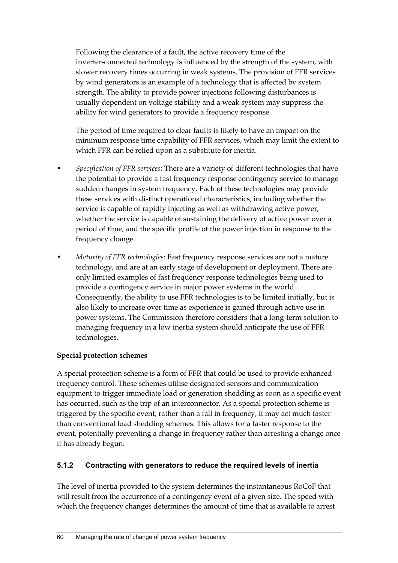Following the clearance of a fault, the active recovery time of the inverter-connected technology is influenced by the strength of the system, with slower recovery times occurring in weak systems. The provision of FFR services by wind generators is an example of a technology that is affected by system strength. The ability to provide power injections following disturbances is usually dependent on voltage stability and a weak system may suppress the ability for wind generators to provide a frequency response.

The period of time required to clear faults is likely to have an impact on the minimum response time capability of FFR services, which may limit the extent to which FFR can be relied upon as a substitute for inertia.

- *Specification of FFR services*: There are a variety of different technologies that have the potential to provide a fast frequency response contingency service to manage sudden changes in system frequency. Each of these technologies may provide these services with distinct operational characteristics, including whether the service is capable of rapidly injecting as well as withdrawing active power, whether the service is capable of sustaining the delivery of active power over a period of time, and the specific profile of the power injection in response to the frequency change.
- *Maturity of FFR technologies*: Fast frequency response services are not a mature technology, and are at an early stage of development or deployment. There are only limited examples of fast frequency response technologies being used to provide a contingency service in major power systems in the world. Consequently, the ability to use FFR technologies is to be limited initially, but is also likely to increase over time as experience is gained through active use in power systems. The Commission therefore considers that a long-term solution to managing frequency in a low inertia system should anticipate the use of FFR technologies.

### **Special protection schemes**

A special protection scheme is a form of FFR that could be used to provide enhanced frequency control. These schemes utilise designated sensors and communication equipment to trigger immediate load or generation shedding as soon as a specific event has occurred, such as the trip of an interconnector. As a special protection scheme is triggered by the specific event, rather than a fall in frequency, it may act much faster than conventional load shedding schemes. This allows for a faster response to the event, potentially preventing a change in frequency rather than arresting a change once it has already begun.

# **5.1.2 Contracting with generators to reduce the required levels of inertia**

The level of inertia provided to the system determines the instantaneous RoCoF that will result from the occurrence of a contingency event of a given size. The speed with which the frequency changes determines the amount of time that is available to arrest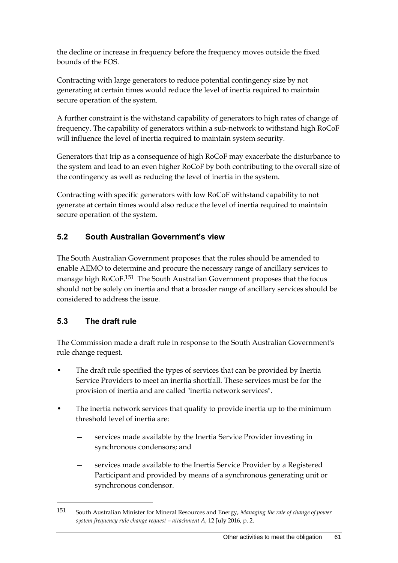the decline or increase in frequency before the frequency moves outside the fixed bounds of the FOS.

Contracting with large generators to reduce potential contingency size by not generating at certain times would reduce the level of inertia required to maintain secure operation of the system.

A further constraint is the withstand capability of generators to high rates of change of frequency. The capability of generators within a sub-network to withstand high RoCoF will influence the level of inertia required to maintain system security.

Generators that trip as a consequence of high RoCoF may exacerbate the disturbance to the system and lead to an even higher RoCoF by both contributing to the overall size of the contingency as well as reducing the level of inertia in the system.

Contracting with specific generators with low RoCoF withstand capability to not generate at certain times would also reduce the level of inertia required to maintain secure operation of the system.

### **5.2 South Australian Government's view**

The South Australian Government proposes that the rules should be amended to enable AEMO to determine and procure the necessary range of ancillary services to manage high RoCoF.<sup>151</sup> The South Australian Government proposes that the focus should not be solely on inertia and that a broader range of ancillary services should be considered to address the issue.

### **5.3 The draft rule**

1

The Commission made a draft rule in response to the South Australian Government's rule change request.

- The draft rule specified the types of services that can be provided by Inertia Service Providers to meet an inertia shortfall. These services must be for the provision of inertia and are called "inertia network services".
- The inertia network services that qualify to provide inertia up to the minimum threshold level of inertia are:
	- services made available by the Inertia Service Provider investing in synchronous condensors; and
	- services made available to the Inertia Service Provider by a Registered Participant and provided by means of a synchronous generating unit or synchronous condensor.

<sup>151</sup> South Australian Minister for Mineral Resources and Energy, *Managing the rate of change of power system frequency rule change request – attachment A*, 12 July 2016, p. 2.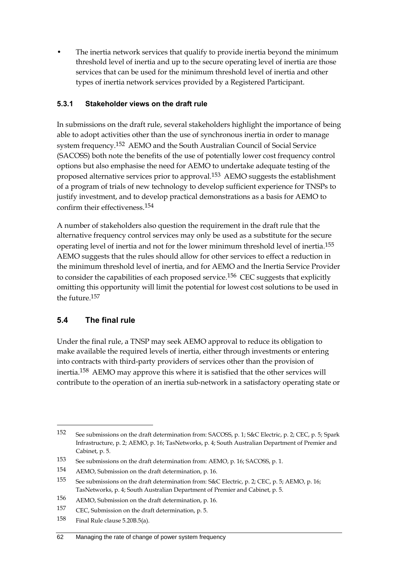• The inertia network services that qualify to provide inertia beyond the minimum threshold level of inertia and up to the secure operating level of inertia are those services that can be used for the minimum threshold level of inertia and other types of inertia network services provided by a Registered Participant.

#### **5.3.1 Stakeholder views on the draft rule**

In submissions on the draft rule, several stakeholders highlight the importance of being able to adopt activities other than the use of synchronous inertia in order to manage system frequency.152 AEMO and the South Australian Council of Social Service (SACOSS) both note the benefits of the use of potentially lower cost frequency control options but also emphasise the need for AEMO to undertake adequate testing of the proposed alternative services prior to approval.<sup>153</sup> AEMO suggests the establishment of a program of trials of new technology to develop sufficient experience for TNSPs to justify investment, and to develop practical demonstrations as a basis for AEMO to confirm their effectiveness.154

A number of stakeholders also question the requirement in the draft rule that the alternative frequency control services may only be used as a substitute for the secure operating level of inertia and not for the lower minimum threshold level of inertia.155 AEMO suggests that the rules should allow for other services to effect a reduction in the minimum threshold level of inertia, and for AEMO and the Inertia Service Provider to consider the capabilities of each proposed service.<sup>156</sup> CEC suggests that explicitly omitting this opportunity will limit the potential for lowest cost solutions to be used in the future 157

### **5.4 The final rule**

<u>.</u>

Under the final rule, a TNSP may seek AEMO approval to reduce its obligation to make available the required levels of inertia, either through investments or entering into contracts with third-party providers of services other than the provision of inertia.158 AEMO may approve this where it is satisfied that the other services will contribute to the operation of an inertia sub-network in a satisfactory operating state or

<sup>152</sup> See submissions on the draft determination from: SACOSS, p. 1; S&C Electric, p. 2; CEC, p. 5; Spark Infrastructure, p. 2; AEMO, p. 16; TasNetworks, p. 4; South Australian Department of Premier and Cabinet, p. 5.

<sup>153</sup> See submissions on the draft determination from: AEMO, p. 16; SACOSS, p. 1.

<sup>154</sup> AEMO, Submission on the draft determination, p. 16.

<sup>155</sup> See submissions on the draft determination from: S&C Electric, p. 2; CEC, p. 5; AEMO, p. 16; TasNetworks, p. 4; South Australian Department of Premier and Cabinet, p. 5.

<sup>156</sup> AEMO, Submission on the draft determination, p. 16.

<sup>157</sup> CEC, Submission on the draft determination, p. 5.

<sup>158</sup> Final Rule clause 5.20B.5(a).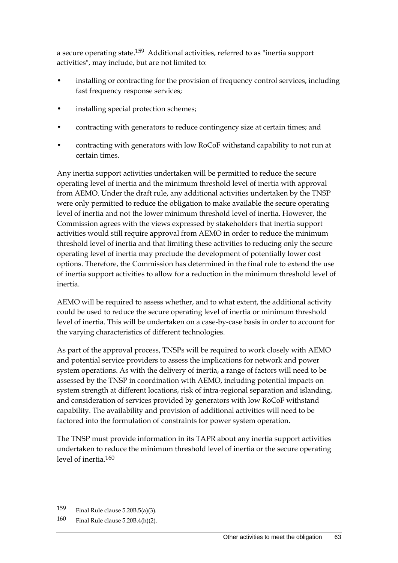a secure operating state.<sup>159</sup> Additional activities, referred to as "inertia support activities", may include, but are not limited to:

- installing or contracting for the provision of frequency control services, including fast frequency response services;
- installing special protection schemes;
- contracting with generators to reduce contingency size at certain times; and
- contracting with generators with low RoCoF withstand capability to not run at certain times.

Any inertia support activities undertaken will be permitted to reduce the secure operating level of inertia and the minimum threshold level of inertia with approval from AEMO. Under the draft rule, any additional activities undertaken by the TNSP were only permitted to reduce the obligation to make available the secure operating level of inertia and not the lower minimum threshold level of inertia. However, the Commission agrees with the views expressed by stakeholders that inertia support activities would still require approval from AEMO in order to reduce the minimum threshold level of inertia and that limiting these activities to reducing only the secure operating level of inertia may preclude the development of potentially lower cost options. Therefore, the Commission has determined in the final rule to extend the use of inertia support activities to allow for a reduction in the minimum threshold level of inertia.

AEMO will be required to assess whether, and to what extent, the additional activity could be used to reduce the secure operating level of inertia or minimum threshold level of inertia. This will be undertaken on a case-by-case basis in order to account for the varying characteristics of different technologies.

As part of the approval process, TNSPs will be required to work closely with AEMO and potential service providers to assess the implications for network and power system operations. As with the delivery of inertia, a range of factors will need to be assessed by the TNSP in coordination with AEMO, including potential impacts on system strength at different locations, risk of intra-regional separation and islanding, and consideration of services provided by generators with low RoCoF withstand capability. The availability and provision of additional activities will need to be factored into the formulation of constraints for power system operation.

The TNSP must provide information in its TAPR about any inertia support activities undertaken to reduce the minimum threshold level of inertia or the secure operating level of inertia  $160$ 

<sup>159</sup> Final Rule clause 5.20B.5(a)(3).

<sup>160</sup> Final Rule clause 5.20B.4(h)(2).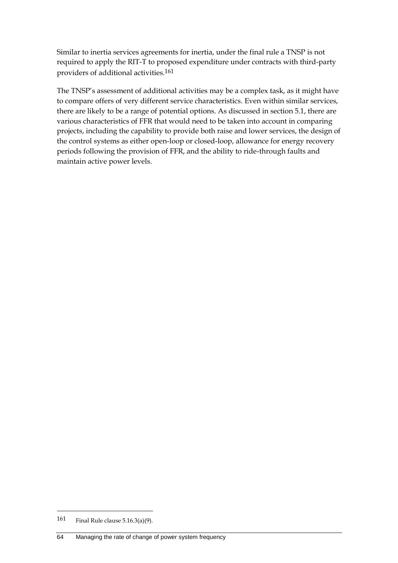Similar to inertia services agreements for inertia, under the final rule a TNSP is not required to apply the RIT-T to proposed expenditure under contracts with third-party providers of additional activities.161

The TNSP's assessment of additional activities may be a complex task, as it might have to compare offers of very different service characteristics. Even within similar services, there are likely to be a range of potential options. As discussed in section 5.1, there are various characteristics of FFR that would need to be taken into account in comparing projects, including the capability to provide both raise and lower services, the design of the control systems as either open-loop or closed-loop, allowance for energy recovery periods following the provision of FFR, and the ability to ride-through faults and maintain active power levels.

<sup>161</sup> Final Rule clause 5.16.3(a)(9).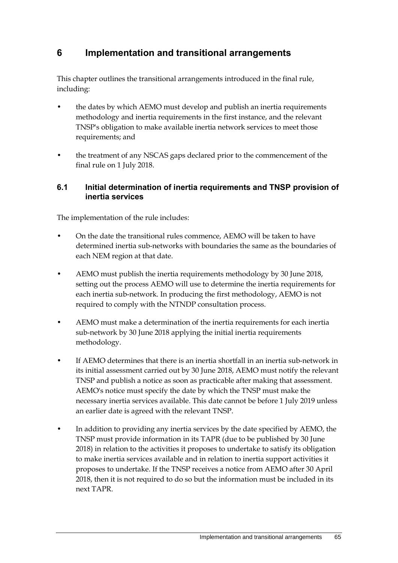## **6 Implementation and transitional arrangements**

This chapter outlines the transitional arrangements introduced in the final rule, including:

- the dates by which AEMO must develop and publish an inertia requirements methodology and inertia requirements in the first instance, and the relevant TNSP's obligation to make available inertia network services to meet those requirements; and
- the treatment of any NSCAS gaps declared prior to the commencement of the final rule on 1 July 2018.

#### **6.1 Initial determination of inertia requirements and TNSP provision of inertia services**

The implementation of the rule includes:

- On the date the transitional rules commence, AEMO will be taken to have determined inertia sub-networks with boundaries the same as the boundaries of each NEM region at that date.
- AEMO must publish the inertia requirements methodology by 30 June 2018, setting out the process AEMO will use to determine the inertia requirements for each inertia sub-network. In producing the first methodology, AEMO is not required to comply with the NTNDP consultation process.
- AEMO must make a determination of the inertia requirements for each inertia sub-network by 30 June 2018 applying the initial inertia requirements methodology.
- If AEMO determines that there is an inertia shortfall in an inertia sub-network in its initial assessment carried out by 30 June 2018, AEMO must notify the relevant TNSP and publish a notice as soon as practicable after making that assessment. AEMO's notice must specify the date by which the TNSP must make the necessary inertia services available. This date cannot be before 1 July 2019 unless an earlier date is agreed with the relevant TNSP.
- In addition to providing any inertia services by the date specified by AEMO, the TNSP must provide information in its TAPR (due to be published by 30 June 2018) in relation to the activities it proposes to undertake to satisfy its obligation to make inertia services available and in relation to inertia support activities it proposes to undertake. If the TNSP receives a notice from AEMO after 30 April 2018, then it is not required to do so but the information must be included in its next TAPR.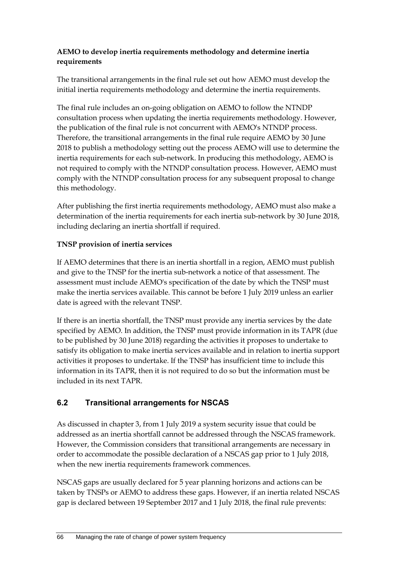#### **AEMO to develop inertia requirements methodology and determine inertia requirements**

The transitional arrangements in the final rule set out how AEMO must develop the initial inertia requirements methodology and determine the inertia requirements.

The final rule includes an on-going obligation on AEMO to follow the NTNDP consultation process when updating the inertia requirements methodology. However, the publication of the final rule is not concurrent with AEMO's NTNDP process. Therefore, the transitional arrangements in the final rule require AEMO by 30 June 2018 to publish a methodology setting out the process AEMO will use to determine the inertia requirements for each sub-network. In producing this methodology, AEMO is not required to comply with the NTNDP consultation process. However, AEMO must comply with the NTNDP consultation process for any subsequent proposal to change this methodology.

After publishing the first inertia requirements methodology, AEMO must also make a determination of the inertia requirements for each inertia sub-network by 30 June 2018, including declaring an inertia shortfall if required.

### **TNSP provision of inertia services**

If AEMO determines that there is an inertia shortfall in a region, AEMO must publish and give to the TNSP for the inertia sub-network a notice of that assessment. The assessment must include AEMO's specification of the date by which the TNSP must make the inertia services available. This cannot be before 1 July 2019 unless an earlier date is agreed with the relevant TNSP.

If there is an inertia shortfall, the TNSP must provide any inertia services by the date specified by AEMO. In addition, the TNSP must provide information in its TAPR (due to be published by 30 June 2018) regarding the activities it proposes to undertake to satisfy its obligation to make inertia services available and in relation to inertia support activities it proposes to undertake. If the TNSP has insufficient time to include this information in its TAPR, then it is not required to do so but the information must be included in its next TAPR.

### **6.2 Transitional arrangements for NSCAS**

As discussed in chapter 3, from 1 July 2019 a system security issue that could be addressed as an inertia shortfall cannot be addressed through the NSCAS framework. However, the Commission considers that transitional arrangements are necessary in order to accommodate the possible declaration of a NSCAS gap prior to 1 July 2018, when the new inertia requirements framework commences.

NSCAS gaps are usually declared for 5 year planning horizons and actions can be taken by TNSPs or AEMO to address these gaps. However, if an inertia related NSCAS gap is declared between 19 September 2017 and 1 July 2018, the final rule prevents: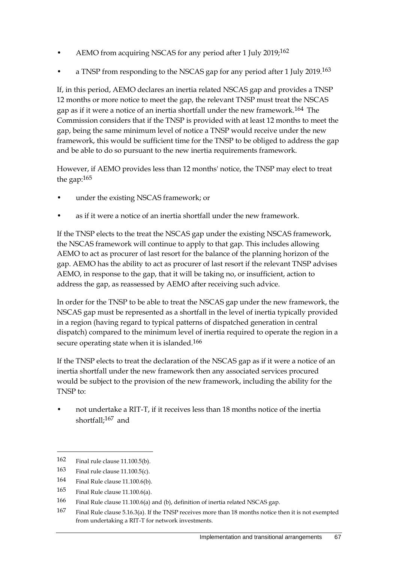- AEMO from acquiring NSCAS for any period after 1 July 2019;<sup>162</sup>
- a TNSP from responding to the NSCAS gap for any period after 1 July 2019.<sup>163</sup>

If, in this period, AEMO declares an inertia related NSCAS gap and provides a TNSP 12 months or more notice to meet the gap, the relevant TNSP must treat the NSCAS gap as if it were a notice of an inertia shortfall under the new framework.164 The Commission considers that if the TNSP is provided with at least 12 months to meet the gap, being the same minimum level of notice a TNSP would receive under the new framework, this would be sufficient time for the TNSP to be obliged to address the gap and be able to do so pursuant to the new inertia requirements framework.

However, if AEMO provides less than 12 months' notice, the TNSP may elect to treat the gap:165

- under the existing NSCAS framework; or
- as if it were a notice of an inertia shortfall under the new framework.

If the TNSP elects to the treat the NSCAS gap under the existing NSCAS framework, the NSCAS framework will continue to apply to that gap. This includes allowing AEMO to act as procurer of last resort for the balance of the planning horizon of the gap. AEMO has the ability to act as procurer of last resort if the relevant TNSP advises AEMO, in response to the gap, that it will be taking no, or insufficient, action to address the gap, as reassessed by AEMO after receiving such advice.

In order for the TNSP to be able to treat the NSCAS gap under the new framework, the NSCAS gap must be represented as a shortfall in the level of inertia typically provided in a region (having regard to typical patterns of dispatched generation in central dispatch) compared to the minimum level of inertia required to operate the region in a secure operating state when it is islanded.<sup>166</sup>

If the TNSP elects to treat the declaration of the NSCAS gap as if it were a notice of an inertia shortfall under the new framework then any associated services procured would be subject to the provision of the new framework, including the ability for the TNSP to:

• not undertake a RIT-T, if it receives less than 18 months notice of the inertia shortfall;<sup>167</sup> and

<sup>162</sup> Final rule clause 11.100.5(b).

<sup>163</sup> Final rule clause 11.100.5(c).

<sup>164</sup> Final Rule clause 11.100.6(b).

<sup>165</sup> Final Rule clause 11.100.6(a).

<sup>166</sup> Final Rule clause 11.100.6(a) and (b), definition of inertia related NSCAS gap.

<sup>167</sup> Final Rule clause 5.16.3(a). If the TNSP receives more than 18 months notice then it is not exempted from undertaking a RIT-T for network investments.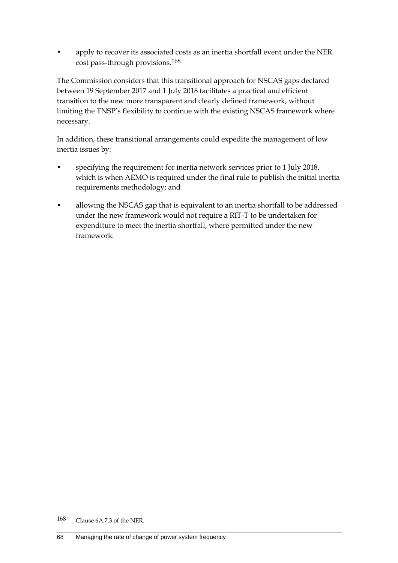• apply to recover its associated costs as an inertia shortfall event under the NER cost pass-through provisions.168

The Commission considers that this transitional approach for NSCAS gaps declared between 19 September 2017 and 1 July 2018 facilitates a practical and efficient transition to the new more transparent and clearly defined framework, without limiting the TNSP's flexibility to continue with the existing NSCAS framework where necessary.

In addition, these transitional arrangements could expedite the management of low inertia issues by:

- specifying the requirement for inertia network services prior to 1 July 2018, which is when AEMO is required under the final rule to publish the initial inertia requirements methodology; and
- allowing the NSCAS gap that is equivalent to an inertia shortfall to be addressed under the new framework would not require a RIT-T to be undertaken for expenditure to meet the inertia shortfall, where permitted under the new framework.

<sup>168</sup> Clause 6A.7.3 of the NER.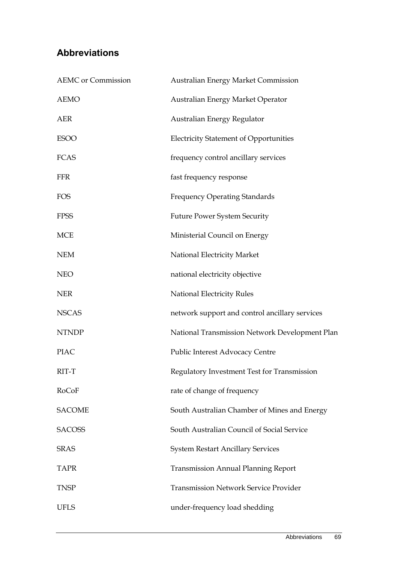## **Abbreviations**

| <b>AEMC</b> or Commission | <b>Australian Energy Market Commission</b>     |
|---------------------------|------------------------------------------------|
| <b>AEMO</b>               | Australian Energy Market Operator              |
| <b>AER</b>                | Australian Energy Regulator                    |
| <b>ESOO</b>               | <b>Electricity Statement of Opportunities</b>  |
| <b>FCAS</b>               | frequency control ancillary services           |
| <b>FFR</b>                | fast frequency response                        |
| <b>FOS</b>                | <b>Frequency Operating Standards</b>           |
| <b>FPSS</b>               | <b>Future Power System Security</b>            |
| <b>MCE</b>                | Ministerial Council on Energy                  |
| <b>NEM</b>                | National Electricity Market                    |
| <b>NEO</b>                | national electricity objective                 |
| <b>NER</b>                | National Electricity Rules                     |
| <b>NSCAS</b>              | network support and control ancillary services |
| <b>NTNDP</b>              | National Transmission Network Development Plan |
| <b>PIAC</b>               | Public Interest Advocacy Centre                |
| RIT-T                     | Regulatory Investment Test for Transmission    |
| RoCoF                     | rate of change of frequency                    |
| <b>SACOME</b>             | South Australian Chamber of Mines and Energy   |
| <b>SACOSS</b>             | South Australian Council of Social Service     |
| <b>SRAS</b>               | <b>System Restart Ancillary Services</b>       |
| <b>TAPR</b>               | <b>Transmission Annual Planning Report</b>     |
| <b>TNSP</b>               | <b>Transmission Network Service Provider</b>   |
| <b>UFLS</b>               | under-frequency load shedding                  |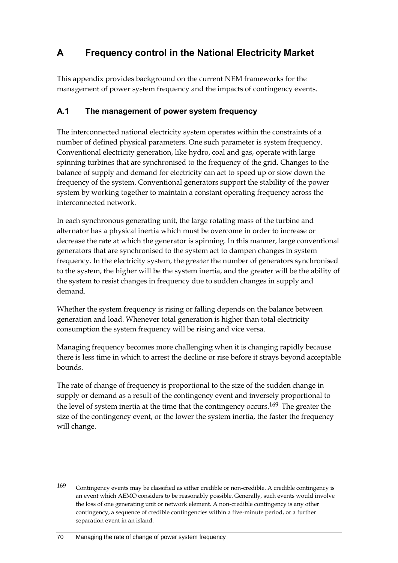# **A Frequency control in the National Electricity Market**

This appendix provides background on the current NEM frameworks for the management of power system frequency and the impacts of contingency events.

### **A.1 The management of power system frequency**

The interconnected national electricity system operates within the constraints of a number of defined physical parameters. One such parameter is system frequency. Conventional electricity generation, like hydro, coal and gas, operate with large spinning turbines that are synchronised to the frequency of the grid. Changes to the balance of supply and demand for electricity can act to speed up or slow down the frequency of the system. Conventional generators support the stability of the power system by working together to maintain a constant operating frequency across the interconnected network.

In each synchronous generating unit, the large rotating mass of the turbine and alternator has a physical inertia which must be overcome in order to increase or decrease the rate at which the generator is spinning. In this manner, large conventional generators that are synchronised to the system act to dampen changes in system frequency. In the electricity system, the greater the number of generators synchronised to the system, the higher will be the system inertia, and the greater will be the ability of the system to resist changes in frequency due to sudden changes in supply and demand.

Whether the system frequency is rising or falling depends on the balance between generation and load. Whenever total generation is higher than total electricity consumption the system frequency will be rising and vice versa.

Managing frequency becomes more challenging when it is changing rapidly because there is less time in which to arrest the decline or rise before it strays beyond acceptable bounds.

The rate of change of frequency is proportional to the size of the sudden change in supply or demand as a result of the contingency event and inversely proportional to the level of system inertia at the time that the contingency occurs.<sup>169</sup> The greater the size of the contingency event, or the lower the system inertia, the faster the frequency will change.

<sup>169</sup> Contingency events may be classified as either credible or non-credible. A credible contingency is an event which AEMO considers to be reasonably possible. Generally, such events would involve the loss of one generating unit or network element. A non-credible contingency is any other contingency, a sequence of credible contingencies within a five-minute period, or a further separation event in an island.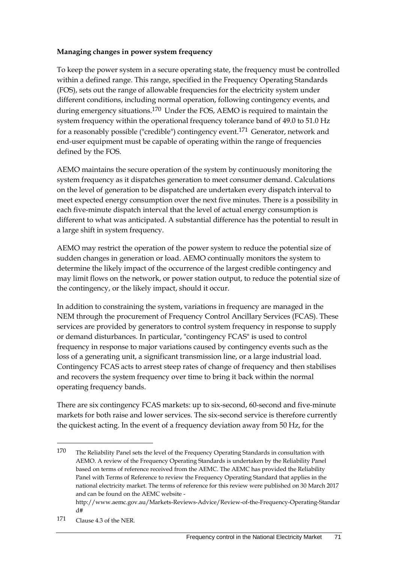#### **Managing changes in power system frequency**

To keep the power system in a secure operating state, the frequency must be controlled within a defined range. This range, specified in the Frequency Operating Standards (FOS), sets out the range of allowable frequencies for the electricity system under different conditions, including normal operation, following contingency events, and during emergency situations.170 Under the FOS, AEMO is required to maintain the system frequency within the operational frequency tolerance band of 49.0 to 51.0 Hz for a reasonably possible ("credible") contingency event.171 Generator, network and end-user equipment must be capable of operating within the range of frequencies defined by the FOS.

AEMO maintains the secure operation of the system by continuously monitoring the system frequency as it dispatches generation to meet consumer demand. Calculations on the level of generation to be dispatched are undertaken every dispatch interval to meet expected energy consumption over the next five minutes. There is a possibility in each five-minute dispatch interval that the level of actual energy consumption is different to what was anticipated. A substantial difference has the potential to result in a large shift in system frequency.

AEMO may restrict the operation of the power system to reduce the potential size of sudden changes in generation or load. AEMO continually monitors the system to determine the likely impact of the occurrence of the largest credible contingency and may limit flows on the network, or power station output, to reduce the potential size of the contingency, or the likely impact, should it occur.

In addition to constraining the system, variations in frequency are managed in the NEM through the procurement of Frequency Control Ancillary Services (FCAS). These services are provided by generators to control system frequency in response to supply or demand disturbances. In particular, "contingency FCAS" is used to control frequency in response to major variations caused by contingency events such as the loss of a generating unit, a significant transmission line, or a large industrial load. Contingency FCAS acts to arrest steep rates of change of frequency and then stabilises and recovers the system frequency over time to bring it back within the normal operating frequency bands.

There are six contingency FCAS markets: up to six-second, 60-second and five-minute markets for both raise and lower services. The six-second service is therefore currently the quickest acting. In the event of a frequency deviation away from 50 Hz, for the

<sup>170</sup> The Reliability Panel sets the level of the Frequency Operating Standards in consultation with AEMO. A review of the Frequency Operating Standards is undertaken by the Reliability Panel based on terms of reference received from the AEMC. The AEMC has provided the Reliability Panel with Terms of Reference to review the Frequency Operating Standard that applies in the national electricity market. The terms of reference for this review were published on 30 March 2017 and can be found on the AEMC website -

http://www.aemc.gov.au/Markets-Reviews-Advice/Review-of-the-Frequency-Operating-Standar d#

<sup>171</sup> Clause 4.3 of the NER.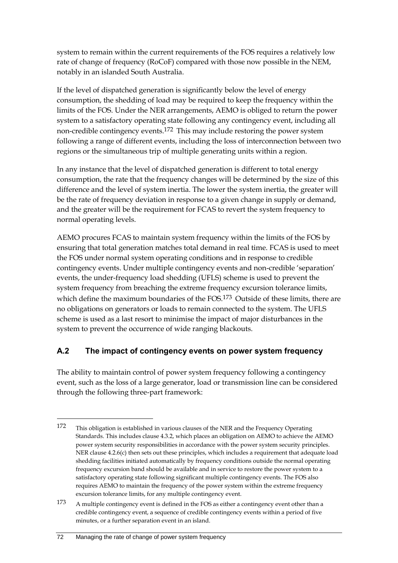system to remain within the current requirements of the FOS requires a relatively low rate of change of frequency (RoCoF) compared with those now possible in the NEM, notably in an islanded South Australia.

If the level of dispatched generation is significantly below the level of energy consumption, the shedding of load may be required to keep the frequency within the limits of the FOS. Under the NER arrangements, AEMO is obliged to return the power system to a satisfactory operating state following any contingency event, including all non-credible contingency events.172 This may include restoring the power system following a range of different events, including the loss of interconnection between two regions or the simultaneous trip of multiple generating units within a region.

In any instance that the level of dispatched generation is different to total energy consumption, the rate that the frequency changes will be determined by the size of this difference and the level of system inertia. The lower the system inertia, the greater will be the rate of frequency deviation in response to a given change in supply or demand, and the greater will be the requirement for FCAS to revert the system frequency to normal operating levels.

AEMO procures FCAS to maintain system frequency within the limits of the FOS by ensuring that total generation matches total demand in real time. FCAS is used to meet the FOS under normal system operating conditions and in response to credible contingency events. Under multiple contingency events and non-credible 'separation' events, the under-frequency load shedding (UFLS) scheme is used to prevent the system frequency from breaching the extreme frequency excursion tolerance limits, which define the maximum boundaries of the FOS.173 Outside of these limits, there are no obligations on generators or loads to remain connected to the system. The UFLS scheme is used as a last resort to minimise the impact of major disturbances in the system to prevent the occurrence of wide ranging blackouts.

### **A.2 The impact of contingency events on power system frequency**

The ability to maintain control of power system frequency following a contingency event, such as the loss of a large generator, load or transmission line can be considered through the following three-part framework:

<sup>172</sup> This obligation is established in various clauses of the NER and the Frequency Operating Standards. This includes clause 4.3.2, which places an obligation on AEMO to achieve the AEMO power system security responsibilities in accordance with the power system security principles. NER clause 4.2.6(c) then sets out these principles, which includes a requirement that adequate load shedding facilities initiated automatically by frequency conditions outside the normal operating frequency excursion band should be available and in service to restore the power system to a satisfactory operating state following significant multiple contingency events. The FOS also requires AEMO to maintain the frequency of the power system within the extreme frequency excursion tolerance limits, for any multiple contingency event.

<sup>173</sup> A multiple contingency event is defined in the FOS as either a contingency event other than a credible contingency event, a sequence of credible contingency events within a period of five minutes, or a further separation event in an island.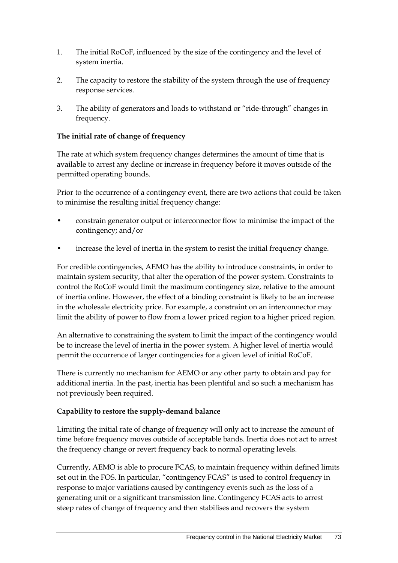- 1. The initial RoCoF, influenced by the size of the contingency and the level of system inertia.
- 2. The capacity to restore the stability of the system through the use of frequency response services.
- 3. The ability of generators and loads to withstand or "ride-through" changes in frequency.

#### **The initial rate of change of frequency**

The rate at which system frequency changes determines the amount of time that is available to arrest any decline or increase in frequency before it moves outside of the permitted operating bounds.

Prior to the occurrence of a contingency event, there are two actions that could be taken to minimise the resulting initial frequency change:

- constrain generator output or interconnector flow to minimise the impact of the contingency; and/or
- increase the level of inertia in the system to resist the initial frequency change.

For credible contingencies, AEMO has the ability to introduce constraints, in order to maintain system security, that alter the operation of the power system. Constraints to control the RoCoF would limit the maximum contingency size, relative to the amount of inertia online. However, the effect of a binding constraint is likely to be an increase in the wholesale electricity price. For example, a constraint on an interconnector may limit the ability of power to flow from a lower priced region to a higher priced region.

An alternative to constraining the system to limit the impact of the contingency would be to increase the level of inertia in the power system. A higher level of inertia would permit the occurrence of larger contingencies for a given level of initial RoCoF.

There is currently no mechanism for AEMO or any other party to obtain and pay for additional inertia. In the past, inertia has been plentiful and so such a mechanism has not previously been required.

#### **Capability to restore the supply-demand balance**

Limiting the initial rate of change of frequency will only act to increase the amount of time before frequency moves outside of acceptable bands. Inertia does not act to arrest the frequency change or revert frequency back to normal operating levels.

Currently, AEMO is able to procure FCAS, to maintain frequency within defined limits set out in the FOS. In particular, "contingency FCAS" is used to control frequency in response to major variations caused by contingency events such as the loss of a generating unit or a significant transmission line. Contingency FCAS acts to arrest steep rates of change of frequency and then stabilises and recovers the system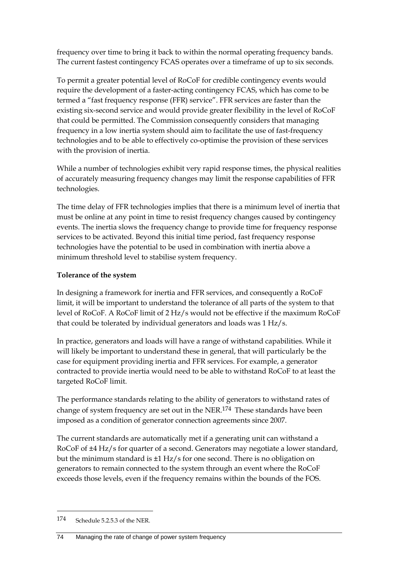frequency over time to bring it back to within the normal operating frequency bands. The current fastest contingency FCAS operates over a timeframe of up to six seconds.

To permit a greater potential level of RoCoF for credible contingency events would require the development of a faster-acting contingency FCAS, which has come to be termed a "fast frequency response (FFR) service". FFR services are faster than the existing six-second service and would provide greater flexibility in the level of RoCoF that could be permitted. The Commission consequently considers that managing frequency in a low inertia system should aim to facilitate the use of fast-frequency technologies and to be able to effectively co-optimise the provision of these services with the provision of inertia.

While a number of technologies exhibit very rapid response times, the physical realities of accurately measuring frequency changes may limit the response capabilities of FFR technologies.

The time delay of FFR technologies implies that there is a minimum level of inertia that must be online at any point in time to resist frequency changes caused by contingency events. The inertia slows the frequency change to provide time for frequency response services to be activated. Beyond this initial time period, fast frequency response technologies have the potential to be used in combination with inertia above a minimum threshold level to stabilise system frequency.

#### **Tolerance of the system**

In designing a framework for inertia and FFR services, and consequently a RoCoF limit, it will be important to understand the tolerance of all parts of the system to that level of RoCoF. A RoCoF limit of 2 Hz/s would not be effective if the maximum RoCoF that could be tolerated by individual generators and loads was 1 Hz/s.

In practice, generators and loads will have a range of withstand capabilities. While it will likely be important to understand these in general, that will particularly be the case for equipment providing inertia and FFR services. For example, a generator contracted to provide inertia would need to be able to withstand RoCoF to at least the targeted RoCoF limit.

The performance standards relating to the ability of generators to withstand rates of change of system frequency are set out in the NER.<sup>174</sup> These standards have been imposed as a condition of generator connection agreements since 2007.

The current standards are automatically met if a generating unit can withstand a RoCoF of ±4 Hz/s for quarter of a second. Generators may negotiate a lower standard, but the minimum standard is ±1 Hz/s for one second. There is no obligation on generators to remain connected to the system through an event where the RoCoF exceeds those levels, even if the frequency remains within the bounds of the FOS.

<sup>174</sup> Schedule 5.2.5.3 of the NER.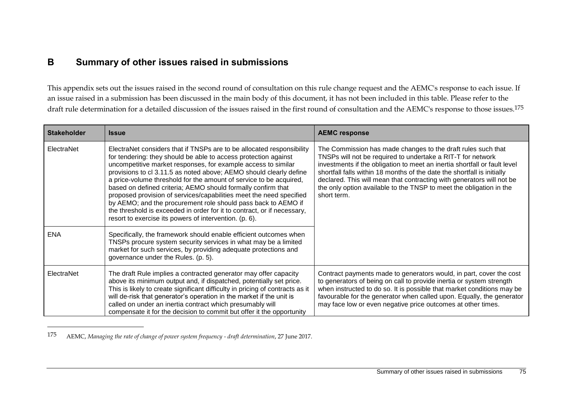## **B Summary of other issues raised in submissions**

This appendix sets out the issues raised in the second round of consultation on this rule change request and the AEMC's response to each issue. If an issue raised in a submission has been discussed in the main body of this document, it has not been included in this table. Please refer to the draft rule determination for a detailed discussion of the issues raised in the first round of consultation and the AEMC's response to those issues.<sup>175</sup>

| <b>Stakeholder</b> | <b>Issue</b>                                                                                                                                                                                                                                                                                                                                                                                                                                                                                                                                                                                                                                                                                       | <b>AEMC response</b>                                                                                                                                                                                                                                                                                                                                                                                                                               |
|--------------------|----------------------------------------------------------------------------------------------------------------------------------------------------------------------------------------------------------------------------------------------------------------------------------------------------------------------------------------------------------------------------------------------------------------------------------------------------------------------------------------------------------------------------------------------------------------------------------------------------------------------------------------------------------------------------------------------------|----------------------------------------------------------------------------------------------------------------------------------------------------------------------------------------------------------------------------------------------------------------------------------------------------------------------------------------------------------------------------------------------------------------------------------------------------|
| ElectraNet         | ElectraNet considers that if TNSPs are to be allocated responsibility<br>for tendering: they should be able to access protection against<br>uncompetitive market responses, for example access to similar<br>provisions to cl 3.11.5 as noted above; AEMO should clearly define<br>a price-volume threshold for the amount of service to be acquired,<br>based on defined criteria; AEMO should formally confirm that<br>proposed provision of services/capabilities meet the need specified<br>by AEMO; and the procurement role should pass back to AEMO if<br>the threshold is exceeded in order for it to contract, or if necessary,<br>resort to exercise its powers of intervention. (p. 6). | The Commission has made changes to the draft rules such that<br>TNSPs will not be required to undertake a RIT-T for network<br>investments if the obligation to meet an inertia shortfall or fault level<br>shortfall falls within 18 months of the date the shortfall is initially<br>declared. This will mean that contracting with generators will not be<br>the only option available to the TNSP to meet the obligation in the<br>short term. |
| <b>ENA</b>         | Specifically, the framework should enable efficient outcomes when<br>TNSPs procure system security services in what may be a limited<br>market for such services, by providing adequate protections and<br>governance under the Rules. (p. 5).                                                                                                                                                                                                                                                                                                                                                                                                                                                     |                                                                                                                                                                                                                                                                                                                                                                                                                                                    |
| ElectraNet         | The draft Rule implies a contracted generator may offer capacity<br>above its minimum output and, if dispatched, potentially set price.<br>This is likely to create significant difficulty in pricing of contracts as it<br>will de-risk that generator's operation in the market if the unit is<br>called on under an inertia contract which presumably will<br>compensate it for the decision to commit but offer it the opportunity                                                                                                                                                                                                                                                             | Contract payments made to generators would, in part, cover the cost<br>to generators of being on call to provide inertia or system strength<br>when instructed to do so. It is possible that market conditions may be<br>favourable for the generator when called upon. Equally, the generator<br>may face low or even negative price outcomes at other times.                                                                                     |

<sup>175</sup> AEMC, *Managing the rate of change of power system frequency - draft determination*, 27 June 2017.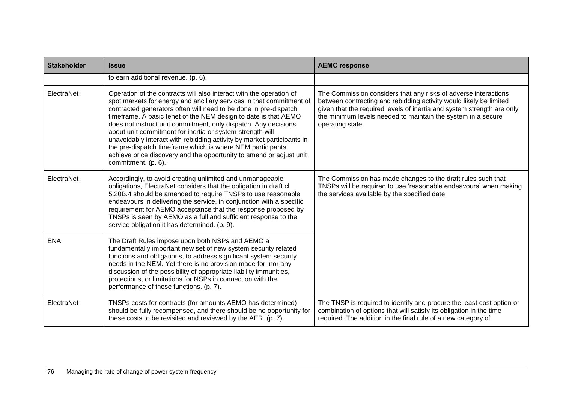| <b>Stakeholder</b> | <b>Issue</b>                                                                                                                                                                                                                                                                                                                                                                                                                                                                                                                                                                                                                                             | <b>AEMC response</b>                                                                                                                                                                                                                                                                                |
|--------------------|----------------------------------------------------------------------------------------------------------------------------------------------------------------------------------------------------------------------------------------------------------------------------------------------------------------------------------------------------------------------------------------------------------------------------------------------------------------------------------------------------------------------------------------------------------------------------------------------------------------------------------------------------------|-----------------------------------------------------------------------------------------------------------------------------------------------------------------------------------------------------------------------------------------------------------------------------------------------------|
|                    | to earn additional revenue. (p. 6).                                                                                                                                                                                                                                                                                                                                                                                                                                                                                                                                                                                                                      |                                                                                                                                                                                                                                                                                                     |
| ElectraNet         | Operation of the contracts will also interact with the operation of<br>spot markets for energy and ancillary services in that commitment of<br>contracted generators often will need to be done in pre-dispatch<br>timeframe. A basic tenet of the NEM design to date is that AEMO<br>does not instruct unit commitment, only dispatch. Any decisions<br>about unit commitment for inertia or system strength will<br>unavoidably interact with rebidding activity by market participants in<br>the pre-dispatch timeframe which is where NEM participants<br>achieve price discovery and the opportunity to amend or adjust unit<br>commitment. (p. 6). | The Commission considers that any risks of adverse interactions<br>between contracting and rebidding activity would likely be limited<br>given that the required levels of inertia and system strength are only<br>the minimum levels needed to maintain the system in a secure<br>operating state. |
| ElectraNet         | Accordingly, to avoid creating unlimited and unmanageable<br>obligations, ElectraNet considers that the obligation in draft cl<br>5.20B.4 should be amended to require TNSPs to use reasonable<br>endeavours in delivering the service, in conjunction with a specific<br>requirement for AEMO acceptance that the response proposed by<br>TNSPs is seen by AEMO as a full and sufficient response to the<br>service obligation it has determined. (p. 9).                                                                                                                                                                                               | The Commission has made changes to the draft rules such that<br>TNSPs will be required to use 'reasonable endeavours' when making<br>the services available by the specified date.                                                                                                                  |
| <b>ENA</b>         | The Draft Rules impose upon both NSPs and AEMO a<br>fundamentally important new set of new system security related<br>functions and obligations, to address significant system security<br>needs in the NEM. Yet there is no provision made for, nor any<br>discussion of the possibility of appropriate liability immunities,<br>protections, or limitations for NSPs in connection with the<br>performance of these functions. (p. 7).                                                                                                                                                                                                                 |                                                                                                                                                                                                                                                                                                     |
| ElectraNet         | TNSPs costs for contracts (for amounts AEMO has determined)<br>should be fully recompensed, and there should be no opportunity for<br>these costs to be revisited and reviewed by the AER. (p. 7).                                                                                                                                                                                                                                                                                                                                                                                                                                                       | The TNSP is required to identify and procure the least cost option or<br>combination of options that will satisfy its obligation in the time<br>required. The addition in the final rule of a new category of                                                                                       |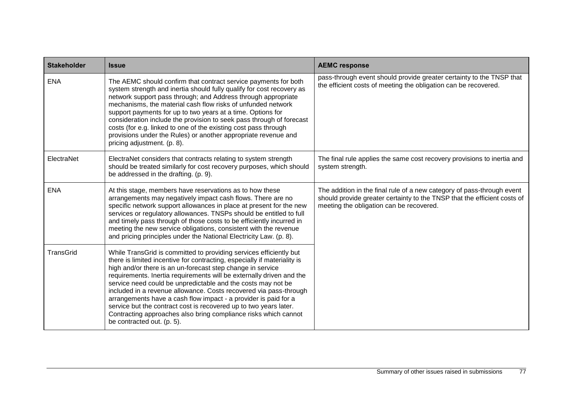| <b>Stakeholder</b> | <b>Issue</b>                                                                                                                                                                                                                                                                                                                                                                                                                                                                                                                                                                                                                                                       | <b>AEMC response</b>                                                                                                                                                                           |
|--------------------|--------------------------------------------------------------------------------------------------------------------------------------------------------------------------------------------------------------------------------------------------------------------------------------------------------------------------------------------------------------------------------------------------------------------------------------------------------------------------------------------------------------------------------------------------------------------------------------------------------------------------------------------------------------------|------------------------------------------------------------------------------------------------------------------------------------------------------------------------------------------------|
| <b>ENA</b>         | The AEMC should confirm that contract service payments for both<br>system strength and inertia should fully qualify for cost recovery as<br>network support pass through; and Address through appropriate<br>mechanisms, the material cash flow risks of unfunded network<br>support payments for up to two years at a time. Options for<br>consideration include the provision to seek pass through of forecast<br>costs (for e.g. linked to one of the existing cost pass through<br>provisions under the Rules) or another appropriate revenue and<br>pricing adjustment. (p. 8).                                                                               | pass-through event should provide greater certainty to the TNSP that<br>the efficient costs of meeting the obligation can be recovered.                                                        |
| ElectraNet         | ElectraNet considers that contracts relating to system strength<br>should be treated similarly for cost recovery purposes, which should<br>be addressed in the drafting. (p. 9).                                                                                                                                                                                                                                                                                                                                                                                                                                                                                   | The final rule applies the same cost recovery provisions to inertia and<br>system strength.                                                                                                    |
| <b>ENA</b>         | At this stage, members have reservations as to how these<br>arrangements may negatively impact cash flows. There are no<br>specific network support allowances in place at present for the new<br>services or regulatory allowances. TNSPs should be entitled to full<br>and timely pass through of those costs to be efficiently incurred in<br>meeting the new service obligations, consistent with the revenue<br>and pricing principles under the National Electricity Law. (p. 8).                                                                                                                                                                            | The addition in the final rule of a new category of pass-through event<br>should provide greater certainty to the TNSP that the efficient costs of<br>meeting the obligation can be recovered. |
| TransGrid          | While TransGrid is committed to providing services efficiently but<br>there is limited incentive for contracting, especially if materiality is<br>high and/or there is an un-forecast step change in service<br>requirements. Inertia requirements will be externally driven and the<br>service need could be unpredictable and the costs may not be<br>included in a revenue allowance. Costs recovered via pass-through<br>arrangements have a cash flow impact - a provider is paid for a<br>service but the contract cost is recovered up to two years later.<br>Contracting approaches also bring compliance risks which cannot<br>be contracted out. (p. 5). |                                                                                                                                                                                                |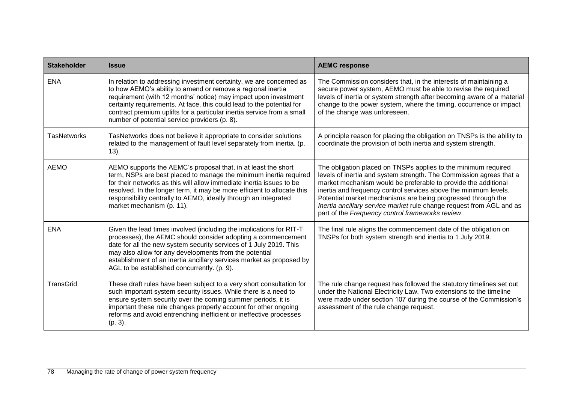| <b>Stakeholder</b> | <b>Issue</b>                                                                                                                                                                                                                                                                                                                                                                                              | <b>AEMC response</b>                                                                                                                                                                                                                                                                                                                                                                                                                                                    |
|--------------------|-----------------------------------------------------------------------------------------------------------------------------------------------------------------------------------------------------------------------------------------------------------------------------------------------------------------------------------------------------------------------------------------------------------|-------------------------------------------------------------------------------------------------------------------------------------------------------------------------------------------------------------------------------------------------------------------------------------------------------------------------------------------------------------------------------------------------------------------------------------------------------------------------|
| <b>ENA</b>         | In relation to addressing investment certainty, we are concerned as<br>to how AEMO's ability to amend or remove a regional inertia<br>requirement (with 12 months' notice) may impact upon investment<br>certainty requirements. At face, this could lead to the potential for<br>contract premium uplifts for a particular inertia service from a small<br>number of potential service providers (p. 8). | The Commission considers that, in the interests of maintaining a<br>secure power system, AEMO must be able to revise the required<br>levels of inertia or system strength after becoming aware of a material<br>change to the power system, where the timing, occurrence or impact<br>of the change was unforeseen.                                                                                                                                                     |
| <b>TasNetworks</b> | TasNetworks does not believe it appropriate to consider solutions<br>related to the management of fault level separately from inertia. (p.<br>$13$ ).                                                                                                                                                                                                                                                     | A principle reason for placing the obligation on TNSPs is the ability to<br>coordinate the provision of both inertia and system strength.                                                                                                                                                                                                                                                                                                                               |
| <b>AEMO</b>        | AEMO supports the AEMC's proposal that, in at least the short<br>term, NSPs are best placed to manage the minimum inertia required<br>for their networks as this will allow immediate inertia issues to be<br>resolved. In the longer term, it may be more efficient to allocate this<br>responsibility centrally to AEMO, ideally through an integrated<br>market mechanism (p. 11).                     | The obligation placed on TNSPs applies to the minimum required<br>levels of inertia and system strength. The Commission agrees that a<br>market mechanism would be preferable to provide the additional<br>inertia and frequency control services above the minimum levels.<br>Potential market mechanisms are being progressed through the<br>Inertia ancillary service market rule change request from AGL and as<br>part of the Frequency control frameworks review. |
| <b>ENA</b>         | Given the lead times involved (including the implications for RIT-T<br>processes), the AEMC should consider adopting a commencement<br>date for all the new system security services of 1 July 2019. This<br>may also allow for any developments from the potential<br>establishment of an inertia ancillary services market as proposed by<br>AGL to be established concurrently. (p. 9).                | The final rule aligns the commencement date of the obligation on<br>TNSPs for both system strength and inertia to 1 July 2019.                                                                                                                                                                                                                                                                                                                                          |
| <b>TransGrid</b>   | These draft rules have been subject to a very short consultation for<br>such important system security issues. While there is a need to<br>ensure system security over the coming summer periods, it is<br>important these rule changes properly account for other ongoing<br>reforms and avoid entrenching inefficient or ineffective processes<br>$(p. 3)$ .                                            | The rule change request has followed the statutory timelines set out<br>under the National Electricity Law. Two extensions to the timeline<br>were made under section 107 during the course of the Commission's<br>assessment of the rule change request.                                                                                                                                                                                                               |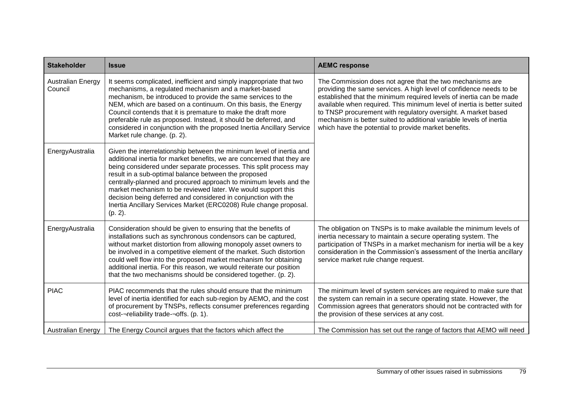| <b>Stakeholder</b>                  | <b>Issue</b>                                                                                                                                                                                                                                                                                                                                                                                                                                                                                                                                                          | <b>AEMC response</b>                                                                                                                                                                                                                                                                                                                                                                                                                                                               |
|-------------------------------------|-----------------------------------------------------------------------------------------------------------------------------------------------------------------------------------------------------------------------------------------------------------------------------------------------------------------------------------------------------------------------------------------------------------------------------------------------------------------------------------------------------------------------------------------------------------------------|------------------------------------------------------------------------------------------------------------------------------------------------------------------------------------------------------------------------------------------------------------------------------------------------------------------------------------------------------------------------------------------------------------------------------------------------------------------------------------|
| <b>Australian Energy</b><br>Council | It seems complicated, inefficient and simply inappropriate that two<br>mechanisms, a regulated mechanism and a market-based<br>mechanism, be introduced to provide the same services to the<br>NEM, which are based on a continuum. On this basis, the Energy<br>Council contends that it is premature to make the draft more<br>preferable rule as proposed. Instead, it should be deferred, and<br>considered in conjunction with the proposed Inertia Ancillary Service<br>Market rule change. (p. 2).                                                             | The Commission does not agree that the two mechanisms are<br>providing the same services. A high level of confidence needs to be<br>established that the minimum required levels of inertia can be made<br>available when required. This minimum level of inertia is better suited<br>to TNSP procurement with regulatory oversight. A market based<br>mechanism is better suited to additional variable levels of inertia<br>which have the potential to provide market benefits. |
| EnergyAustralia                     | Given the interrelationship between the minimum level of inertia and<br>additional inertia for market benefits, we are concerned that they are<br>being considered under separate processes. This split process may<br>result in a sub-optimal balance between the proposed<br>centrally-planned and procured approach to minimum levels and the<br>market mechanism to be reviewed later. We would support this<br>decision being deferred and considered in conjunction with the<br>Inertia Ancillary Services Market (ERC0208) Rule change proposal.<br>$(p. 2)$ . |                                                                                                                                                                                                                                                                                                                                                                                                                                                                                    |
| EnergyAustralia                     | Consideration should be given to ensuring that the benefits of<br>installations such as synchronous condensors can be captured,<br>without market distortion from allowing monopoly asset owners to<br>be involved in a competitive element of the market. Such distortion<br>could well flow into the proposed market mechanism for obtaining<br>additional inertia. For this reason, we would reiterate our position<br>that the two mechanisms should be considered together. (p. 2).                                                                              | The obligation on TNSPs is to make available the minimum levels of<br>inertia necessary to maintain a secure operating system. The<br>participation of TNSPs in a market mechanism for inertia will be a key<br>consideration in the Commission's assessment of the Inertia ancillary<br>service market rule change request.                                                                                                                                                       |
| <b>PIAC</b>                         | PIAC recommends that the rules should ensure that the minimum<br>level of inertia identified for each sub-region by AEMO, and the cost<br>of procurement by TNSPs, reflects consumer preferences regarding<br>cost-¬reliability trade-¬offs. (p. 1).                                                                                                                                                                                                                                                                                                                  | The minimum level of system services are required to make sure that<br>the system can remain in a secure operating state. However, the<br>Commission agrees that generators should not be contracted with for<br>the provision of these services at any cost.                                                                                                                                                                                                                      |
| <b>Australian Energy</b>            | The Energy Council argues that the factors which affect the                                                                                                                                                                                                                                                                                                                                                                                                                                                                                                           | The Commission has set out the range of factors that AEMO will need                                                                                                                                                                                                                                                                                                                                                                                                                |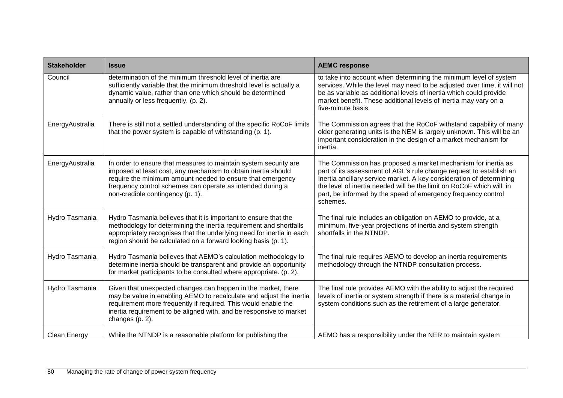| <b>Stakeholder</b> | <b>Issue</b>                                                                                                                                                                                                                                                                                      | <b>AEMC response</b>                                                                                                                                                                                                                                                                                                                                               |
|--------------------|---------------------------------------------------------------------------------------------------------------------------------------------------------------------------------------------------------------------------------------------------------------------------------------------------|--------------------------------------------------------------------------------------------------------------------------------------------------------------------------------------------------------------------------------------------------------------------------------------------------------------------------------------------------------------------|
| Council            | determination of the minimum threshold level of inertia are<br>sufficiently variable that the minimum threshold level is actually a<br>dynamic value, rather than one which should be determined<br>annually or less frequently. (p. 2).                                                          | to take into account when determining the minimum level of system<br>services. While the level may need to be adjusted over time, it will not<br>be as variable as additional levels of inertia which could provide<br>market benefit. These additional levels of inertia may vary on a<br>five-minute basis.                                                      |
| EnergyAustralia    | There is still not a settled understanding of the specific RoCoF limits<br>that the power system is capable of withstanding (p. 1).                                                                                                                                                               | The Commission agrees that the RoCoF withstand capability of many<br>older generating units is the NEM is largely unknown. This will be an<br>important consideration in the design of a market mechanism for<br>inertia.                                                                                                                                          |
| EnergyAustralia    | In order to ensure that measures to maintain system security are<br>imposed at least cost, any mechanism to obtain inertia should<br>require the minimum amount needed to ensure that emergency<br>frequency control schemes can operate as intended during a<br>non-credible contingency (p. 1). | The Commission has proposed a market mechanism for inertia as<br>part of its assessment of AGL's rule change request to establish an<br>Inertia ancillary service market. A key consideration of determining<br>the level of inertia needed will be the limit on RoCoF which will, in<br>part, be informed by the speed of emergency frequency control<br>schemes. |
| Hydro Tasmania     | Hydro Tasmania believes that it is important to ensure that the<br>methodology for determining the inertia requirement and shortfalls<br>appropriately recognises that the underlying need for inertia in each<br>region should be calculated on a forward looking basis (p. 1).                  | The final rule includes an obligation on AEMO to provide, at a<br>minimum, five-year projections of inertia and system strength<br>shortfalls in the NTNDP.                                                                                                                                                                                                        |
| Hydro Tasmania     | Hydro Tasmania believes that AEMO's calculation methodology to<br>determine inertia should be transparent and provide an opportunity<br>for market participants to be consulted where appropriate. (p. 2).                                                                                        | The final rule requires AEMO to develop an inertia requirements<br>methodology through the NTNDP consultation process.                                                                                                                                                                                                                                             |
| Hydro Tasmania     | Given that unexpected changes can happen in the market, there<br>may be value in enabling AEMO to recalculate and adjust the inertia<br>requirement more frequently if required. This would enable the<br>inertia requirement to be aligned with, and be responsive to market<br>changes (p. 2).  | The final rule provides AEMO with the ability to adjust the required<br>levels of inertia or system strength if there is a material change in<br>system conditions such as the retirement of a large generator.                                                                                                                                                    |
| Clean Energy       | While the NTNDP is a reasonable platform for publishing the                                                                                                                                                                                                                                       | AEMO has a responsibility under the NER to maintain system                                                                                                                                                                                                                                                                                                         |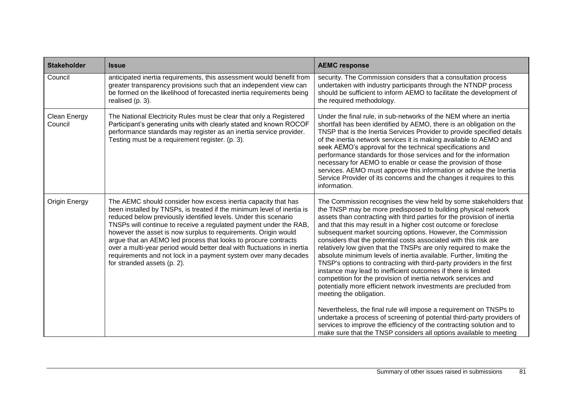| <b>Stakeholder</b>      | <b>Issue</b>                                                                                                                                                                                                                                                                                                                                                                                                                                                                                                                                                                                     | <b>AEMC response</b>                                                                                                                                                                                                                                                                                                                                                                                                                                                                                                                                                                                                                                                                                                                                                                                                                                                                                                                                                                                                                                                                                                                                                     |
|-------------------------|--------------------------------------------------------------------------------------------------------------------------------------------------------------------------------------------------------------------------------------------------------------------------------------------------------------------------------------------------------------------------------------------------------------------------------------------------------------------------------------------------------------------------------------------------------------------------------------------------|--------------------------------------------------------------------------------------------------------------------------------------------------------------------------------------------------------------------------------------------------------------------------------------------------------------------------------------------------------------------------------------------------------------------------------------------------------------------------------------------------------------------------------------------------------------------------------------------------------------------------------------------------------------------------------------------------------------------------------------------------------------------------------------------------------------------------------------------------------------------------------------------------------------------------------------------------------------------------------------------------------------------------------------------------------------------------------------------------------------------------------------------------------------------------|
| Council                 | anticipated inertia requirements, this assessment would benefit from<br>greater transparency provisions such that an independent view can<br>be formed on the likelihood of forecasted inertia requirements being<br>realised $(p. 3)$ .                                                                                                                                                                                                                                                                                                                                                         | security. The Commission considers that a consultation process<br>undertaken with industry participants through the NTNDP process<br>should be sufficient to inform AEMO to facilitate the development of<br>the required methodology.                                                                                                                                                                                                                                                                                                                                                                                                                                                                                                                                                                                                                                                                                                                                                                                                                                                                                                                                   |
| Clean Energy<br>Council | The National Electricity Rules must be clear that only a Registered<br>Participant's generating units with clearly stated and known ROCOF<br>performance standards may register as an inertia service provider.<br>Testing must be a requirement register. (p. 3).                                                                                                                                                                                                                                                                                                                               | Under the final rule, in sub-networks of the NEM where an inertia<br>shortfall has been identified by AEMO, there is an obligation on the<br>TNSP that is the Inertia Services Provider to provide specified details<br>of the inertia network services it is making available to AEMO and<br>seek AEMO's approval for the technical specifications and<br>performance standards for those services and for the information<br>necessary for AEMO to enable or cease the provision of those<br>services. AEMO must approve this information or advise the Inertia<br>Service Provider of its concerns and the changes it requires to this<br>information.                                                                                                                                                                                                                                                                                                                                                                                                                                                                                                                |
| Origin Energy           | The AEMC should consider how excess inertia capacity that has<br>been installed by TNSPs, is treated if the minimum level of inertia is<br>reduced below previously identified levels. Under this scenario<br>TNSPs will continue to receive a regulated payment under the RAB,<br>however the asset is now surplus to requirements. Origin would<br>argue that an AEMO led process that looks to procure contracts<br>over a multi-year period would better deal with fluctuations in inertia<br>requirements and not lock in a payment system over many decades<br>for stranded assets (p. 2). | The Commission recognises the view held by some stakeholders that<br>the TNSP may be more predisposed to building physical network<br>assets than contracting with third parties for the provision of inertia<br>and that this may result in a higher cost outcome or foreclose<br>subsequent market sourcing options. However, the Commission<br>considers that the potential costs associated with this risk are<br>relatively low given that the TNSPs are only required to make the<br>absolute minimum levels of inertia available. Further, limiting the<br>TNSP's options to contracting with third-party providers in the first<br>instance may lead to inefficient outcomes if there is limited<br>competition for the provision of inertia network services and<br>potentially more efficient network investments are precluded from<br>meeting the obligation.<br>Nevertheless, the final rule will impose a requirement on TNSPs to<br>undertake a process of screening of potential third-party providers of<br>services to improve the efficiency of the contracting solution and to<br>make sure that the TNSP considers all options available to meeting |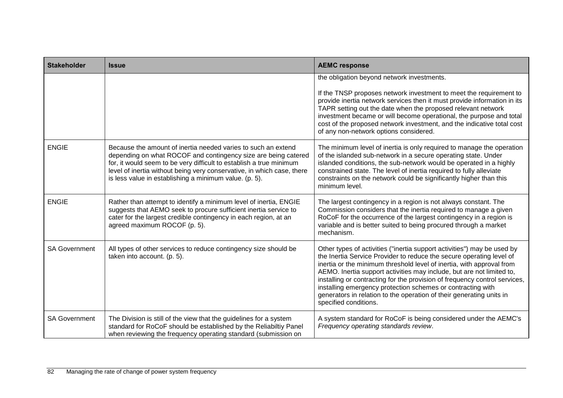| <b>Stakeholder</b>   | <b>Issue</b>                                                                                                                                                                                                                                                                                                                               | <b>AEMC response</b>                                                                                                                                                                                                                                                                                                                                                                                                                                                                                                                            |
|----------------------|--------------------------------------------------------------------------------------------------------------------------------------------------------------------------------------------------------------------------------------------------------------------------------------------------------------------------------------------|-------------------------------------------------------------------------------------------------------------------------------------------------------------------------------------------------------------------------------------------------------------------------------------------------------------------------------------------------------------------------------------------------------------------------------------------------------------------------------------------------------------------------------------------------|
|                      |                                                                                                                                                                                                                                                                                                                                            | the obligation beyond network investments.<br>If the TNSP proposes network investment to meet the requirement to<br>provide inertia network services then it must provide information in its<br>TAPR setting out the date when the proposed relevant network<br>investment became or will become operational, the purpose and total<br>cost of the proposed network investment, and the indicative total cost<br>of any non-network options considered.                                                                                         |
| <b>ENGIE</b>         | Because the amount of inertia needed varies to such an extend<br>depending on what ROCOF and contingency size are being catered<br>for, it would seem to be very difficult to establish a true minimum<br>level of inertia without being very conservative, in which case, there<br>is less value in establishing a minimum value. (p. 5). | The minimum level of inertia is only required to manage the operation<br>of the islanded sub-network in a secure operating state. Under<br>islanded conditions, the sub-network would be operated in a highly<br>constrained state. The level of inertia required to fully alleviate<br>constraints on the network could be significantly higher than this<br>minimum level.                                                                                                                                                                    |
| <b>ENGIE</b>         | Rather than attempt to identify a minimum level of inertia, ENGIE<br>suggests that AEMO seek to procure sufficient inertia service to<br>cater for the largest credible contingency in each region, at an<br>agreed maximum ROCOF (p. 5).                                                                                                  | The largest contingency in a region is not always constant. The<br>Commission considers that the inertia required to manage a given<br>RoCoF for the occurrence of the largest contingency in a region is<br>variable and is better suited to being procured through a market<br>mechanism.                                                                                                                                                                                                                                                     |
| <b>SA Government</b> | All types of other services to reduce contingency size should be<br>taken into account. (p. 5).                                                                                                                                                                                                                                            | Other types of activities ("inertia support activities") may be used by<br>the Inertia Service Provider to reduce the secure operating level of<br>inertia or the minimum threshold level of inertia, with approval from<br>AEMO. Inertia support activities may include, but are not limited to,<br>installing or contracting for the provision of frequency control services,<br>installing emergency protection schemes or contracting with<br>generators in relation to the operation of their generating units in<br>specified conditions. |
| <b>SA Government</b> | The Division is still of the view that the guidelines for a system<br>standard for RoCoF should be established by the Reliabiltiy Panel<br>when reviewing the frequency operating standard (submission on                                                                                                                                  | A system standard for RoCoF is being considered under the AEMC's<br>Frequency operating standards review.                                                                                                                                                                                                                                                                                                                                                                                                                                       |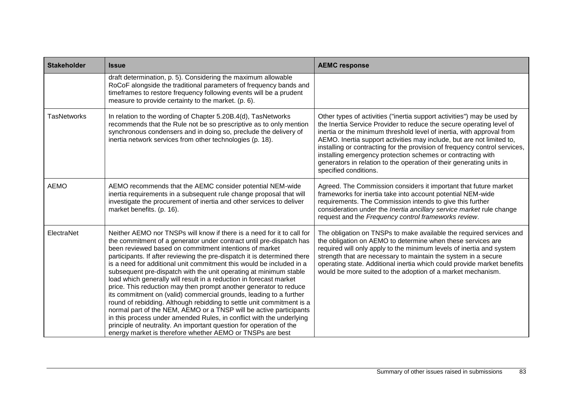| <b>Stakeholder</b> | <b>Issue</b>                                                                                                                                                                                                                                                                                                                                                                                                                                                                                                                                                                                                                                                                                                                                                                                                                                                                                                                                                                                                 | <b>AEMC response</b>                                                                                                                                                                                                                                                                                                                                                                                                                                                                                                                            |
|--------------------|--------------------------------------------------------------------------------------------------------------------------------------------------------------------------------------------------------------------------------------------------------------------------------------------------------------------------------------------------------------------------------------------------------------------------------------------------------------------------------------------------------------------------------------------------------------------------------------------------------------------------------------------------------------------------------------------------------------------------------------------------------------------------------------------------------------------------------------------------------------------------------------------------------------------------------------------------------------------------------------------------------------|-------------------------------------------------------------------------------------------------------------------------------------------------------------------------------------------------------------------------------------------------------------------------------------------------------------------------------------------------------------------------------------------------------------------------------------------------------------------------------------------------------------------------------------------------|
|                    | draft determination, p. 5). Considering the maximum allowable<br>RoCoF alongside the traditional parameters of frequency bands and<br>timeframes to restore frequency following events will be a prudent<br>measure to provide certainty to the market. (p. 6).                                                                                                                                                                                                                                                                                                                                                                                                                                                                                                                                                                                                                                                                                                                                              |                                                                                                                                                                                                                                                                                                                                                                                                                                                                                                                                                 |
| <b>TasNetworks</b> | In relation to the wording of Chapter 5.20B.4(d), TasNetworks<br>recommends that the Rule not be so prescriptive as to only mention<br>synchronous condensers and in doing so, preclude the delivery of<br>inertia network services from other technologies (p. 18).                                                                                                                                                                                                                                                                                                                                                                                                                                                                                                                                                                                                                                                                                                                                         | Other types of activities ("inertia support activities") may be used by<br>the Inertia Service Provider to reduce the secure operating level of<br>inertia or the minimum threshold level of inertia, with approval from<br>AEMO. Inertia support activities may include, but are not limited to,<br>installing or contracting for the provision of frequency control services,<br>installing emergency protection schemes or contracting with<br>generators in relation to the operation of their generating units in<br>specified conditions. |
| <b>AEMO</b>        | AEMO recommends that the AEMC consider potential NEM-wide<br>inertia requirements in a subsequent rule change proposal that will<br>investigate the procurement of inertia and other services to deliver<br>market benefits. (p. 16).                                                                                                                                                                                                                                                                                                                                                                                                                                                                                                                                                                                                                                                                                                                                                                        | Agreed. The Commission considers it important that future market<br>frameworks for inertia take into account potential NEM-wide<br>requirements. The Commission intends to give this further<br>consideration under the Inertia ancillary service market rule change<br>request and the Frequency control frameworks review.                                                                                                                                                                                                                    |
| ElectraNet         | Neither AEMO nor TNSPs will know if there is a need for it to call for<br>the commitment of a generator under contract until pre-dispatch has<br>been reviewed based on commitment intentions of market<br>participants. If after reviewing the pre-dispatch it is determined there<br>is a need for additional unit commitment this would be included in a<br>subsequent pre-dispatch with the unit operating at minimum stable<br>load which generally will result in a reduction in forecast market<br>price. This reduction may then prompt another generator to reduce<br>its commitment on (valid) commercial grounds, leading to a further<br>round of rebidding. Although rebidding to settle unit commitment is a<br>normal part of the NEM, AEMO or a TNSP will be active participants<br>in this process under amended Rules, in conflict with the underlying<br>principle of neutrality. An important question for operation of the<br>energy market is therefore whether AEMO or TNSPs are best | The obligation on TNSPs to make available the required services and<br>the obligation on AEMO to determine when these services are<br>required will only apply to the minimum levels of inertia and system<br>strength that are necessary to maintain the system in a secure<br>operating state. Additional inertia which could provide market benefits<br>would be more suited to the adoption of a market mechanism.                                                                                                                          |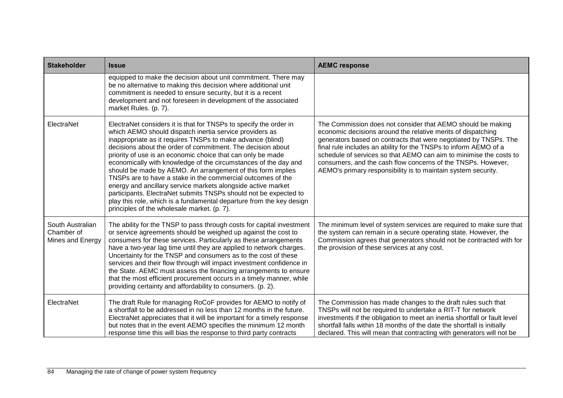| <b>Stakeholder</b>                                 | <b>Issue</b>                                                                                                                                                                                                                                                                                                                                                                                                                                                                                                                                                                                                                                                                                                                                                                         | <b>AEMC response</b>                                                                                                                                                                                                                                                                                                                                                                                                                                                       |
|----------------------------------------------------|--------------------------------------------------------------------------------------------------------------------------------------------------------------------------------------------------------------------------------------------------------------------------------------------------------------------------------------------------------------------------------------------------------------------------------------------------------------------------------------------------------------------------------------------------------------------------------------------------------------------------------------------------------------------------------------------------------------------------------------------------------------------------------------|----------------------------------------------------------------------------------------------------------------------------------------------------------------------------------------------------------------------------------------------------------------------------------------------------------------------------------------------------------------------------------------------------------------------------------------------------------------------------|
|                                                    | equipped to make the decision about unit commitment. There may<br>be no alternative to making this decision where additional unit<br>commitment is needed to ensure security, but it is a recent<br>development and not foreseen in development of the associated<br>market Rules. (p. 7).                                                                                                                                                                                                                                                                                                                                                                                                                                                                                           |                                                                                                                                                                                                                                                                                                                                                                                                                                                                            |
| ElectraNet                                         | ElectraNet considers it is that for TNSPs to specify the order in<br>which AEMO should dispatch inertia service providers as<br>inappropriate as it requires TNSPs to make advance (blind)<br>decisions about the order of commitment. The decision about<br>priority of use is an economic choice that can only be made<br>economically with knowledge of the circumstances of the day and<br>should be made by AEMO. An arrangement of this form implies<br>TNSPs are to have a stake in the commercial outcomes of the<br>energy and ancillary service markets alongside active market<br>participants. ElectraNet submits TNSPs should not be expected to<br>play this role, which is a fundamental departure from the key design<br>principles of the wholesale market. (p. 7). | The Commission does not consider that AEMO should be making<br>economic decisions around the relative merits of dispatching<br>generators based on contracts that were negotiated by TNSPs. The<br>final rule includes an ability for the TNSPs to inform AEMO of a<br>schedule of services so that AEMO can aim to minimise the costs to<br>consumers, and the cash flow concerns of the TNSPs. However,<br>AEMO's primary responsibility is to maintain system security. |
| South Australian<br>Chamber of<br>Mines and Energy | The ability for the TNSP to pass through costs for capital investment<br>or service agreements should be weighed up against the cost to<br>consumers for these services. Particularly as these arrangements<br>have a two-year lag time until they are applied to network charges.<br>Uncertainty for the TNSP and consumers as to the cost of these<br>services and their flow through will impact investment confidence in<br>the State. AEMC must assess the financing arrangements to ensure<br>that the most efficient procurement occurs in a timely manner, while<br>providing certainty and affordability to consumers. (p. 2).                                                                                                                                              | The minimum level of system services are required to make sure that<br>the system can remain in a secure operating state. However, the<br>Commission agrees that generators should not be contracted with for<br>the provision of these services at any cost.                                                                                                                                                                                                              |
| ElectraNet                                         | The draft Rule for managing RoCoF provides for AEMO to notify of<br>a shortfall to be addressed in no less than 12 months in the future.<br>ElectraNet appreciates that it will be important for a timely response<br>but notes that in the event AEMO specifies the minimum 12 month<br>response time this will bias the response to third party contracts                                                                                                                                                                                                                                                                                                                                                                                                                          | The Commission has made changes to the draft rules such that<br>TNSPs will not be required to undertake a RIT-T for network<br>investments if the obligation to meet an inertia shortfall or fault level<br>shortfall falls within 18 months of the date the shortfall is initially<br>declared. This will mean that contracting with generators will not be                                                                                                               |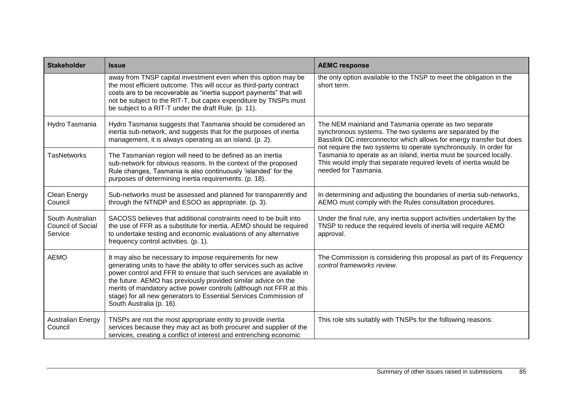| <b>Stakeholder</b>                                      | <b>Issue</b>                                                                                                                                                                                                                                                                                                                                                                                                                                      | <b>AEMC response</b>                                                                                                                                                                                                                                             |
|---------------------------------------------------------|---------------------------------------------------------------------------------------------------------------------------------------------------------------------------------------------------------------------------------------------------------------------------------------------------------------------------------------------------------------------------------------------------------------------------------------------------|------------------------------------------------------------------------------------------------------------------------------------------------------------------------------------------------------------------------------------------------------------------|
|                                                         | away from TNSP capital investment even when this option may be<br>the most efficient outcome. This will occur as third-party contract<br>costs are to be recoverable as "inertia support payments" that will<br>not be subject to the RIT-T, but capex expenditure by TNSPs must<br>be subject to a RIT-T under the draft Rule. (p. 11).                                                                                                          | the only option available to the TNSP to meet the obligation in the<br>short term.                                                                                                                                                                               |
| Hydro Tasmania                                          | Hydro Tasmania suggests that Tasmania should be considered an<br>inertia sub-network, and suggests that for the purposes of inertia<br>management, it is always operating as an island. (p. 2).                                                                                                                                                                                                                                                   | The NEM mainland and Tasmania operate as two separate<br>synchronous systems. The two systems are separated by the<br>Basslink DC interconnector which allows for energy transfer but does<br>not require the two systems to operate synchronously. In order for |
| <b>TasNetworks</b>                                      | The Tasmanian region will need to be defined as an inertia<br>sub-network for obvious reasons. In the context of the proposed<br>Rule changes, Tasmania is also continuously 'islanded' for the<br>purposes of determining inertia requirements. (p. 18).                                                                                                                                                                                         | Tasmania to operate as an island, inertia must be sourced locally.<br>This would imply that separate required levels of inertia would be<br>needed for Tasmania.                                                                                                 |
| Clean Energy<br>Council                                 | Sub-networks must be assessed and planned for transparently and<br>through the NTNDP and ESOO as appropriate. (p. 3).                                                                                                                                                                                                                                                                                                                             | In determining and adjusting the boundaries of inertia sub-networks,<br>AEMO must comply with the Rules consultation procedures.                                                                                                                                 |
| South Australian<br><b>Council of Social</b><br>Service | SACOSS believes that additional constraints need to be built into<br>the use of FFR as a substitute for inertia. AEMO should be required<br>to undertake testing and economic evaluations of any alternative<br>frequency control activities. (p. 1).                                                                                                                                                                                             | Under the final rule, any inertia support activities undertaken by the<br>TNSP to reduce the required levels of inertia will require AEMO<br>approval.                                                                                                           |
| <b>AEMO</b>                                             | It may also be necessary to impose requirements for new<br>generating units to have the ability to offer services such as active<br>power control and FFR to ensure that such services are available in<br>the future. AEMO has previously provided similar advice on the<br>merits of mandatory active power controls (although not FFR at this<br>stage) for all new generators to Essential Services Commission of<br>South Australia (p. 16). | The Commission is considering this proposal as part of its Frequency<br>control frameworks review.                                                                                                                                                               |
| <b>Australian Energy</b><br>Council                     | TNSPs are not the most appropriate entity to provide inertia<br>services because they may act as both procurer and supplier of the<br>services, creating a conflict of interest and entrenching economic                                                                                                                                                                                                                                          | This role sits suitably with TNSPs for the following reasons:                                                                                                                                                                                                    |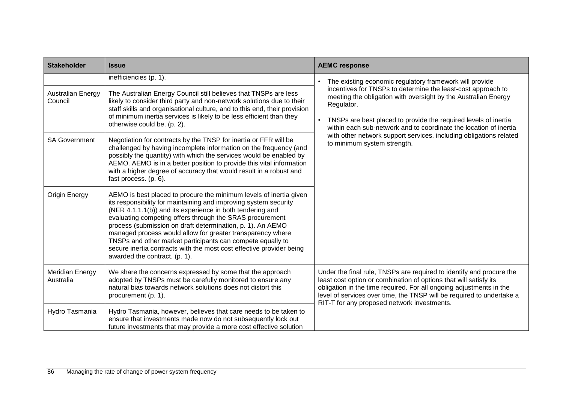| <b>Stakeholder</b>                  | <b>Issue</b>                                                                                                                                                                                                                                                                                                                                                                                                                                                                                                                                                       | <b>AEMC response</b>                                                                                                                                                                                                                                                                                                                            |  |
|-------------------------------------|--------------------------------------------------------------------------------------------------------------------------------------------------------------------------------------------------------------------------------------------------------------------------------------------------------------------------------------------------------------------------------------------------------------------------------------------------------------------------------------------------------------------------------------------------------------------|-------------------------------------------------------------------------------------------------------------------------------------------------------------------------------------------------------------------------------------------------------------------------------------------------------------------------------------------------|--|
|                                     | inefficiencies (p. 1).                                                                                                                                                                                                                                                                                                                                                                                                                                                                                                                                             | The existing economic regulatory framework will provide<br>incentives for TNSPs to determine the least-cost approach to<br>meeting the obligation with oversight by the Australian Energy<br>Regulator.<br>TNSPs are best placed to provide the required levels of inertia<br>within each sub-network and to coordinate the location of inertia |  |
| <b>Australian Energy</b><br>Council | The Australian Energy Council still believes that TNSPs are less<br>likely to consider third party and non-network solutions due to their<br>staff skills and organisational culture, and to this end, their provision<br>of minimum inertia services is likely to be less efficient than they<br>otherwise could be. (p. 2).                                                                                                                                                                                                                                      |                                                                                                                                                                                                                                                                                                                                                 |  |
| <b>SA Government</b>                | Negotiation for contracts by the TNSP for inertia or FFR will be<br>challenged by having incomplete information on the frequency (and<br>possibly the quantity) with which the services would be enabled by<br>AEMO. AEMO is in a better position to provide this vital information<br>with a higher degree of accuracy that would result in a robust and<br>fast process. (p. 6).                                                                                                                                                                                 | with other network support services, including obligations related<br>to minimum system strength.                                                                                                                                                                                                                                               |  |
| Origin Energy                       | AEMO is best placed to procure the minimum levels of inertia given<br>its responsibility for maintaining and improving system security<br>(NER 4.1.1.1(b)) and its experience in both tendering and<br>evaluating competing offers through the SRAS procurement<br>process (submission on draft determination, p. 1). An AEMO<br>managed process would allow for greater transparency where<br>TNSPs and other market participants can compete equally to<br>secure inertia contracts with the most cost effective provider being<br>awarded the contract. (p. 1). |                                                                                                                                                                                                                                                                                                                                                 |  |
| Meridian Energy<br>Australia        | We share the concerns expressed by some that the approach<br>adopted by TNSPs must be carefully monitored to ensure any<br>natural bias towards network solutions does not distort this<br>procurement (p. 1).                                                                                                                                                                                                                                                                                                                                                     | Under the final rule, TNSPs are required to identify and procure the<br>least cost option or combination of options that will satisfy its<br>obligation in the time required. For all ongoing adjustments in the<br>level of services over time, the TNSP will be required to undertake a<br>RIT-T for any proposed network investments.        |  |
| Hydro Tasmania                      | Hydro Tasmania, however, believes that care needs to be taken to<br>ensure that investments made now do not subsequently lock out<br>future investments that may provide a more cost effective solution                                                                                                                                                                                                                                                                                                                                                            |                                                                                                                                                                                                                                                                                                                                                 |  |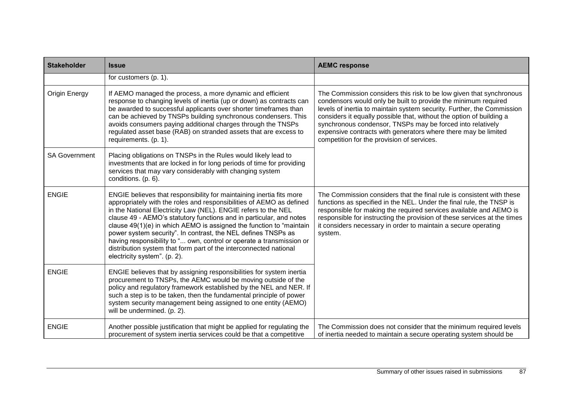| <b>Stakeholder</b>   | <b>Issue</b>                                                                                                                                                                                                                                                                                                                                                                                                                                                                                                                                                                                               | <b>AEMC response</b>                                                                                                                                                                                                                                                                                                                                                                                                                                                  |
|----------------------|------------------------------------------------------------------------------------------------------------------------------------------------------------------------------------------------------------------------------------------------------------------------------------------------------------------------------------------------------------------------------------------------------------------------------------------------------------------------------------------------------------------------------------------------------------------------------------------------------------|-----------------------------------------------------------------------------------------------------------------------------------------------------------------------------------------------------------------------------------------------------------------------------------------------------------------------------------------------------------------------------------------------------------------------------------------------------------------------|
|                      | for customers (p. 1).                                                                                                                                                                                                                                                                                                                                                                                                                                                                                                                                                                                      |                                                                                                                                                                                                                                                                                                                                                                                                                                                                       |
| <b>Origin Energy</b> | If AEMO managed the process, a more dynamic and efficient<br>response to changing levels of inertia (up or down) as contracts can<br>be awarded to successful applicants over shorter timeframes than<br>can be achieved by TNSPs building synchronous condensers. This<br>avoids consumers paying additional charges through the TNSPs<br>regulated asset base (RAB) on stranded assets that are excess to<br>requirements. (p. 1).                                                                                                                                                                       | The Commission considers this risk to be low given that synchronous<br>condensors would only be built to provide the minimum required<br>levels of inertia to maintain system security. Further, the Commission<br>considers it equally possible that, without the option of building a<br>synchronous condensor, TNSPs may be forced into relatively<br>expensive contracts with generators where there may be limited<br>competition for the provision of services. |
| <b>SA Government</b> | Placing obligations on TNSPs in the Rules would likely lead to<br>investments that are locked in for long periods of time for providing<br>services that may vary considerably with changing system<br>conditions. (p. 6).                                                                                                                                                                                                                                                                                                                                                                                 |                                                                                                                                                                                                                                                                                                                                                                                                                                                                       |
| <b>ENGIE</b>         | ENGIE believes that responsibility for maintaining inertia fits more<br>appropriately with the roles and responsibilities of AEMO as defined<br>in the National Electricity Law (NEL). ENGIE refers to the NEL<br>clause 49 - AEMO's statutory functions and in particular, and notes<br>clause 49(1)(e) in which AEMO is assigned the function to "maintain<br>power system security". In contrast, the NEL defines TNSPs as<br>having responsibility to " own, control or operate a transmission or<br>distribution system that form part of the interconnected national<br>electricity system". (p. 2). | The Commission considers that the final rule is consistent with these<br>functions as specified in the NEL. Under the final rule, the TNSP is<br>responsible for making the required services available and AEMO is<br>responsible for instructing the provision of these services at the times<br>it considers necessary in order to maintain a secure operating<br>system.                                                                                          |
| <b>ENGIE</b>         | ENGIE believes that by assigning responsibilities for system inertia<br>procurement to TNSPs, the AEMC would be moving outside of the<br>policy and regulatory framework established by the NEL and NER. If<br>such a step is to be taken, then the fundamental principle of power<br>system security management being assigned to one entity (AEMO)<br>will be undermined. (p. 2).                                                                                                                                                                                                                        |                                                                                                                                                                                                                                                                                                                                                                                                                                                                       |
| <b>ENGIE</b>         | Another possible justification that might be applied for regulating the<br>procurement of system inertia services could be that a competitive                                                                                                                                                                                                                                                                                                                                                                                                                                                              | The Commission does not consider that the minimum required levels<br>of inertia needed to maintain a secure operating system should be                                                                                                                                                                                                                                                                                                                                |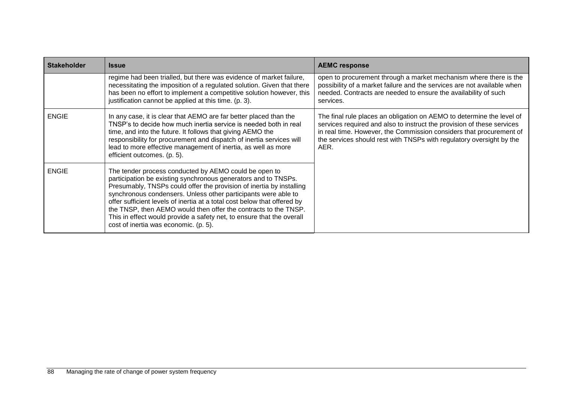| <b>Stakeholder</b> | <b>Issue</b>                                                                                                                                                                                                                                                                                                                                                                                                                                                                                                                       | <b>AEMC response</b>                                                                                                                                                                                                                                                                                   |
|--------------------|------------------------------------------------------------------------------------------------------------------------------------------------------------------------------------------------------------------------------------------------------------------------------------------------------------------------------------------------------------------------------------------------------------------------------------------------------------------------------------------------------------------------------------|--------------------------------------------------------------------------------------------------------------------------------------------------------------------------------------------------------------------------------------------------------------------------------------------------------|
|                    | regime had been trialled, but there was evidence of market failure,<br>necessitating the imposition of a regulated solution. Given that there<br>has been no effort to implement a competitive solution however, this<br>justification cannot be applied at this time. (p. 3).                                                                                                                                                                                                                                                     | open to procurement through a market mechanism where there is the<br>possibility of a market failure and the services are not available when<br>needed. Contracts are needed to ensure the availability of such<br>services.                                                                           |
| <b>ENGIE</b>       | In any case, it is clear that AEMO are far better placed than the<br>TNSP's to decide how much inertia service is needed both in real<br>time, and into the future. It follows that giving AEMO the<br>responsibility for procurement and dispatch of inertia services will<br>lead to more effective management of inertia, as well as more<br>efficient outcomes. (p. 5).                                                                                                                                                        | The final rule places an obligation on AEMO to determine the level of<br>services required and also to instruct the provision of these services<br>in real time. However, the Commission considers that procurement of<br>the services should rest with TNSPs with regulatory oversight by the<br>AER. |
| <b>ENGIE</b>       | The tender process conducted by AEMO could be open to<br>participation be existing synchronous generators and to TNSPs.<br>Presumably, TNSPs could offer the provision of inertia by installing<br>synchronous condensers. Unless other participants were able to<br>offer sufficient levels of inertia at a total cost below that offered by<br>the TNSP, then AEMO would then offer the contracts to the TNSP.<br>This in effect would provide a safety net, to ensure that the overall<br>cost of inertia was economic. (p. 5). |                                                                                                                                                                                                                                                                                                        |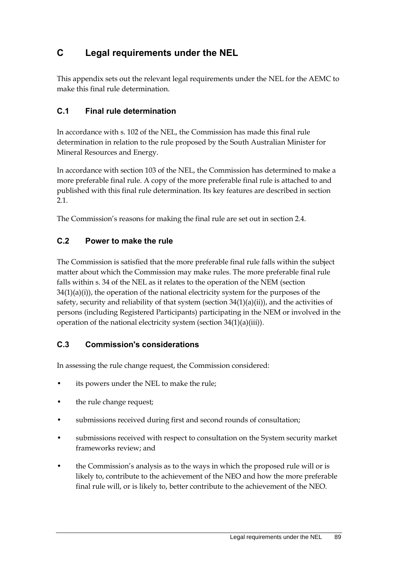# **C Legal requirements under the NEL**

This appendix sets out the relevant legal requirements under the NEL for the AEMC to make this final rule determination.

### **C.1 Final rule determination**

In accordance with s. 102 of the NEL, the Commission has made this final rule determination in relation to the rule proposed by the South Australian Minister for Mineral Resources and Energy.

In accordance with section 103 of the NEL, the Commission has determined to make a more preferable final rule. A copy of the more preferable final rule is attached to and published with this final rule determination. Its key features are described in section 2.1.

The Commission's reasons for making the final rule are set out in section 2.4.

### **C.2 Power to make the rule**

The Commission is satisfied that the more preferable final rule falls within the subject matter about which the Commission may make rules. The more preferable final rule falls within s. 34 of the NEL as it relates to the operation of the NEM (section  $34(1)(a)(i)$ , the operation of the national electricity system for the purposes of the safety, security and reliability of that system (section  $34(1)(a)(ii)$ ), and the activities of persons (including Registered Participants) participating in the NEM or involved in the operation of the national electricity system (section 34(1)(a)(iii)).

### **C.3 Commission's considerations**

In assessing the rule change request, the Commission considered:

- its powers under the NEL to make the rule;
- the rule change request;
- submissions received during first and second rounds of consultation;
- submissions received with respect to consultation on the System security market frameworks review; and
- the Commission's analysis as to the ways in which the proposed rule will or is likely to, contribute to the achievement of the NEO and how the more preferable final rule will, or is likely to, better contribute to the achievement of the NEO.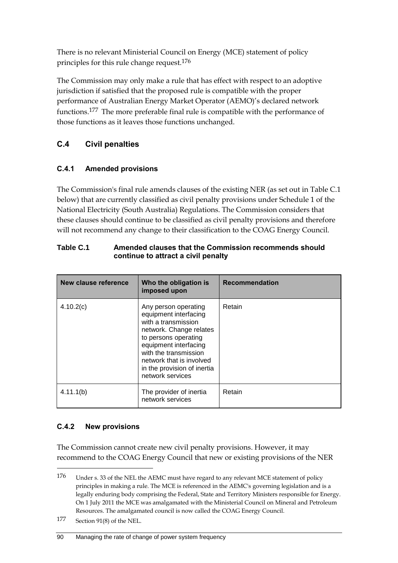There is no relevant Ministerial Council on Energy (MCE) statement of policy principles for this rule change request.176

The Commission may only make a rule that has effect with respect to an adoptive jurisdiction if satisfied that the proposed rule is compatible with the proper performance of Australian Energy Market Operator (AEMO)'s declared network functions.177 The more preferable final rule is compatible with the performance of those functions as it leaves those functions unchanged.

### **C.4 Civil penalties**

### **C.4.1 Amended provisions**

The Commission's final rule amends clauses of the existing NER (as set out in Table C.1 below) that are currently classified as civil penalty provisions under Schedule 1 of the National Electricity (South Australia) Regulations. The Commission considers that these clauses should continue to be classified as civil penalty provisions and therefore will not recommend any change to their classification to the COAG Energy Council.

| New clause reference | Who the obligation is<br>imposed upon                                                                                                                                                                                                                    | <b>Recommendation</b> |
|----------------------|----------------------------------------------------------------------------------------------------------------------------------------------------------------------------------------------------------------------------------------------------------|-----------------------|
| 4.10.2(c)            | Any person operating<br>equipment interfacing<br>with a transmission<br>network. Change relates<br>to persons operating<br>equipment interfacing<br>with the transmission<br>network that is involved<br>in the provision of inertia<br>network services | Retain                |
| 4.11.1(b)            | The provider of inertia<br>network services                                                                                                                                                                                                              | Retain                |

**Table C.1 Amended clauses that the Commission recommends should continue to attract a civil penalty**

### **C.4.2 New provisions**

<u>.</u>

The Commission cannot create new civil penalty provisions. However, it may recommend to the COAG Energy Council that new or existing provisions of the NER

177 Section 91(8) of the NEL.

<sup>176</sup> Under s. 33 of the NEL the AEMC must have regard to any relevant MCE statement of policy principles in making a rule. The MCE is referenced in the AEMC's governing legislation and is a legally enduring body comprising the Federal, State and Territory Ministers responsible for Energy. On 1 July 2011 the MCE was amalgamated with the Ministerial Council on Mineral and Petroleum Resources. The amalgamated council is now called the COAG Energy Council.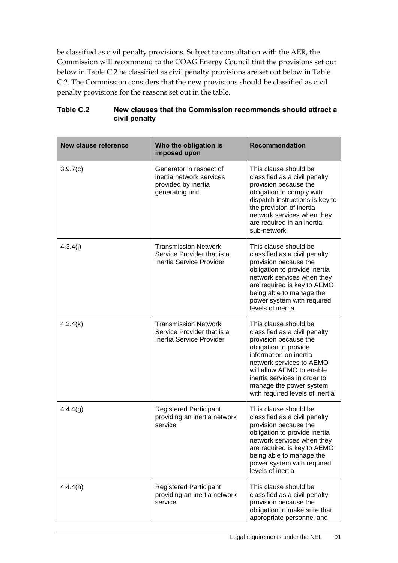be classified as civil penalty provisions. Subject to consultation with the AER, the Commission will recommend to the COAG Energy Council that the provisions set out below in Table C.2 be classified as civil penalty provisions are set out below in Table C.2. The Commission considers that the new provisions should be classified as civil penalty provisions for the reasons set out in the table.

| <b>New clause reference</b> | Who the obligation is<br>imposed upon                                                         | <b>Recommendation</b>                                                                                                                                                                                                                                                                     |
|-----------------------------|-----------------------------------------------------------------------------------------------|-------------------------------------------------------------------------------------------------------------------------------------------------------------------------------------------------------------------------------------------------------------------------------------------|
| 3.9.7(c)                    | Generator in respect of<br>inertia network services<br>provided by inertia<br>generating unit | This clause should be<br>classified as a civil penalty<br>provision because the<br>obligation to comply with<br>dispatch instructions is key to<br>the provision of inertia<br>network services when they<br>are required in an inertia<br>sub-network                                    |
| 4.3.4(j)                    | <b>Transmission Network</b><br>Service Provider that is a<br>Inertia Service Provider         | This clause should be<br>classified as a civil penalty<br>provision because the<br>obligation to provide inertia<br>network services when they<br>are required is key to AEMO<br>being able to manage the<br>power system with required<br>levels of inertia                              |
| 4.3.4(k)                    | <b>Transmission Network</b><br>Service Provider that is a<br>Inertia Service Provider         | This clause should be<br>classified as a civil penalty<br>provision because the<br>obligation to provide<br>information on inertia<br>network services to AEMO<br>will allow AEMO to enable<br>inertia services in order to<br>manage the power system<br>with required levels of inertia |
| 4.4.4(g)                    | <b>Registered Participant</b><br>providing an inertia network<br>service                      | This clause should be<br>classified as a civil penalty<br>provision because the<br>obligation to provide inertia<br>network services when they<br>are required is key to AEMO<br>being able to manage the<br>power system with required<br>levels of inertia                              |
| 4.4.4(h)                    | <b>Registered Participant</b><br>providing an inertia network<br>service                      | This clause should be<br>classified as a civil penalty<br>provision because the<br>obligation to make sure that<br>appropriate personnel and                                                                                                                                              |

#### **Table C.2 New clauses that the Commission recommends should attract a civil penalty**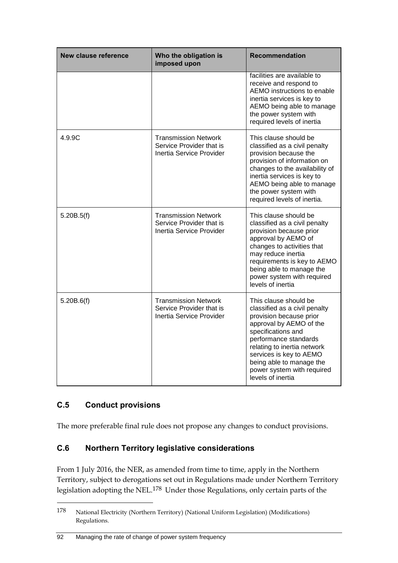| New clause reference | Who the obligation is<br>imposed upon                                               | <b>Recommendation</b>                                                                                                                                                                                                                                                                                |
|----------------------|-------------------------------------------------------------------------------------|------------------------------------------------------------------------------------------------------------------------------------------------------------------------------------------------------------------------------------------------------------------------------------------------------|
|                      |                                                                                     | facilities are available to<br>receive and respond to<br>AEMO instructions to enable<br>inertia services is key to<br>AEMO being able to manage<br>the power system with<br>required levels of inertia                                                                                               |
| 4.9.9C               | <b>Transmission Network</b><br>Service Provider that is<br>Inertia Service Provider | This clause should be<br>classified as a civil penalty<br>provision because the<br>provision of information on<br>changes to the availability of<br>inertia services is key to<br>AEMO being able to manage<br>the power system with<br>required levels of inertia.                                  |
| 5.20B.5(f)           | <b>Transmission Network</b><br>Service Provider that is<br>Inertia Service Provider | This clause should be<br>classified as a civil penalty<br>provision because prior<br>approval by AEMO of<br>changes to activities that<br>may reduce inertia<br>requirements is key to AEMO<br>being able to manage the<br>power system with required<br>levels of inertia                           |
| 5.20B.6(f)           | <b>Transmission Network</b><br>Service Provider that is<br>Inertia Service Provider | This clause should be<br>classified as a civil penalty<br>provision because prior<br>approval by AEMO of the<br>specifications and<br>performance standards<br>relating to inertia network<br>services is key to AEMO<br>being able to manage the<br>power system with required<br>levels of inertia |

### **C.5 Conduct provisions**

1

The more preferable final rule does not propose any changes to conduct provisions.

### **C.6 Northern Territory legislative considerations**

From 1 July 2016, the NER, as amended from time to time, apply in the Northern Territory, subject to derogations set out in Regulations made under Northern Territory legislation adopting the NEL.178 Under those Regulations, only certain parts of the

#### 92 Managing the rate of change of power system frequency

<sup>178</sup> National Electricity (Northern Territory) (National Uniform Legislation) (Modifications) Regulations.